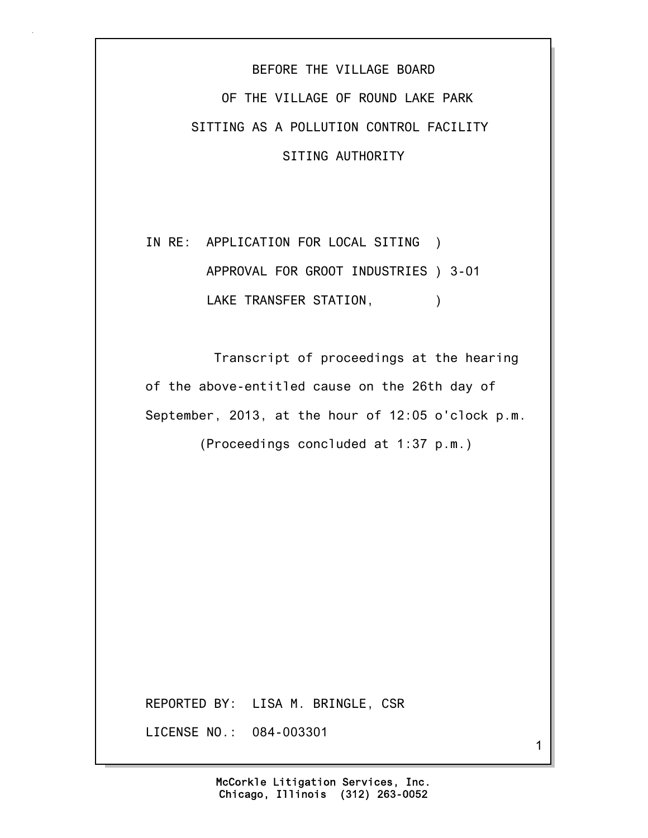## BEFORE THE VILLAGE BOARD OF THE VILLAGE OF ROUND LAKE PARK SITTING AS A POLLUTION CONTROL FACILITY SITING AUTHORITY

## IN RE: APPLICATION FOR LOCAL SITING ) APPROVAL FOR GROOT INDUSTRIES ) 3-01 LAKE TRANSFER STATION,  $)$

 Transcript of proceedings at the hearing of the above-entitled cause on the 26th day of September, 2013, at the hour of 12:05 o'clock p.m.

(Proceedings concluded at 1:37 p.m.)

REPORTED BY: LISA M. BRINGLE, CSR

LICENSE NO.: 084-003301

McCorkle Litigation Services, Inc.

1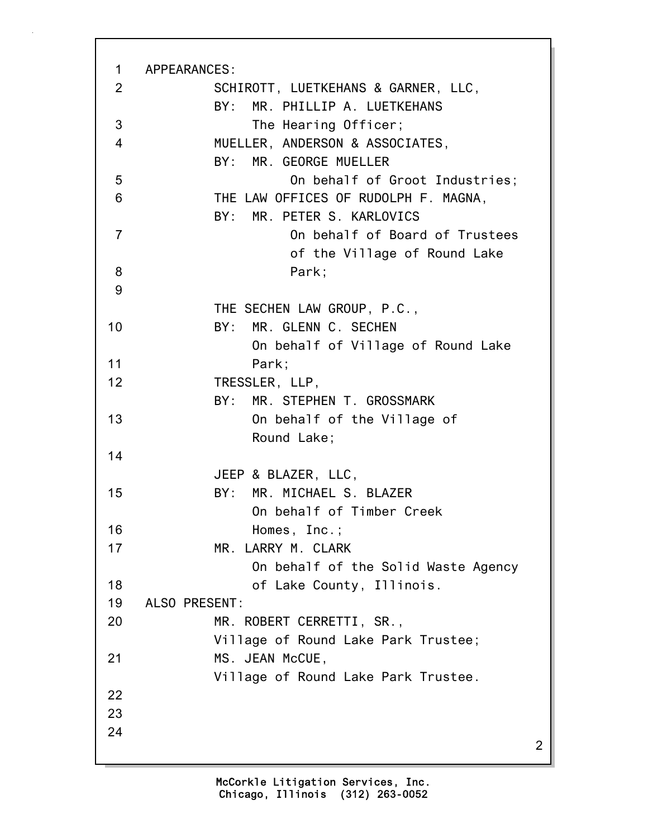| $\mathbf 1$    | APPEARANCES:                         |   |
|----------------|--------------------------------------|---|
| 2              | SCHIROTT, LUETKEHANS & GARNER, LLC,  |   |
|                | BY: MR. PHILLIP A. LUETKEHANS        |   |
| 3              | The Hearing Officer;                 |   |
| $\overline{4}$ | MUELLER, ANDERSON & ASSOCIATES,      |   |
|                | MR. GEORGE MUELLER<br>BY:            |   |
| 5              | On behalf of Groot Industries;       |   |
| 6              | THE LAW OFFICES OF RUDOLPH F. MAGNA, |   |
|                | BY: MR. PETER S. KARLOVICS           |   |
| $\overline{7}$ | On behalf of Board of Trustees       |   |
|                | of the Village of Round Lake         |   |
| 8              | Park:                                |   |
| 9              |                                      |   |
|                | THE SECHEN LAW GROUP, P.C.,          |   |
| 10             | BY: MR. GLENN C. SECHEN              |   |
|                | On behalf of Village of Round Lake   |   |
| 11             | Park;                                |   |
| 12             | TRESSLER, LLP,                       |   |
|                | MR. STEPHEN T. GROSSMARK<br>BY:      |   |
| 13             | On behalf of the Village of          |   |
|                | Round Lake;                          |   |
| 14             |                                      |   |
|                | JEEP & BLAZER, LLC,                  |   |
| 15             | BY: MR. MICHAEL S. BLAZER            |   |
|                | On behalf of Timber Creek            |   |
| 16             | Homes, Inc.;                         |   |
| 17             | MR. LARRY M. CLARK                   |   |
|                | On behalf of the Solid Waste Agency  |   |
| 18             | of Lake County, Illinois.            |   |
| 19             | ALSO PRESENT:                        |   |
| 20             | MR. ROBERT CERRETTI, SR.,            |   |
|                | Village of Round Lake Park Trustee;  |   |
| 21             | MS. JEAN McCUE,                      |   |
|                | Village of Round Lake Park Trustee.  |   |
| 22             |                                      |   |
| 23             |                                      |   |
| 24             |                                      |   |
|                |                                      | 2 |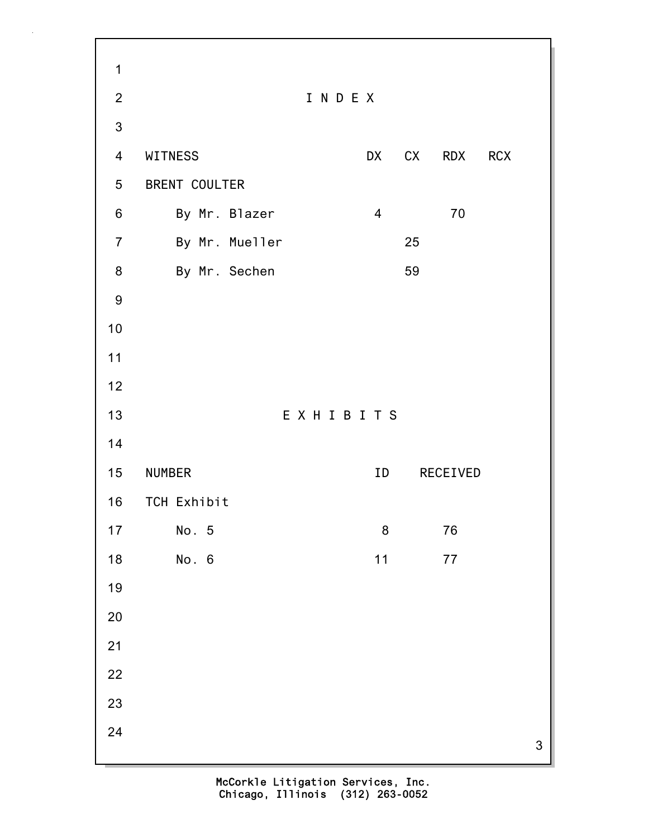3 1 2 I N D E X 3 4 WITNESS DX CX RDX RCX 5 BRENT COULTER 6 By Mr. Blazer 4 70 7 By Mr. Mueller 25 8 By Mr. Sechen 59 9 10 11 12 13 E X H I B I T S 14 15 NUMBER ID RECEIVED 16 TCH Exhibit 17 No. 5 8 76 18 No. 6 11 77 19 20 21 22 23 24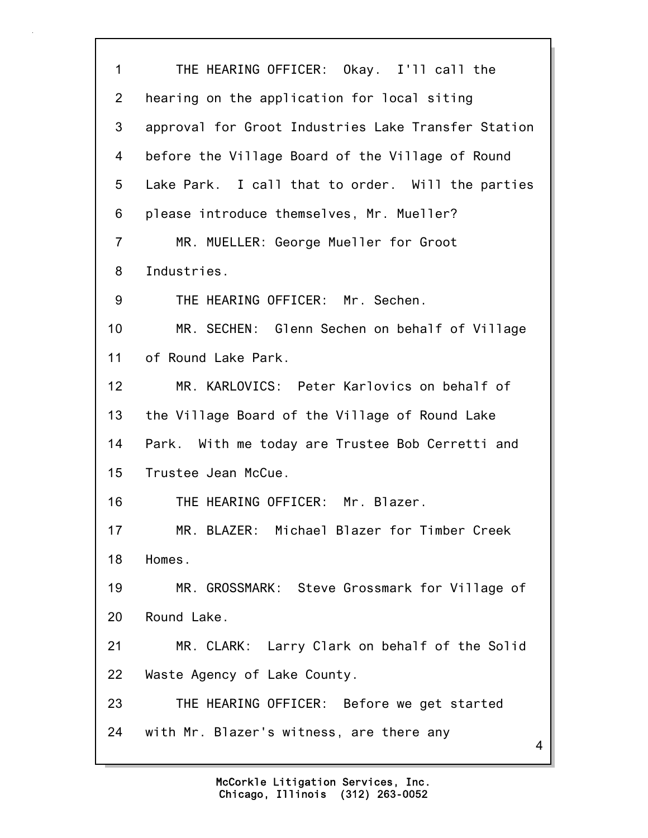4 1 THE HEARING OFFICER: Okay. I'll call the 2 hearing on the application for local siting 3 approval for Groot Industries Lake Transfer Station 4 before the Village Board of the Village of Round 5 Lake Park. I call that to order. Will the parties 6 please introduce themselves, Mr. Mueller? 7 MR. MUELLER: George Mueller for Groot 8 Industries. 9 THE HEARING OFFICER: Mr. Sechen. 10 MR. SECHEN: Glenn Sechen on behalf of Village 11 of Round Lake Park. 12 MR. KARLOVICS: Peter Karlovics on behalf of 13 the Village Board of the Village of Round Lake 14 Park. With me today are Trustee Bob Cerretti and 15 Trustee Jean McCue. 16 THE HEARING OFFICER: Mr. Blazer. 17 MR. BLAZER: Michael Blazer for Timber Creek 18 Homes. 19 MR. GROSSMARK: Steve Grossmark for Village of 20 Round Lake. 21 MR. CLARK: Larry Clark on behalf of the Solid 22 Waste Agency of Lake County. 23 THE HEARING OFFICER: Before we get started 24 with Mr. Blazer's witness, are there any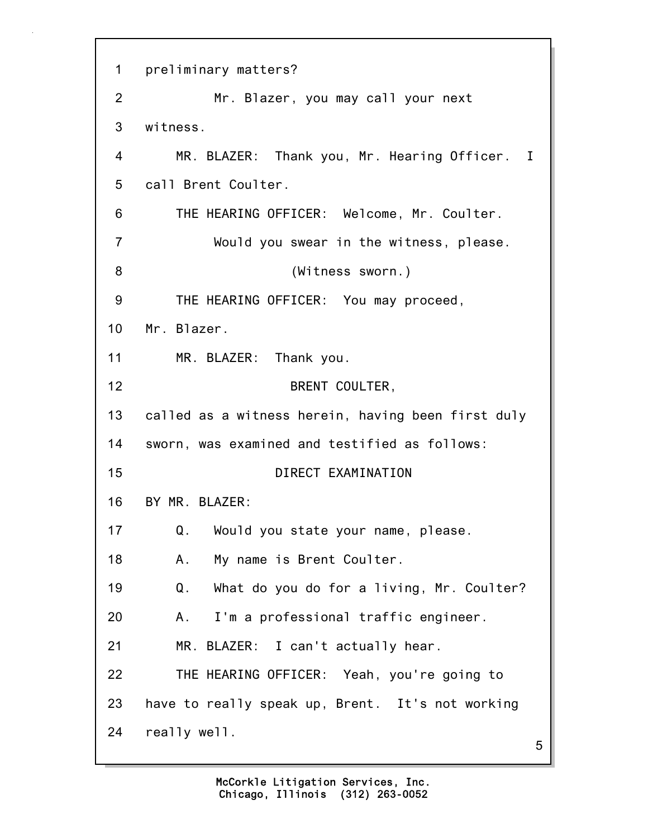5 1 preliminary matters? 2 Mr. Blazer, you may call your next 3 witness. 4 MR. BLAZER: Thank you, Mr. Hearing Officer. I 5 call Brent Coulter. 6 THE HEARING OFFICER: Welcome, Mr. Coulter. 7 Would you swear in the witness, please. 8 (Witness sworn.) 9 THE HEARING OFFICER: You may proceed, 10 Mr. Blazer. 11 MR. BLAZER: Thank you. 12 BRENT COULTER, 13 called as a witness herein, having been first duly 14 sworn, was examined and testified as follows: 15 DIRECT EXAMINATION 16 BY MR. BLAZER: 17 Q. Would you state your name, please. 18 A. My name is Brent Coulter. 19 Q. What do you do for a living, Mr. Coulter? 20 A. I'm a professional traffic engineer. 21 MR. BLAZER: I can't actually hear. 22 THE HEARING OFFICER: Yeah, you're going to 23 have to really speak up, Brent. It's not working 24 really well.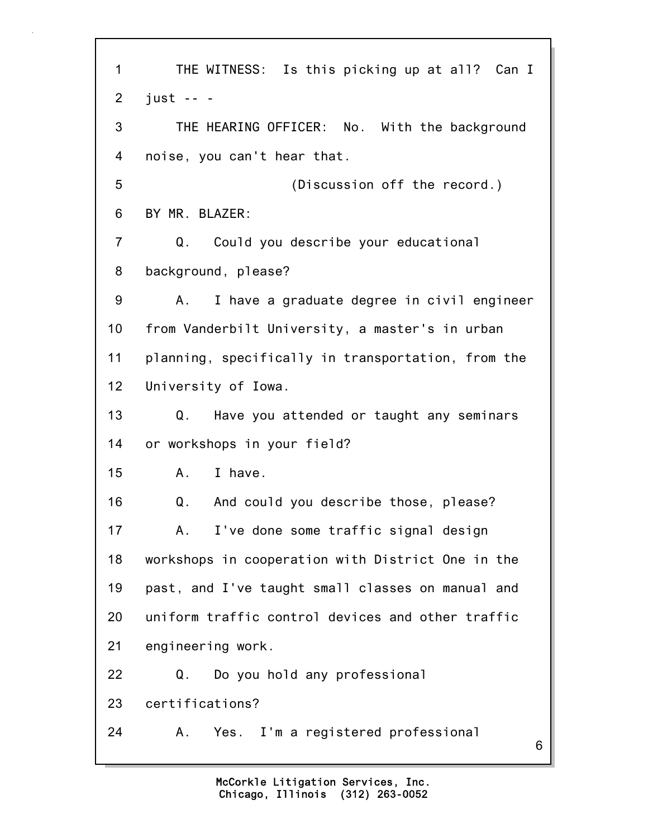6 1 THE WITNESS: Is this picking up at all? Can I 2 just -- - 3 THE HEARING OFFICER: No. With the background 4 noise, you can't hear that. 5 (Discussion off the record.) 6 BY MR. BLAZER: 7 Q. Could you describe your educational 8 background, please? 9 A. I have a graduate degree in civil engineer 10 from Vanderbilt University, a master's in urban 11 planning, specifically in transportation, from the 12 University of Iowa. 13 Q. Have you attended or taught any seminars 14 or workshops in your field? 15 A. I have. 16 Q. And could you describe those, please? 17 A. I've done some traffic signal design 18 workshops in cooperation with District One in the 19 past, and I've taught small classes on manual and 20 uniform traffic control devices and other traffic 21 engineering work. 22 Q. Do you hold any professional 23 certifications? 24 A. Yes. I'm a registered professional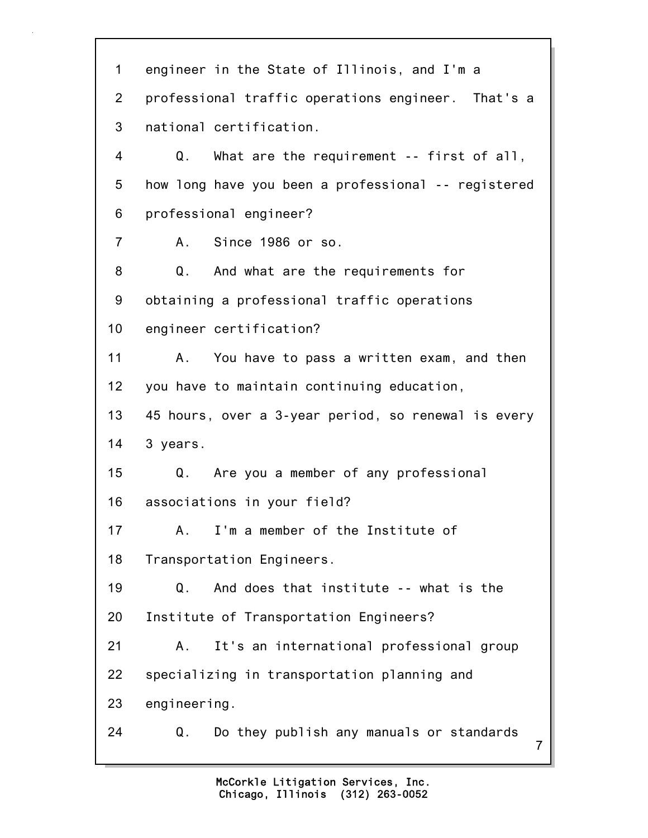7 1 engineer in the State of Illinois, and I'm a 2 professional traffic operations engineer. That's a 3 national certification. 4 Q. What are the requirement -- first of all, 5 how long have you been a professional -- registered 6 professional engineer? 7 A. Since 1986 or so. 8 Q. And what are the requirements for 9 obtaining a professional traffic operations 10 engineer certification? 11 A. You have to pass a written exam, and then 12 you have to maintain continuing education, 13 45 hours, over a 3-year period, so renewal is every 14 3 years. 15 Q. Are you a member of any professional 16 associations in your field? 17 A. I'm a member of the Institute of 18 Transportation Engineers. 19 Q. And does that institute -- what is the 20 Institute of Transportation Engineers? 21 A. It's an international professional group 22 specializing in transportation planning and 23 engineering. 24 Q. Do they publish any manuals or standards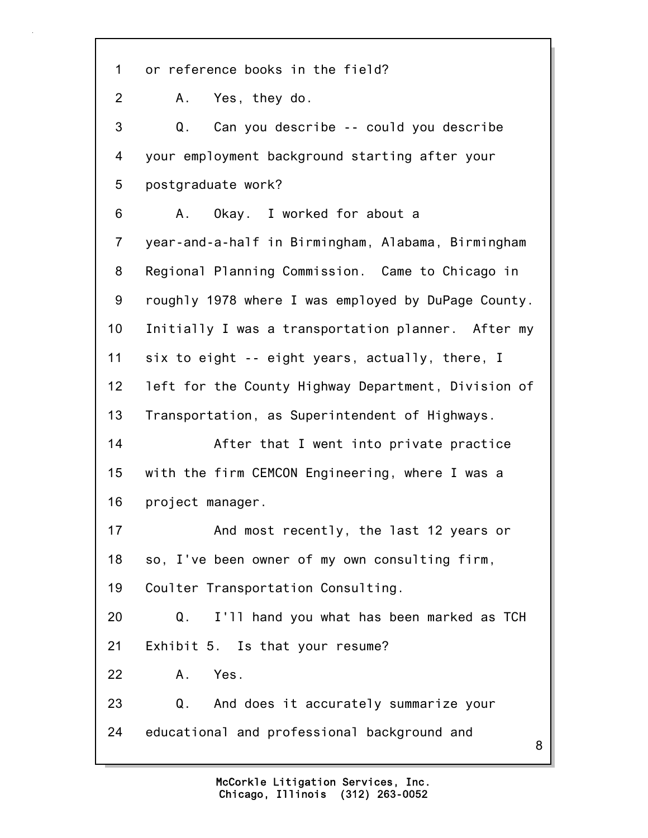8 1 or reference books in the field? 2 A. Yes, they do. 3 Q. Can you describe -- could you describe 4 your employment background starting after your 5 postgraduate work? 6 A. Okay. I worked for about a 7 year-and-a-half in Birmingham, Alabama, Birmingham 8 Regional Planning Commission. Came to Chicago in 9 roughly 1978 where I was employed by DuPage County. 10 Initially I was a transportation planner. After my 11 six to eight -- eight years, actually, there, I 12 left for the County Highway Department, Division of 13 Transportation, as Superintendent of Highways. 14 After that I went into private practice 15 with the firm CEMCON Engineering, where I was a 16 project manager. 17 And most recently, the last 12 years or 18 so, I've been owner of my own consulting firm, 19 Coulter Transportation Consulting. 20 Q. I'll hand you what has been marked as TCH 21 Exhibit 5. Is that your resume? 22 A. Yes. 23 Q. And does it accurately summarize your 24 educational and professional background and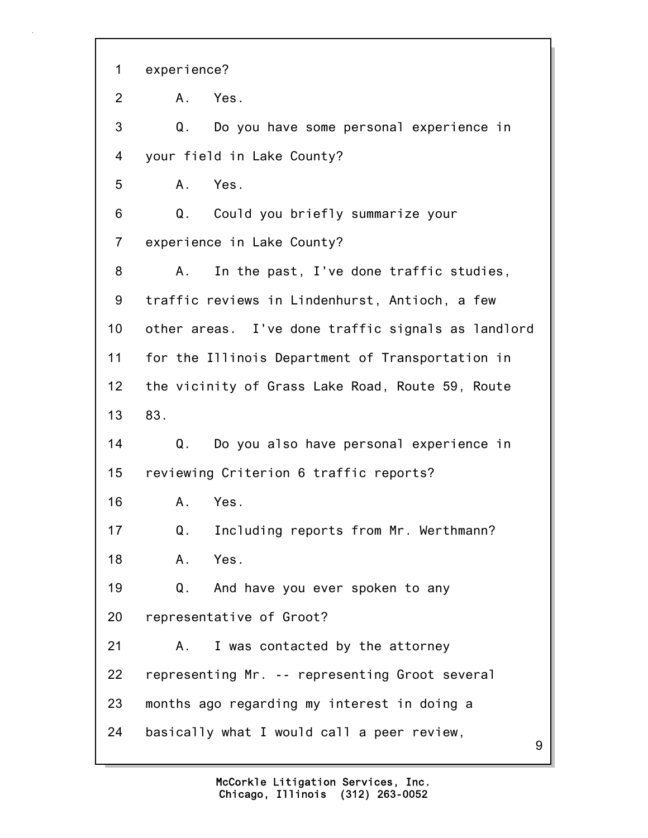9 1 experience? 2 A. Yes. 3 Q. Do you have some personal experience in 4 your field in Lake County? 5 A. Yes. 6 Q. Could you briefly summarize your 7 experience in Lake County? 8 A. In the past, I've done traffic studies, 9 traffic reviews in Lindenhurst, Antioch, a few 10 other areas. I've done traffic signals as landlord 11 for the Illinois Department of Transportation in 12 the vicinity of Grass Lake Road, Route 59, Route 13 83. 14 Q. Do you also have personal experience in 15 reviewing Criterion 6 traffic reports? 16 A. Yes. 17 Q. Including reports from Mr. Werthmann? 18 A. Yes. 19 Q. And have you ever spoken to any 20 representative of Groot? 21 A. I was contacted by the attorney 22 representing Mr. -- representing Groot several 23 months ago regarding my interest in doing a 24 basically what I would call a peer review,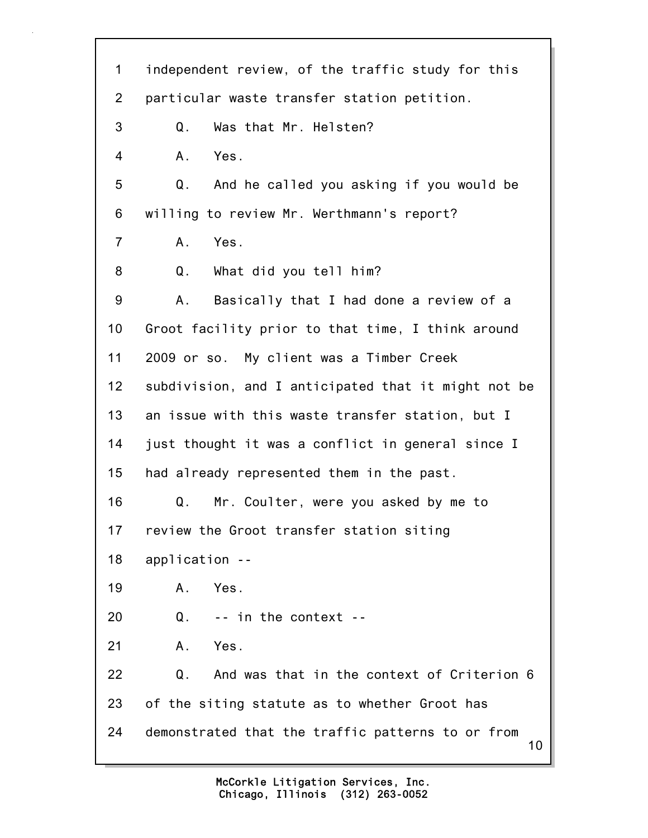10 1 independent review, of the traffic study for this 2 particular waste transfer station petition. 3 Q. Was that Mr. Helsten? 4 A. Yes. 5 Q. And he called you asking if you would be 6 willing to review Mr. Werthmann's report? 7 A. Yes. 8 Q. What did you tell him? 9 A. Basically that I had done a review of a 10 Groot facility prior to that time, I think around 11 2009 or so. My client was a Timber Creek 12 subdivision, and I anticipated that it might not be 13 an issue with this waste transfer station, but I 14 just thought it was a conflict in general since I 15 had already represented them in the past. 16 Q. Mr. Coulter, were you asked by me to 17 review the Groot transfer station siting 18 application -- 19 A. Yes. 20 Q. -- in the context -- 21 A. Yes. 22 Q. And was that in the context of Criterion 6 23 of the siting statute as to whether Groot has 24 demonstrated that the traffic patterns to or from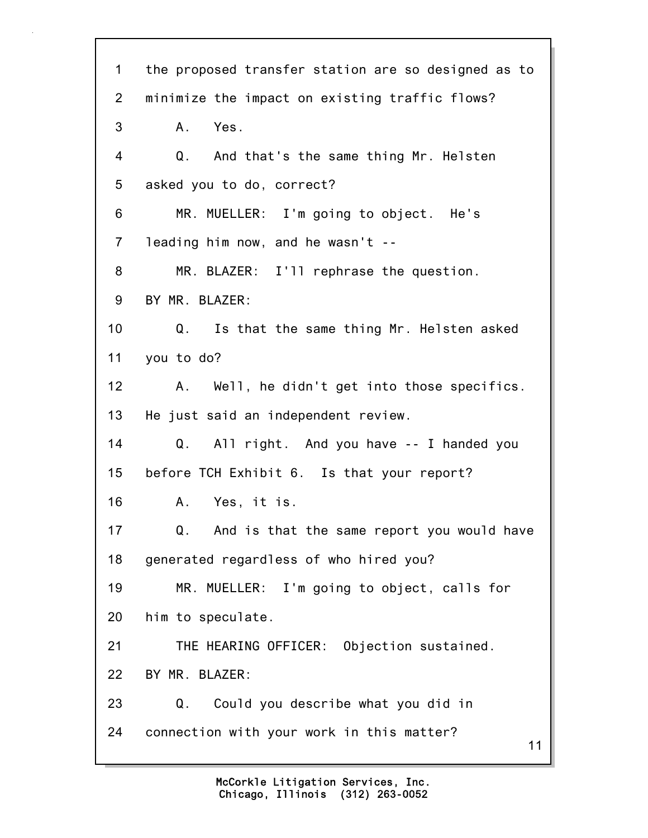11 1 the proposed transfer station are so designed as to 2 minimize the impact on existing traffic flows? 3 A. Yes. 4 Q. And that's the same thing Mr. Helsten 5 asked you to do, correct? 6 MR. MUELLER: I'm going to object. He's 7 leading him now, and he wasn't -- 8 MR. BLAZER: I'll rephrase the question. 9 BY MR. BLAZER: 10 Q. Is that the same thing Mr. Helsten asked 11 you to do? 12 A. Well, he didn't get into those specifics. 13 He just said an independent review. 14 Q. All right. And you have -- I handed you 15 before TCH Exhibit 6. Is that your report? 16 A. Yes, it is. 17 Q. And is that the same report you would have 18 generated regardless of who hired you? 19 MR. MUELLER: I'm going to object, calls for 20 him to speculate. 21 THE HEARING OFFICER: Objection sustained. 22 BY MR. BLAZER: 23 Q. Could you describe what you did in 24 connection with your work in this matter?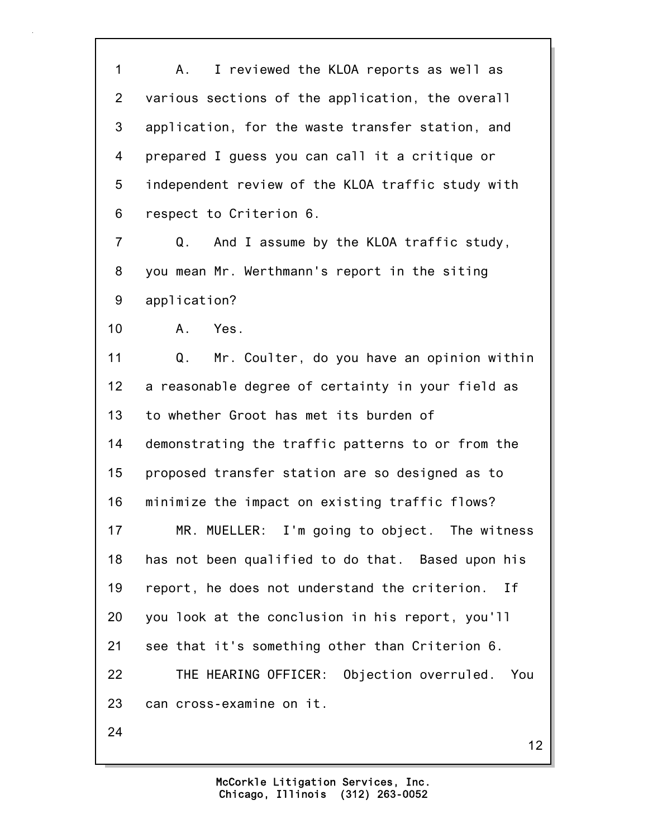1 A. I reviewed the KLOA reports as well as 2 various sections of the application, the overall 3 application, for the waste transfer station, and 4 prepared I guess you can call it a critique or 5 independent review of the KLOA traffic study with 6 respect to Criterion 6.

7 Q. And I assume by the KLOA traffic study, 8 you mean Mr. Werthmann's report in the siting 9 application?

10 A. Yes.

11 Q. Mr. Coulter, do you have an opinion within 12 a reasonable degree of certainty in your field as 13 to whether Groot has met its burden of 14 demonstrating the traffic patterns to or from the 15 proposed transfer station are so designed as to 16 minimize the impact on existing traffic flows? 17 MR. MUELLER: I'm going to object. The witness 18 has not been qualified to do that. Based upon his 19 report, he does not understand the criterion. If 20 you look at the conclusion in his report, you'll 21 see that it's something other than Criterion 6. 22 THE HEARING OFFICER: Objection overruled. You 23 can cross-examine on it. 24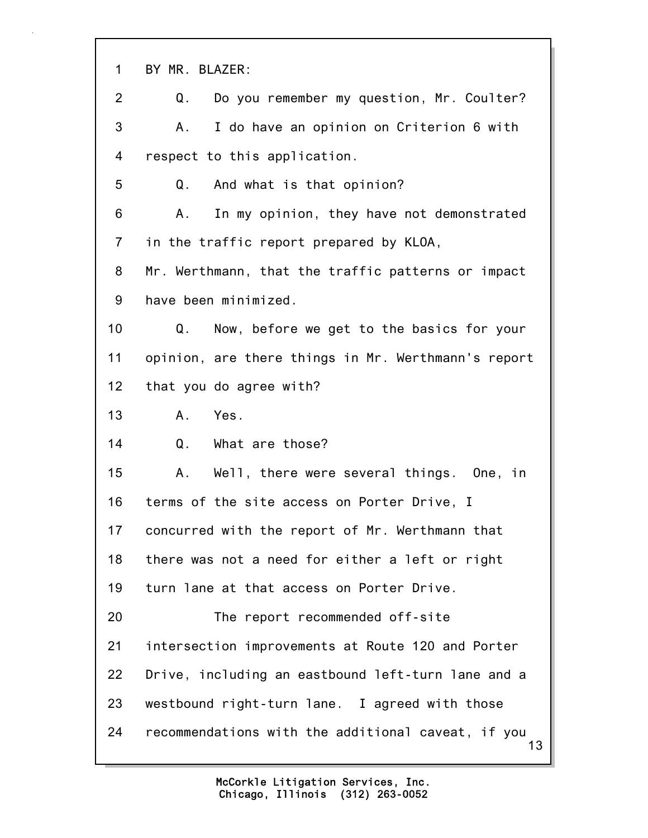| $\mathbf 1$    | BY MR. BLAZER:                                           |
|----------------|----------------------------------------------------------|
| 2              | Do you remember my question, Mr. Coulter?<br>Q.          |
| 3              | I do have an opinion on Criterion 6 with<br>A.,          |
| 4              | respect to this application.                             |
| 5              | And what is that opinion?<br>Q.                          |
| 6              | In my opinion, they have not demonstrated<br>Α.          |
| $\overline{7}$ | in the traffic report prepared by KLOA,                  |
| 8              | Mr. Werthmann, that the traffic patterns or impact       |
| 9              | have been minimized.                                     |
| 10             | Now, before we get to the basics for your<br>Q.          |
| 11             | opinion, are there things in Mr. Werthmann's report      |
| 12             | that you do agree with?                                  |
| 13             | Yes.<br>A.                                               |
| 14             | Q.<br>What are those?                                    |
| 15             | Well, there were several things. One, in<br>Α.           |
| 16             | terms of the site access on Porter Drive, I              |
| 17             | concurred with the report of Mr. Werthmann that          |
| 18             | there was not a need for either a left or right          |
| 19             | turn lane at that access on Porter Drive.                |
| 20             | The report recommended off-site                          |
| 21             | intersection improvements at Route 120 and Porter        |
| 22             | Drive, including an eastbound left-turn lane and a       |
| 23             | westbound right-turn lane. I agreed with those           |
| 24             | recommendations with the additional caveat, if you<br>13 |

ī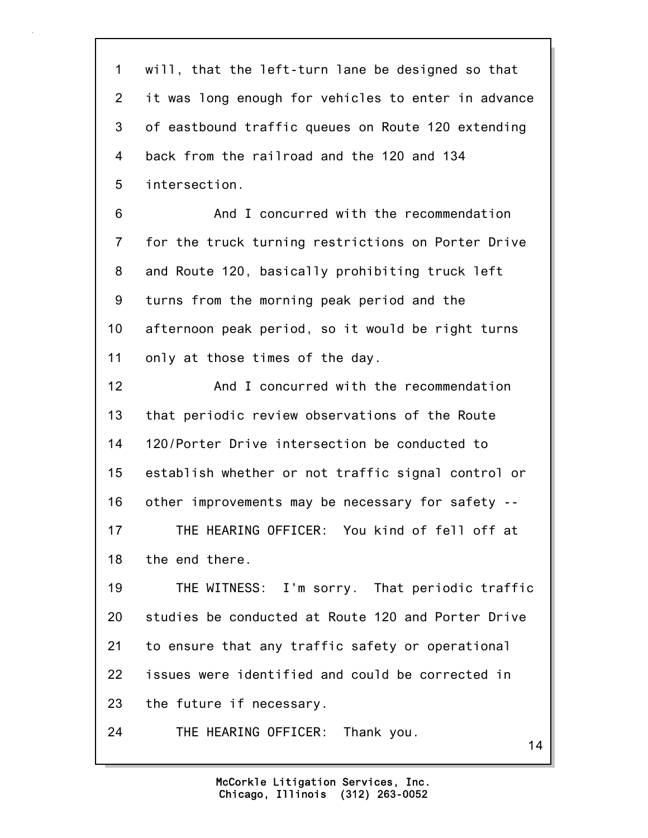1 will, that the left-turn lane be designed so that 2 it was long enough for vehicles to enter in advance 3 of eastbound traffic queues on Route 120 extending 4 back from the railroad and the 120 and 134 5 intersection.

6 And I concurred with the recommendation 7 for the truck turning restrictions on Porter Drive 8 and Route 120, basically prohibiting truck left 9 turns from the morning peak period and the 10 afternoon peak period, so it would be right turns 11 only at those times of the day.

12 And I concurred with the recommendation 13 that periodic review observations of the Route 14 120/Porter Drive intersection be conducted to 15 establish whether or not traffic signal control or 16 other improvements may be necessary for safety -- 17 THE HEARING OFFICER: You kind of fell off at 18 the end there.

19 THE WITNESS: I'm sorry. That periodic traffic 20 studies be conducted at Route 120 and Porter Drive 21 to ensure that any traffic safety or operational 22 issues were identified and could be corrected in 23 the future if necessary.

24 THE HEARING OFFICER: Thank you.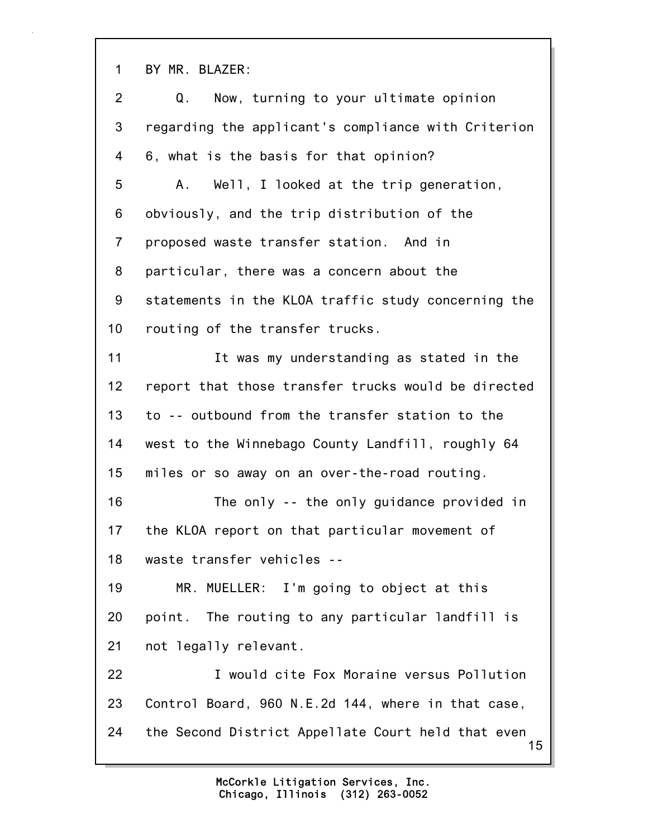1 BY MR. BLAZER:

| $\overline{2}$ | Now, turning to your ultimate opinion<br>Q.              |
|----------------|----------------------------------------------------------|
| 3              | regarding the applicant's compliance with Criterion      |
| 4              | 6, what is the basis for that opinion?                   |
| 5              | Well, I looked at the trip generation,<br>А.             |
| 6              | obviously, and the trip distribution of the              |
| $\overline{7}$ | proposed waste transfer station. And in                  |
| 8              | particular, there was a concern about the                |
| 9              | statements in the KLOA traffic study concerning the      |
| 10             | routing of the transfer trucks.                          |
| 11             | It was my understanding as stated in the                 |
| 12             | report that those transfer trucks would be directed      |
| 13             | to -- outbound from the transfer station to the          |
| 14             | west to the Winnebago County Landfill, roughly 64        |
| 15             | miles or so away on an over-the-road routing.            |
| 16             | The only -- the only guidance provided in                |
| 17             | the KLOA report on that particular movement of           |
| 18             | waste transfer vehicles                                  |
| 19             | MR. MUELLER: I'm going to object at this                 |
| 20             | point. The routing to any particular landfill is         |
| 21             | not legally relevant.                                    |
| 22             | I would cite Fox Moraine versus Pollution                |
| 23             | Control Board, 960 N.E.2d 144, where in that case,       |
| 24             | the Second District Appellate Court held that even<br>15 |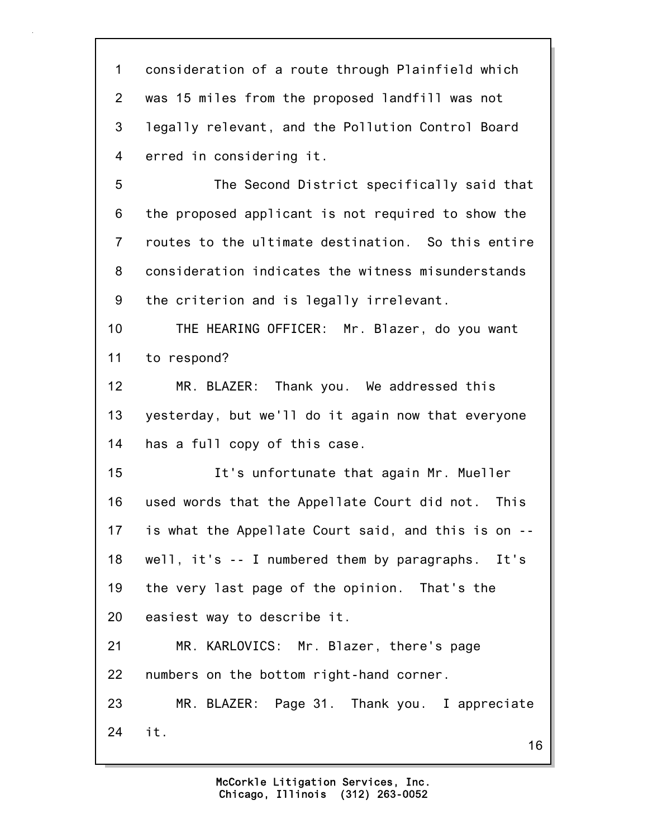1 consideration of a route through Plainfield which 2 was 15 miles from the proposed landfill was not 3 legally relevant, and the Pollution Control Board 4 erred in considering it.

5 The Second District specifically said that 6 the proposed applicant is not required to show the 7 routes to the ultimate destination. So this entire 8 consideration indicates the witness misunderstands 9 the criterion and is legally irrelevant.

10 THE HEARING OFFICER: Mr. Blazer, do you want 11 to respond?

12 MR. BLAZER: Thank you. We addressed this 13 yesterday, but we'll do it again now that everyone 14 has a full copy of this case.

15 It's unfortunate that again Mr. Mueller 16 used words that the Appellate Court did not. This 17 is what the Appellate Court said, and this is on -- 18 well, it's -- I numbered them by paragraphs. It's 19 the very last page of the opinion. That's the 20 easiest way to describe it. 21 MR. KARLOVICS: Mr. Blazer, there's page 22 numbers on the bottom right-hand corner. 23 MR. BLAZER: Page 31. Thank you. I appreciate

24 it.

16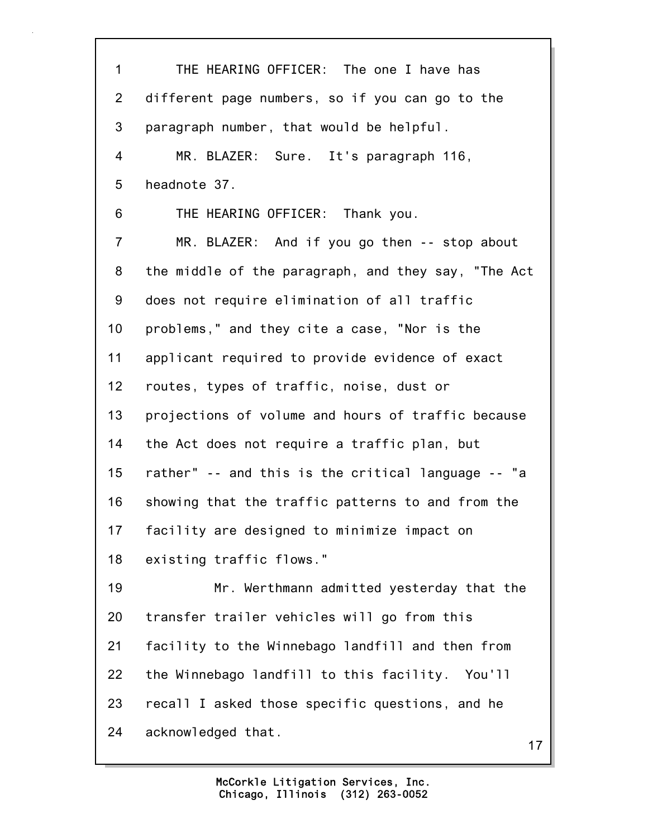17 1 THE HEARING OFFICER: The one I have has 2 different page numbers, so if you can go to the 3 paragraph number, that would be helpful. 4 MR. BLAZER: Sure. It's paragraph 116, 5 headnote 37. 6 THE HEARING OFFICER: Thank you. 7 MR. BLAZER: And if you go then -- stop about 8 the middle of the paragraph, and they say, "The Act 9 does not require elimination of all traffic 10 problems," and they cite a case, "Nor is the 11 applicant required to provide evidence of exact 12 routes, types of traffic, noise, dust or 13 projections of volume and hours of traffic because 14 the Act does not require a traffic plan, but 15 rather" -- and this is the critical language -- "a 16 showing that the traffic patterns to and from the 17 facility are designed to minimize impact on 18 existing traffic flows." 19 Mr. Werthmann admitted yesterday that the 20 transfer trailer vehicles will go from this 21 facility to the Winnebago landfill and then from 22 the Winnebago landfill to this facility. You'll 23 recall I asked those specific questions, and he 24 acknowledged that.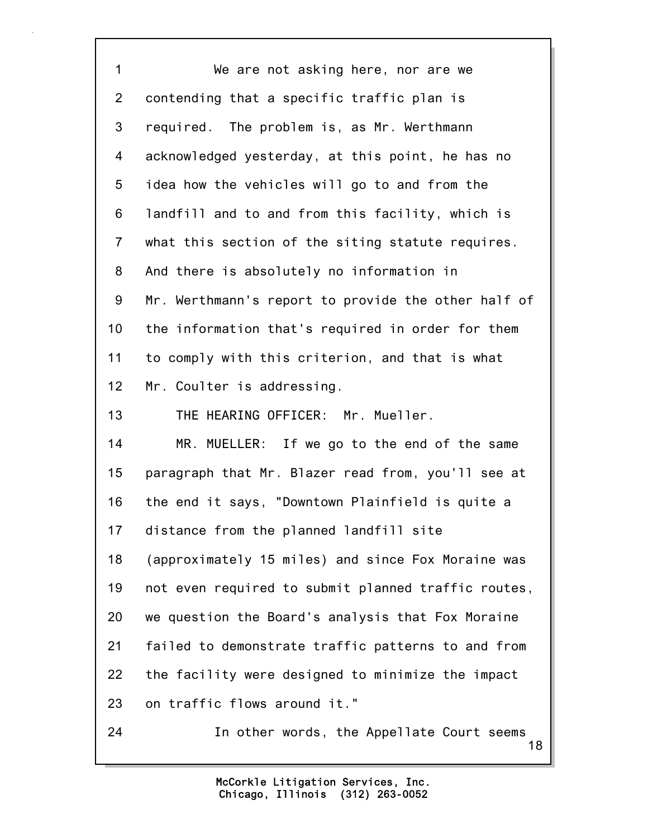18 1 We are not asking here, nor are we 2 contending that a specific traffic plan is 3 required. The problem is, as Mr. Werthmann 4 acknowledged yesterday, at this point, he has no 5 idea how the vehicles will go to and from the 6 landfill and to and from this facility, which is 7 what this section of the siting statute requires. 8 And there is absolutely no information in 9 Mr. Werthmann's report to provide the other half of 10 the information that's required in order for them 11 to comply with this criterion, and that is what 12 Mr. Coulter is addressing. 13 THE HEARING OFFICER: Mr. Mueller. 14 MR. MUELLER: If we go to the end of the same 15 paragraph that Mr. Blazer read from, you'll see at 16 the end it says, "Downtown Plainfield is quite a 17 distance from the planned landfill site 18 (approximately 15 miles) and since Fox Moraine was 19 not even required to submit planned traffic routes, 20 we question the Board's analysis that Fox Moraine 21 failed to demonstrate traffic patterns to and from 22 the facility were designed to minimize the impact 23 on traffic flows around it." 24 In other words, the Appellate Court seems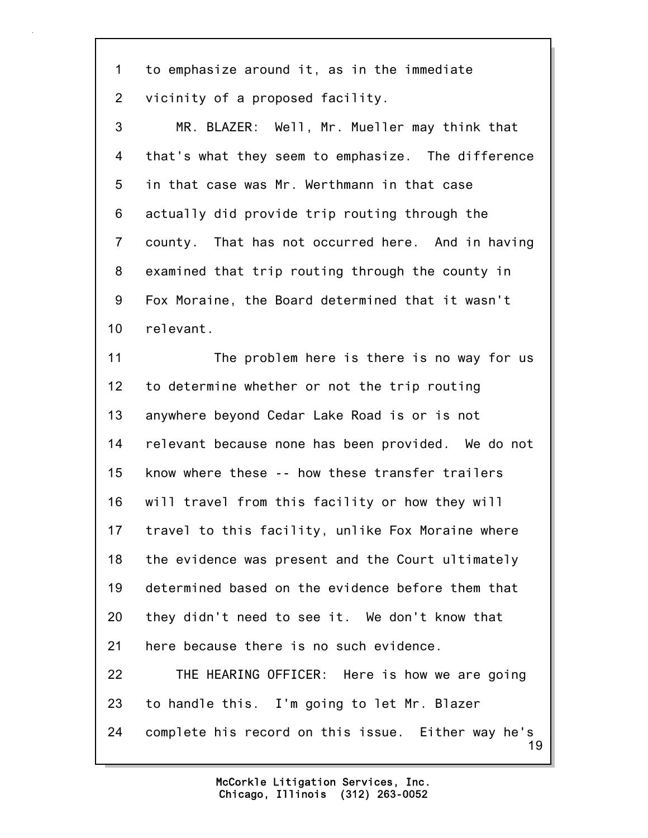1 to emphasize around it, as in the immediate 2 vicinity of a proposed facility.

3 MR. BLAZER: Well, Mr. Mueller may think that 4 that's what they seem to emphasize. The difference 5 in that case was Mr. Werthmann in that case 6 actually did provide trip routing through the 7 county. That has not occurred here. And in having 8 examined that trip routing through the county in 9 Fox Moraine, the Board determined that it wasn't 10 relevant.

11 The problem here is there is no way for us 12 to determine whether or not the trip routing 13 anywhere beyond Cedar Lake Road is or is not 14 relevant because none has been provided. We do not 15 know where these -- how these transfer trailers 16 will travel from this facility or how they will 17 travel to this facility, unlike Fox Moraine where 18 the evidence was present and the Court ultimately 19 determined based on the evidence before them that 20 they didn't need to see it. We don't know that 21 here because there is no such evidence. 22 THE HEARING OFFICER: Here is how we are going 23 to handle this. I'm going to let Mr. Blazer

19 24 complete his record on this issue. Either way he's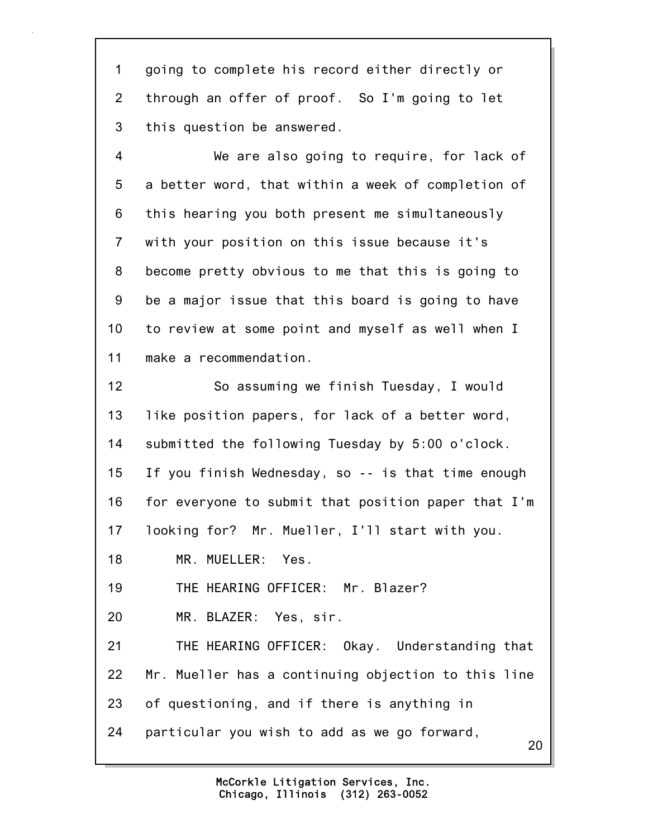1 going to complete his record either directly or 2 through an offer of proof. So I'm going to let 3 this question be answered.

4 We are also going to require, for lack of 5 a better word, that within a week of completion of 6 this hearing you both present me simultaneously 7 with your position on this issue because it's 8 become pretty obvious to me that this is going to 9 be a major issue that this board is going to have 10 to review at some point and myself as well when I 11 make a recommendation.

20 12 So assuming we finish Tuesday, I would 13 like position papers, for lack of a better word, 14 submitted the following Tuesday by 5:00 o'clock. 15 If you finish Wednesday, so -- is that time enough 16 for everyone to submit that position paper that I'm 17 looking for? Mr. Mueller, I'll start with you. 18 MR. MUELLER: Yes. 19 THE HEARING OFFICER: Mr. Blazer? 20 MR. BLAZER: Yes, sir. 21 THE HEARING OFFICER: Okay. Understanding that 22 Mr. Mueller has a continuing objection to this line 23 of questioning, and if there is anything in 24 particular you wish to add as we go forward,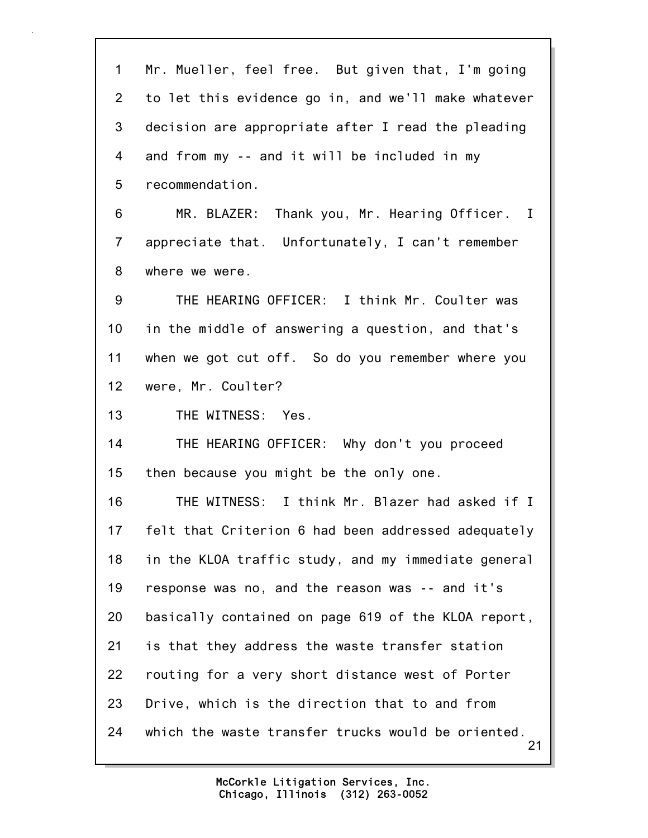21 1 Mr. Mueller, feel free. But given that, I'm going 2 to let this evidence go in, and we'll make whatever 3 decision are appropriate after I read the pleading 4 and from my -- and it will be included in my 5 recommendation. 6 MR. BLAZER: Thank you, Mr. Hearing Officer. I 7 appreciate that. Unfortunately, I can't remember 8 where we were. 9 THE HEARING OFFICER: I think Mr. Coulter was 10 in the middle of answering a question, and that's 11 when we got cut off. So do you remember where you 12 were, Mr. Coulter? 13 THE WITNESS: Yes. 14 THE HEARING OFFICER: Why don't you proceed 15 then because you might be the only one. 16 THE WITNESS: I think Mr. Blazer had asked if I 17 felt that Criterion 6 had been addressed adequately 18 in the KLOA traffic study, and my immediate general 19 response was no, and the reason was -- and it's 20 basically contained on page 619 of the KLOA report, 21 is that they address the waste transfer station 22 routing for a very short distance west of Porter 23 Drive, which is the direction that to and from 24 which the waste transfer trucks would be oriented.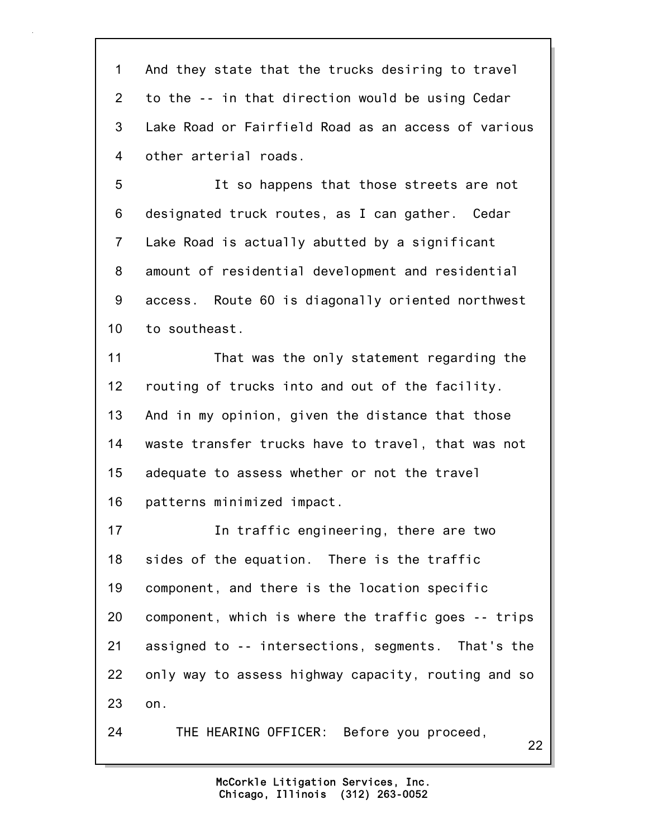1 And they state that the trucks desiring to travel 2 to the -- in that direction would be using Cedar 3 Lake Road or Fairfield Road as an access of various 4 other arterial roads.

5 It so happens that those streets are not 6 designated truck routes, as I can gather. Cedar 7 Lake Road is actually abutted by a significant 8 amount of residential development and residential 9 access. Route 60 is diagonally oriented northwest 10 to southeast.

11 That was the only statement regarding the 12 routing of trucks into and out of the facility. 13 And in my opinion, given the distance that those 14 waste transfer trucks have to travel, that was not 15 adequate to assess whether or not the travel 16 patterns minimized impact.

17 In traffic engineering, there are two 18 sides of the equation. There is the traffic 19 component, and there is the location specific 20 component, which is where the traffic goes -- trips 21 assigned to -- intersections, segments. That's the 22 only way to assess highway capacity, routing and so 23 on.

24 THE HEARING OFFICER: Before you proceed,

22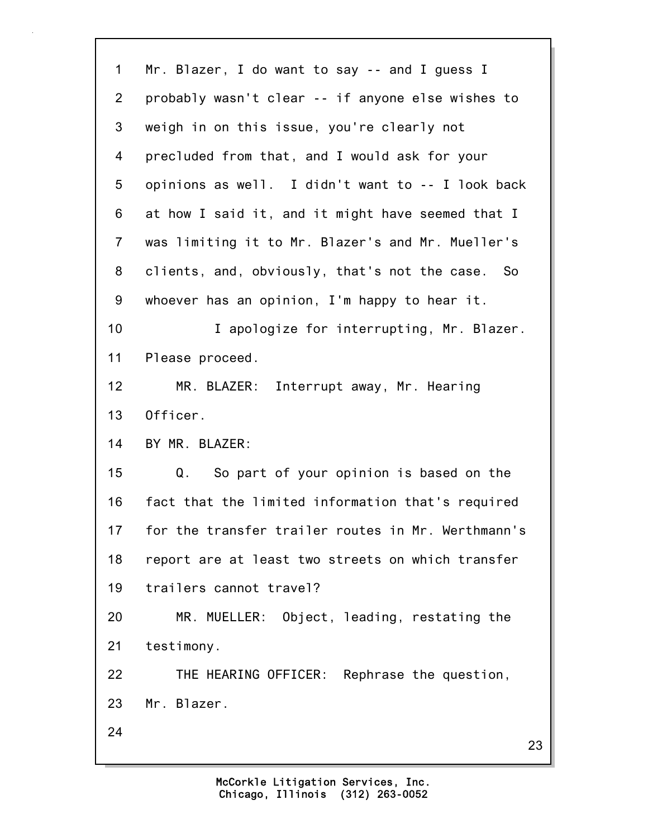23 1 Mr. Blazer, I do want to say -- and I guess I 2 probably wasn't clear -- if anyone else wishes to 3 weigh in on this issue, you're clearly not 4 precluded from that, and I would ask for your 5 opinions as well. I didn't want to -- I look back 6 at how I said it, and it might have seemed that I 7 was limiting it to Mr. Blazer's and Mr. Mueller's 8 clients, and, obviously, that's not the case. So 9 whoever has an opinion, I'm happy to hear it. 10 **I** apologize for interrupting, Mr. Blazer. 11 Please proceed. 12 MR. BLAZER: Interrupt away, Mr. Hearing 13 Officer. 14 BY MR. BLAZER: 15 Q. So part of your opinion is based on the 16 fact that the limited information that's required 17 for the transfer trailer routes in Mr. Werthmann's 18 report are at least two streets on which transfer 19 trailers cannot travel? 20 MR. MUELLER: Object, leading, restating the 21 testimony. 22 THE HEARING OFFICER: Rephrase the question, 23 Mr. Blazer. 24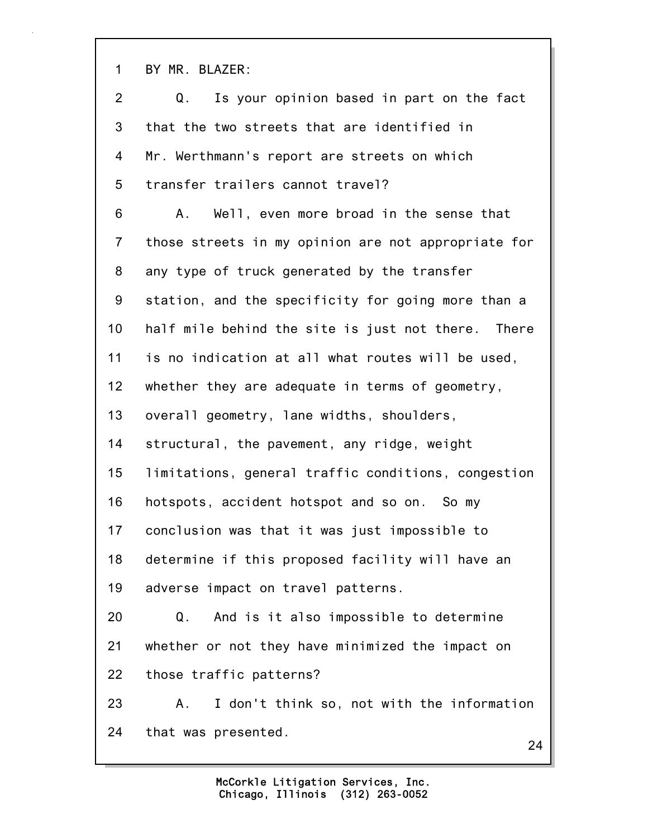1 BY MR. BLAZER:

24 2 Q. Is your opinion based in part on the fact 3 that the two streets that are identified in 4 Mr. Werthmann's report are streets on which 5 transfer trailers cannot travel? 6 A. Well, even more broad in the sense that 7 those streets in my opinion are not appropriate for 8 any type of truck generated by the transfer 9 station, and the specificity for going more than a 10 half mile behind the site is just not there. There 11 is no indication at all what routes will be used, 12 whether they are adequate in terms of geometry, 13 overall geometry, lane widths, shoulders, 14 structural, the pavement, any ridge, weight 15 limitations, general traffic conditions, congestion 16 hotspots, accident hotspot and so on. So my 17 conclusion was that it was just impossible to 18 determine if this proposed facility will have an 19 adverse impact on travel patterns. 20 Q. And is it also impossible to determine 21 whether or not they have minimized the impact on 22 those traffic patterns? 23 A. I don't think so, not with the information 24 that was presented.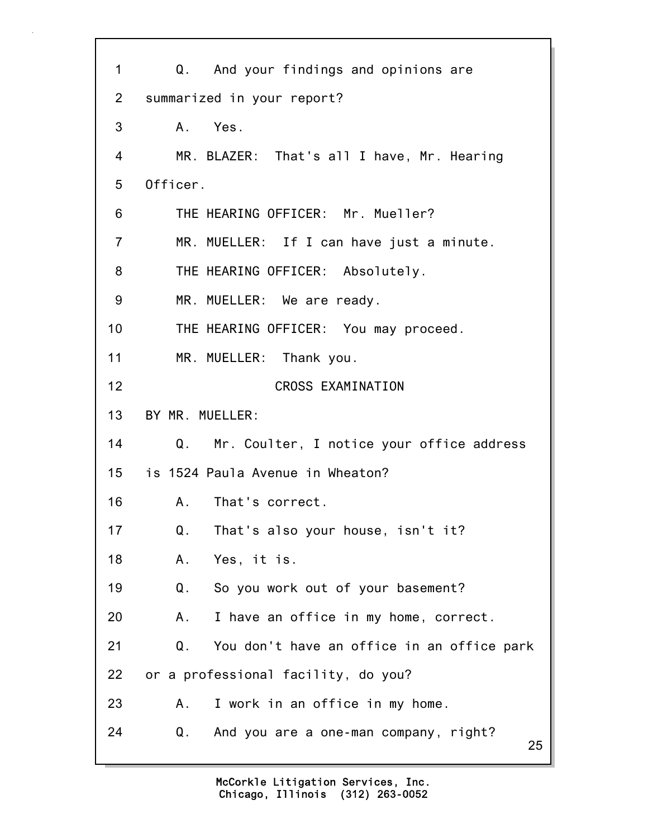25 1 Q. And your findings and opinions are 2 summarized in your report? 3 A. Yes. 4 MR. BLAZER: That's all I have, Mr. Hearing 5 Officer. 6 THE HEARING OFFICER: Mr. Mueller? 7 MR. MUELLER: If I can have just a minute. 8 THE HEARING OFFICER: Absolutely. 9 MR. MUELLER: We are ready. 10 THE HEARING OFFICER: You may proceed. 11 MR. MUELLER: Thank you. 12 CROSS EXAMINATION 13 BY MR. MUELLER: 14 Q. Mr. Coulter, I notice your office address 15 is 1524 Paula Avenue in Wheaton? 16 A. That's correct. 17 Q. That's also your house, isn't it? 18 A. Yes, it is. 19 Q. So you work out of your basement? 20 A. I have an office in my home, correct. 21 Q. You don't have an office in an office park 22 or a professional facility, do you? 23 A. I work in an office in my home. 24 Q. And you are a one-man company, right?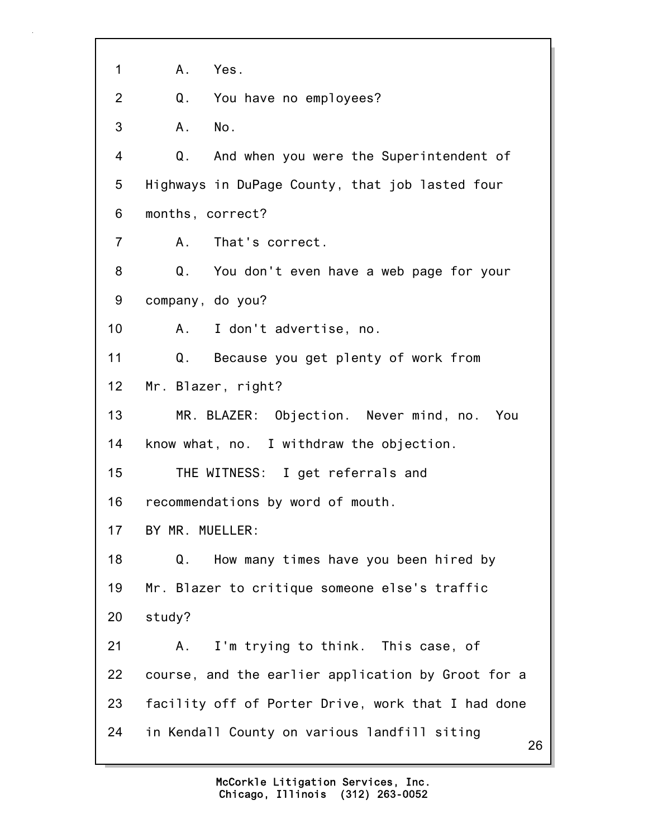| 1              | Α.<br>Yes.                                         |
|----------------|----------------------------------------------------|
| $\overline{2}$ | You have no employees?<br>Q.                       |
| 3              | No.<br>A.                                          |
| 4              | And when you were the Superintendent of<br>Q.      |
| 5              | Highways in DuPage County, that job lasted four    |
| 6              | months, correct?                                   |
| $\overline{7}$ | A. That's correct.                                 |
| 8              | Q. You don't even have a web page for your         |
| 9              | company, do you?                                   |
| 10             | I don't advertise, no.<br>A.,                      |
| 11             | Because you get plenty of work from<br>Q.          |
| 12             | Mr. Blazer, right?                                 |
| 13             | MR. BLAZER: Objection. Never mind, no. You         |
| 14             | know what, no. I withdraw the objection.           |
| 15             | THE WITNESS: I get referrals and                   |
| 16             | recommendations by word of mouth.                  |
| 17             | BY MR. MUELLER:                                    |
| 18             | How many times have you been hired by<br>Q.        |
| 19             | Mr. Blazer to critique someone else's traffic      |
| 20             | study?                                             |
| 21             | I'm trying to think. This case, of<br>Α.           |
| 22             | course, and the earlier application by Groot for a |
| 23             | facility off of Porter Drive, work that I had done |
| 24             | in Kendall County on various landfill siting<br>26 |
|                |                                                    |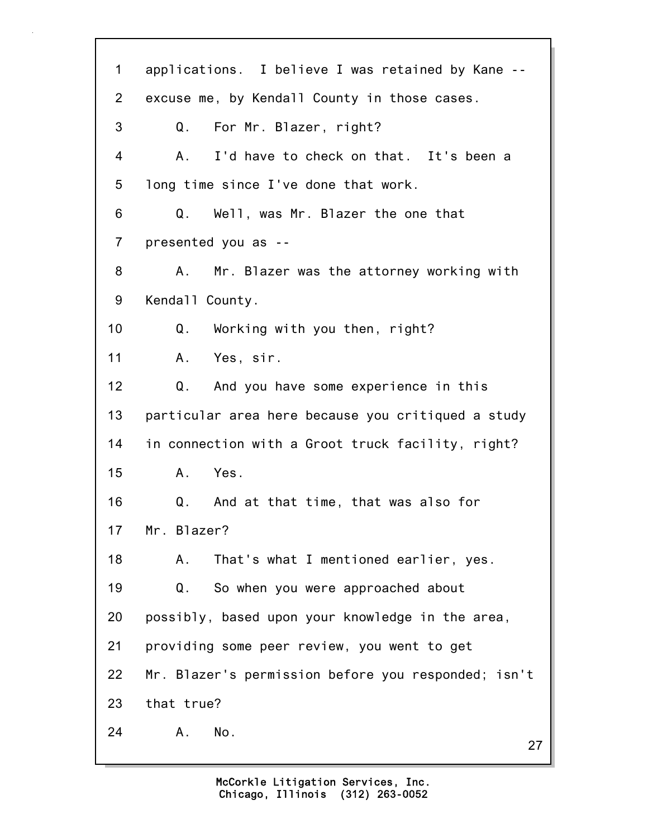27 1 applications. I believe I was retained by Kane -- 2 excuse me, by Kendall County in those cases. 3 Q. For Mr. Blazer, right? 4 A. I'd have to check on that. It's been a 5 long time since I've done that work. 6 Q. Well, was Mr. Blazer the one that 7 presented you as -- 8 A. Mr. Blazer was the attorney working with 9 Kendall County. 10 Q. Working with you then, right? 11 A. Yes, sir. 12 Q. And you have some experience in this 13 particular area here because you critiqued a study 14 in connection with a Groot truck facility, right? 15 A. Yes. 16 Q. And at that time, that was also for 17 Mr. Blazer? 18 A. That's what I mentioned earlier, yes. 19 Q. So when you were approached about 20 possibly, based upon your knowledge in the area, 21 providing some peer review, you went to get 22 Mr. Blazer's permission before you responded; isn't 23 that true? 24 A. No.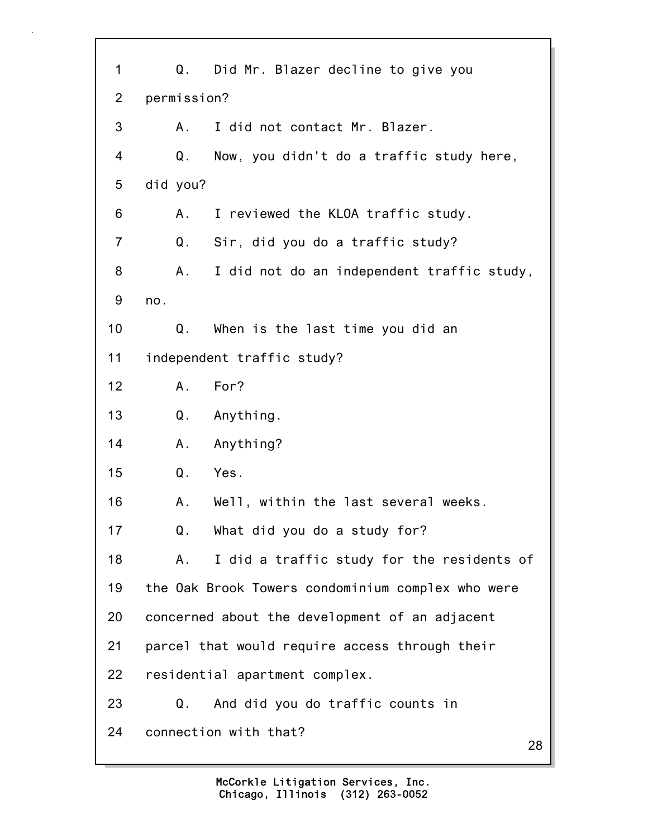28 1 Q. Did Mr. Blazer decline to give you 2 permission? 3 A. I did not contact Mr. Blazer. 4 Q. Now, you didn't do a traffic study here, 5 did you? 6 A. I reviewed the KLOA traffic study. 7 Q. Sir, did you do a traffic study? 8 A. I did not do an independent traffic study, 9 no. 10 Q. When is the last time you did an 11 independent traffic study? 12 A. For? 13 Q. Anything. 14 A. Anything? 15 Q. Yes. 16 A. Well, within the last several weeks. 17 Q. What did you do a study for? 18 A. I did a traffic study for the residents of 19 the Oak Brook Towers condominium complex who were 20 concerned about the development of an adjacent 21 parcel that would require access through their 22 residential apartment complex. 23 Q. And did you do traffic counts in 24 connection with that?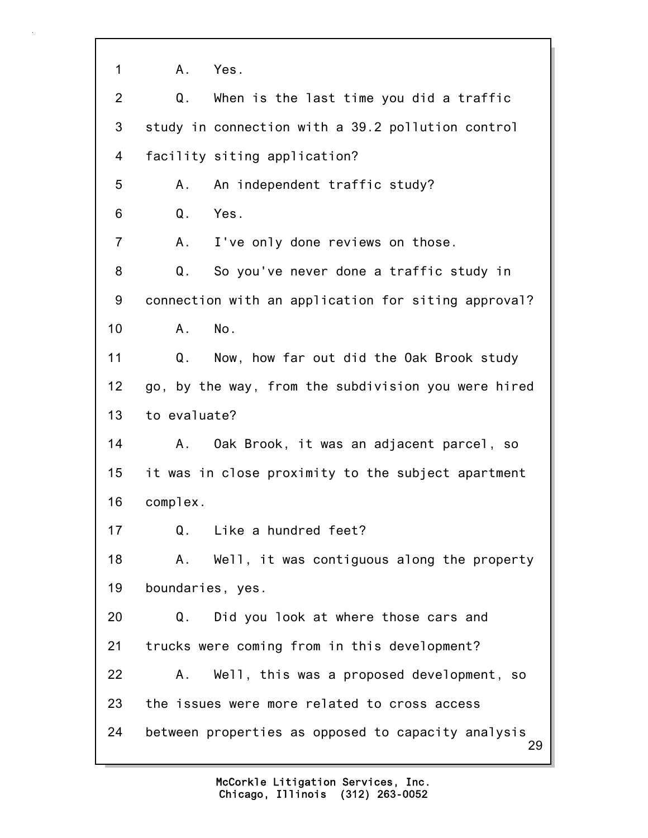1 A. Yes.

| $\overline{2}$ | When is the last time you did a traffic<br>Q.            |
|----------------|----------------------------------------------------------|
| 3              | study in connection with a 39.2 pollution control        |
| 4              | facility siting application?                             |
| 5              | An independent traffic study?<br>А.                      |
| 6              | Q.<br>Yes.                                               |
| $\overline{7}$ | I've only done reviews on those.<br>Α.                   |
| 8              | Q.<br>So you've never done a traffic study in            |
| 9              | connection with an application for siting approval?      |
| 10             | No.<br>Α.                                                |
| 11             | Q. Now, how far out did the Oak Brook study              |
| 12             | go, by the way, from the subdivision you were hired      |
| 13             | to evaluate?                                             |
| 14             | Oak Brook, it was an adjacent parcel, so<br>А.           |
| 15             | it was in close proximity to the subject apartment       |
| 16             | complex.                                                 |
| 17             | Like a hundred feet?<br>Q.                               |
| 18             | Well, it was contiguous along the property<br>Α.         |
| 19             | boundaries, yes.                                         |
| 20             | Did you look at where those cars and<br>Q.               |
| 21             | trucks were coming from in this development?             |
| 22             | Well, this was a proposed development, so<br>А.          |
| 23             | the issues were more related to cross access             |
| 24             | between properties as opposed to capacity analysis<br>29 |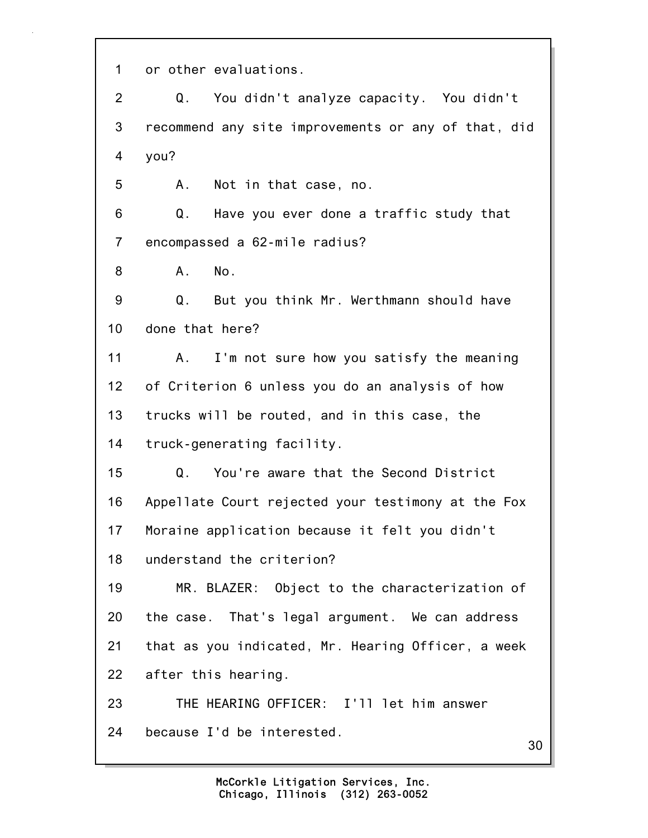1 or other evaluations.

2 Q. You didn't analyze capacity. You didn't 3 recommend any site improvements or any of that, did 4 you?

5 A. Not in that case, no.

6 Q. Have you ever done a traffic study that 7 encompassed a 62-mile radius?

8 A. No.

9 Q. But you think Mr. Werthmann should have 10 done that here?

11 A. I'm not sure how you satisfy the meaning 12 of Criterion 6 unless you do an analysis of how 13 trucks will be routed, and in this case, the 14 truck-generating facility.

15 Q. You're aware that the Second District 16 Appellate Court rejected your testimony at the Fox 17 Moraine application because it felt you didn't 18 understand the criterion?

19 MR. BLAZER: Object to the characterization of 20 the case. That's legal argument. We can address 21 that as you indicated, Mr. Hearing Officer, a week 22 after this hearing.

23 THE HEARING OFFICER: I'll let him answer 24 because I'd be interested.

30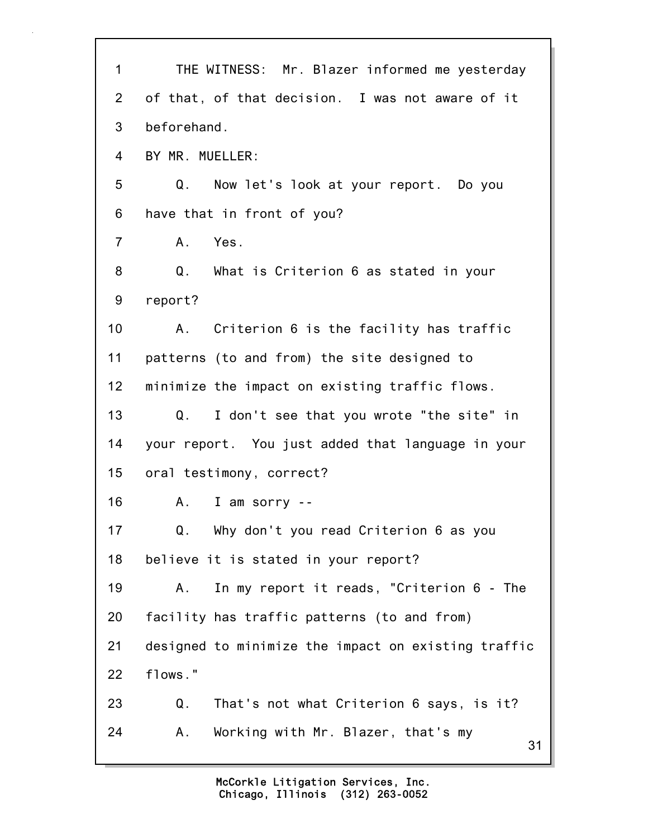| of that, of that decision. I was not aware of it<br>$\overline{2}$<br>beforehand.<br>3<br>BY MR. MUELLER:<br>$\overline{4}$<br>5<br>Now let's look at your report. Do you<br>Q.<br>have that in front of you?<br>6<br>Yes.<br>$\overline{7}$<br>A.<br>Q. What is Criterion 6 as stated in your<br>8<br>9<br>report?<br>10<br>Criterion 6 is the facility has traffic<br>$A_{\cdot}$<br>11<br>patterns (to and from) the site designed to<br>minimize the impact on existing traffic flows.<br>12<br>13<br>I don't see that you wrote "the site" in<br>Q.<br>your report. You just added that language in your<br>14<br>15<br>oral testimony, correct?<br>16<br>I am sorry --<br>А.<br>Why don't you read Criterion 6 as you<br>17<br>Q. |
|-----------------------------------------------------------------------------------------------------------------------------------------------------------------------------------------------------------------------------------------------------------------------------------------------------------------------------------------------------------------------------------------------------------------------------------------------------------------------------------------------------------------------------------------------------------------------------------------------------------------------------------------------------------------------------------------------------------------------------------------|
|                                                                                                                                                                                                                                                                                                                                                                                                                                                                                                                                                                                                                                                                                                                                         |
|                                                                                                                                                                                                                                                                                                                                                                                                                                                                                                                                                                                                                                                                                                                                         |
|                                                                                                                                                                                                                                                                                                                                                                                                                                                                                                                                                                                                                                                                                                                                         |
|                                                                                                                                                                                                                                                                                                                                                                                                                                                                                                                                                                                                                                                                                                                                         |
|                                                                                                                                                                                                                                                                                                                                                                                                                                                                                                                                                                                                                                                                                                                                         |
|                                                                                                                                                                                                                                                                                                                                                                                                                                                                                                                                                                                                                                                                                                                                         |
|                                                                                                                                                                                                                                                                                                                                                                                                                                                                                                                                                                                                                                                                                                                                         |
|                                                                                                                                                                                                                                                                                                                                                                                                                                                                                                                                                                                                                                                                                                                                         |
|                                                                                                                                                                                                                                                                                                                                                                                                                                                                                                                                                                                                                                                                                                                                         |
|                                                                                                                                                                                                                                                                                                                                                                                                                                                                                                                                                                                                                                                                                                                                         |
|                                                                                                                                                                                                                                                                                                                                                                                                                                                                                                                                                                                                                                                                                                                                         |
|                                                                                                                                                                                                                                                                                                                                                                                                                                                                                                                                                                                                                                                                                                                                         |
|                                                                                                                                                                                                                                                                                                                                                                                                                                                                                                                                                                                                                                                                                                                                         |
|                                                                                                                                                                                                                                                                                                                                                                                                                                                                                                                                                                                                                                                                                                                                         |
|                                                                                                                                                                                                                                                                                                                                                                                                                                                                                                                                                                                                                                                                                                                                         |
|                                                                                                                                                                                                                                                                                                                                                                                                                                                                                                                                                                                                                                                                                                                                         |
| 18<br>believe it is stated in your report?                                                                                                                                                                                                                                                                                                                                                                                                                                                                                                                                                                                                                                                                                              |
| 19<br>In my report it reads, "Criterion 6 - The<br>Α.                                                                                                                                                                                                                                                                                                                                                                                                                                                                                                                                                                                                                                                                                   |
| 20<br>facility has traffic patterns (to and from)                                                                                                                                                                                                                                                                                                                                                                                                                                                                                                                                                                                                                                                                                       |
| designed to minimize the impact on existing traffic<br>21                                                                                                                                                                                                                                                                                                                                                                                                                                                                                                                                                                                                                                                                               |
| flows."<br>22                                                                                                                                                                                                                                                                                                                                                                                                                                                                                                                                                                                                                                                                                                                           |
| 23<br>Q.<br>That's not what Criterion 6 says, is it?                                                                                                                                                                                                                                                                                                                                                                                                                                                                                                                                                                                                                                                                                    |
| 24<br>Working with Mr. Blazer, that's my<br>Α.<br>31                                                                                                                                                                                                                                                                                                                                                                                                                                                                                                                                                                                                                                                                                    |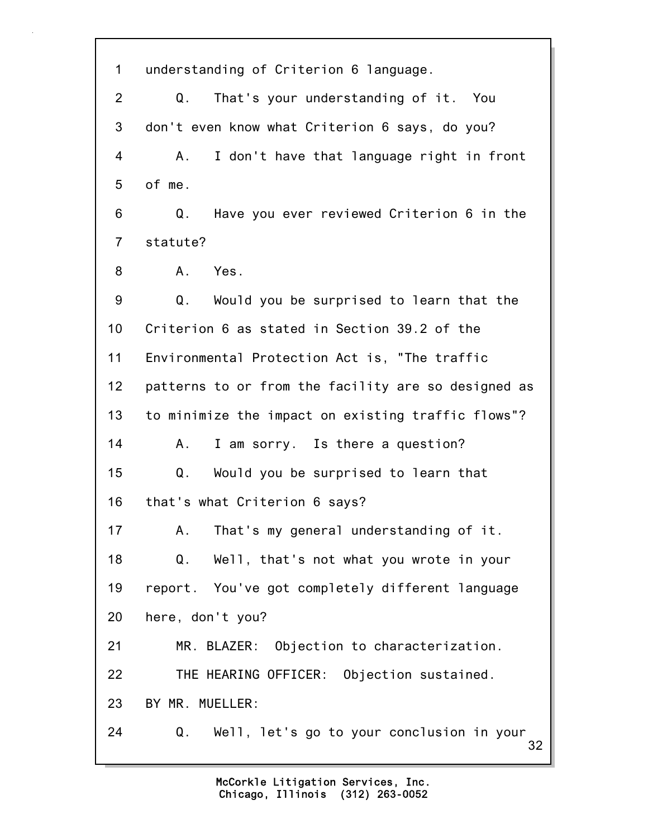32 1 understanding of Criterion 6 language. 2 Q. That's your understanding of it. You 3 don't even know what Criterion 6 says, do you? 4 A. I don't have that language right in front 5 of me. 6 Q. Have you ever reviewed Criterion 6 in the 7 statute? 8 A. Yes. 9 Q. Would you be surprised to learn that the 10 Criterion 6 as stated in Section 39.2 of the 11 Environmental Protection Act is, "The traffic 12 patterns to or from the facility are so designed as 13 to minimize the impact on existing traffic flows"? 14 A. I am sorry. Is there a question? 15 Q. Would you be surprised to learn that 16 that's what Criterion 6 says? 17 A. That's my general understanding of it. 18 Q. Well, that's not what you wrote in your 19 report. You've got completely different language 20 here, don't you? 21 MR. BLAZER: Objection to characterization. 22 THE HEARING OFFICER: Objection sustained. 23 BY MR. MUELLER: 24 Q. Well, let's go to your conclusion in your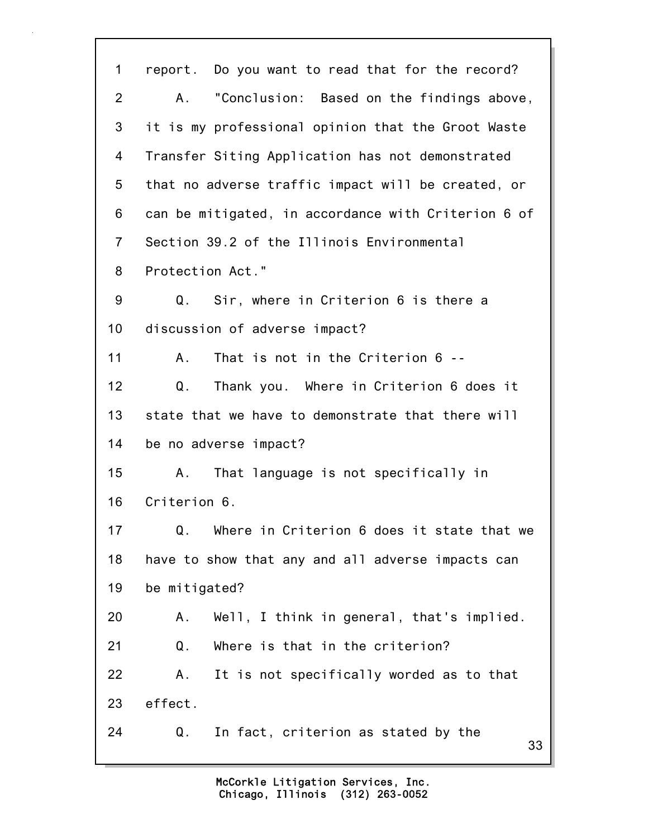| 1              | report. Do you want to read that for the record?    |
|----------------|-----------------------------------------------------|
| $\overline{2}$ | "Conclusion: Based on the findings above,<br>A.     |
| 3              | it is my professional opinion that the Groot Waste  |
| 4              | Transfer Siting Application has not demonstrated    |
| 5              | that no adverse traffic impact will be created, or  |
| 6              | can be mitigated, in accordance with Criterion 6 of |
| $\overline{7}$ | Section 39.2 of the Illinois Environmental          |
| 8              | Protection Act."                                    |
| 9              | Q.<br>Sir, where in Criterion 6 is there a          |
| 10             | discussion of adverse impact?                       |
| 11             | That is not in the Criterion 6 --<br>Α.             |
| 12             | Thank you. Where in Criterion 6 does it<br>Q.       |
| 13             | state that we have to demonstrate that there will   |
| 14             | be no adverse impact?                               |
| 15             | That language is not specifically in<br>Α.          |
| 16             | Criterion 6.                                        |
| 17             | Q. Where in Criterion 6 does it state that we       |
| 18             | have to show that any and all adverse impacts can   |
| 19             | be mitigated?                                       |
| 20             | Well, I think in general, that's implied.<br>Α.     |
| 21             | Where is that in the criterion?<br>Q.               |
| 22             | It is not specifically worded as to that<br>Α.      |
| 23             | effect.                                             |
| 24             | In fact, criterion as stated by the<br>Q.<br>33     |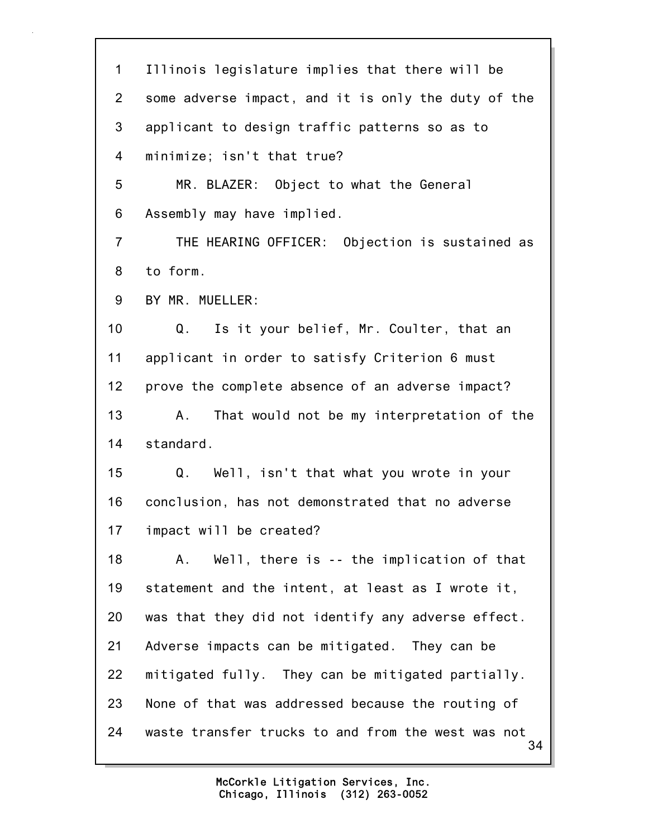34 1 Illinois legislature implies that there will be 2 some adverse impact, and it is only the duty of the 3 applicant to design traffic patterns so as to 4 minimize; isn't that true? 5 MR. BLAZER: Object to what the General 6 Assembly may have implied. 7 THE HEARING OFFICER: Objection is sustained as 8 to form. 9 BY MR. MUELLER: 10 Q. Is it your belief, Mr. Coulter, that an 11 applicant in order to satisfy Criterion 6 must 12 prove the complete absence of an adverse impact? 13 A. That would not be my interpretation of the 14 standard. 15 Q. Well, isn't that what you wrote in your 16 conclusion, has not demonstrated that no adverse 17 impact will be created? 18 A. Well, there is -- the implication of that 19 statement and the intent, at least as I wrote it, 20 was that they did not identify any adverse effect. 21 Adverse impacts can be mitigated. They can be 22 mitigated fully. They can be mitigated partially. 23 None of that was addressed because the routing of 24 waste transfer trucks to and from the west was not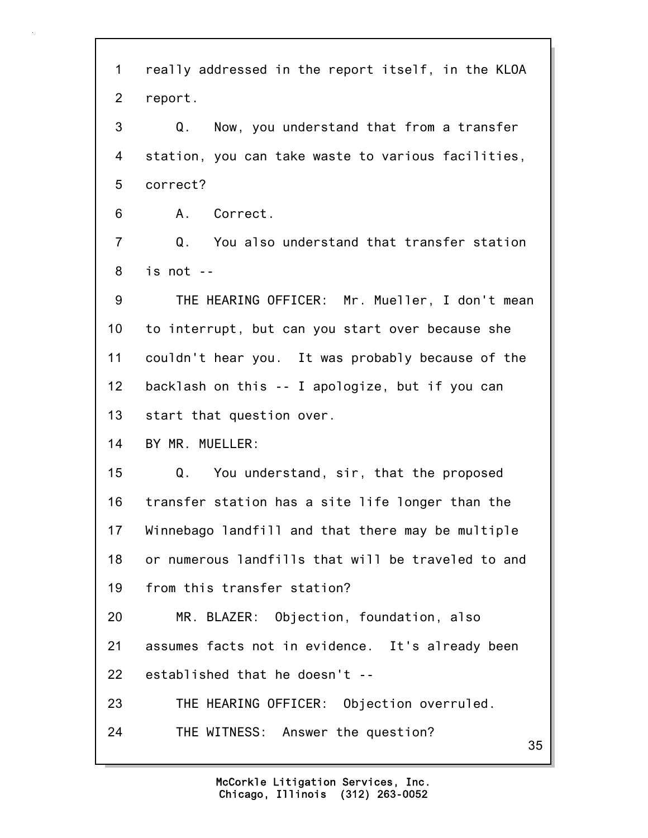35 1 really addressed in the report itself, in the KLOA 2 report. 3 Q. Now, you understand that from a transfer 4 station, you can take waste to various facilities, 5 correct? 6 A. Correct. 7 Q. You also understand that transfer station 8 is not -- 9 THE HEARING OFFICER: Mr. Mueller, I don't mean 10 to interrupt, but can you start over because she 11 couldn't hear you. It was probably because of the 12 backlash on this -- I apologize, but if you can 13 start that question over. 14 BY MR. MUELLER: 15 Q. You understand, sir, that the proposed 16 transfer station has a site life longer than the 17 Winnebago landfill and that there may be multiple 18 or numerous landfills that will be traveled to and 19 from this transfer station? 20 MR. BLAZER: Objection, foundation, also 21 assumes facts not in evidence. It's already been 22 established that he doesn't -- 23 THE HEARING OFFICER: Objection overruled. 24 THE WITNESS: Answer the question?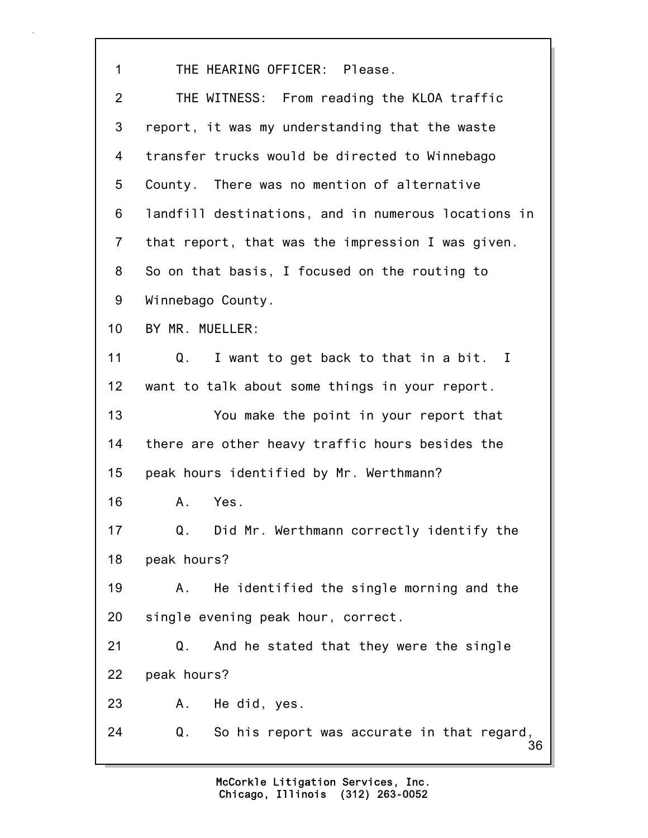36 1 THE HEARING OFFICER: Please. 2 THE WITNESS: From reading the KLOA traffic 3 report, it was my understanding that the waste 4 transfer trucks would be directed to Winnebago 5 County. There was no mention of alternative 6 landfill destinations, and in numerous locations in 7 that report, that was the impression I was given. 8 So on that basis, I focused on the routing to 9 Winnebago County. 10 BY MR. MUELLER: 11 Q. I want to get back to that in a bit. I 12 want to talk about some things in your report. 13 You make the point in your report that 14 there are other heavy traffic hours besides the 15 peak hours identified by Mr. Werthmann? 16 A. Yes. 17 Q. Did Mr. Werthmann correctly identify the 18 peak hours? 19 A. He identified the single morning and the 20 single evening peak hour, correct. 21 Q. And he stated that they were the single 22 peak hours? 23 A. He did, yes. 24 Q. So his report was accurate in that regard,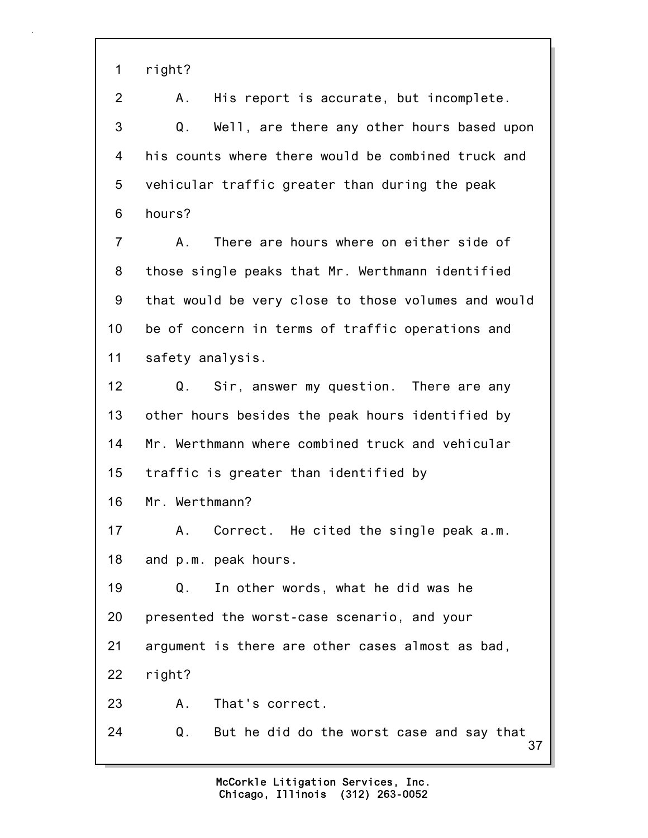1 right?

2 A. His report is accurate, but incomplete. 3 Q. Well, are there any other hours based upon 4 his counts where there would be combined truck and 5 vehicular traffic greater than during the peak 6 hours? 7 A. There are hours where on either side of 8 those single peaks that Mr. Werthmann identified 9 that would be very close to those volumes and would 10 be of concern in terms of traffic operations and 11 safety analysis. 12 Q. Sir, answer my question. There are any 13 other hours besides the peak hours identified by 14 Mr. Werthmann where combined truck and vehicular 15 traffic is greater than identified by 16 Mr. Werthmann? 17 A. Correct. He cited the single peak a.m.

18 and p.m. peak hours.

19 Q. In other words, what he did was he 20 presented the worst-case scenario, and your 21 argument is there are other cases almost as bad, 22 right? 23 A. That's correct.

37 24 Q. But he did do the worst case and say that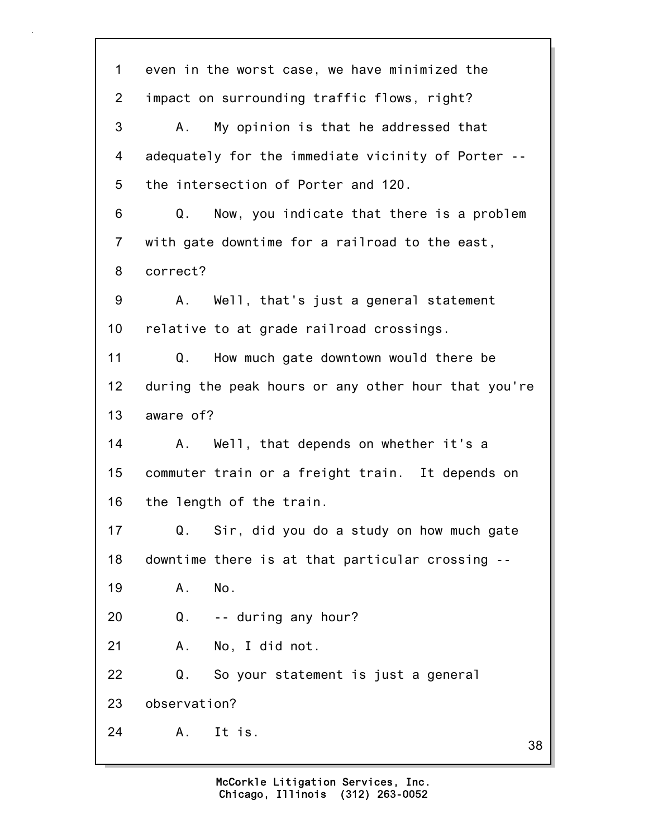38 1 even in the worst case, we have minimized the 2 impact on surrounding traffic flows, right? 3 A. My opinion is that he addressed that 4 adequately for the immediate vicinity of Porter -- 5 the intersection of Porter and 120. 6 Q. Now, you indicate that there is a problem 7 with gate downtime for a railroad to the east, 8 correct? 9 A. Well, that's just a general statement 10 relative to at grade railroad crossings. 11 Q. How much gate downtown would there be 12 during the peak hours or any other hour that you're 13 aware of? 14 A. Well, that depends on whether it's a 15 commuter train or a freight train. It depends on 16 the length of the train. 17 Q. Sir, did you do a study on how much gate 18 downtime there is at that particular crossing -- 19 A. No. 20 Q. -- during any hour? 21 A. No, I did not. 22 Q. So your statement is just a general 23 observation? 24 A. It is.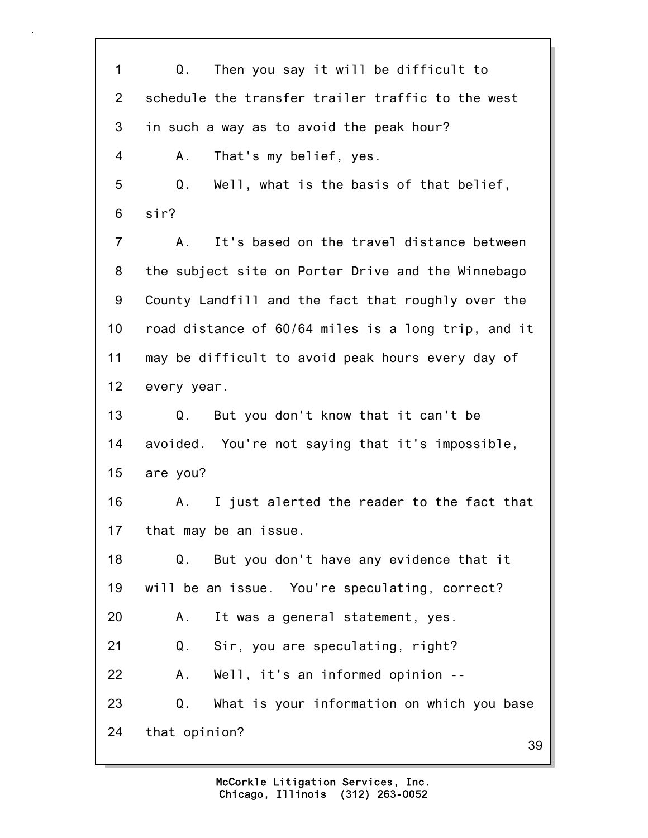39 1 Q. Then you say it will be difficult to 2 schedule the transfer trailer traffic to the west 3 in such a way as to avoid the peak hour? 4 A. That's my belief, yes. 5 Q. Well, what is the basis of that belief, 6 sir? 7 A. It's based on the travel distance between 8 the subject site on Porter Drive and the Winnebago 9 County Landfill and the fact that roughly over the 10 road distance of 60/64 miles is a long trip, and it 11 may be difficult to avoid peak hours every day of 12 every year. 13 Q. But you don't know that it can't be 14 avoided. You're not saying that it's impossible, 15 are you? 16 A. I just alerted the reader to the fact that 17 that may be an issue. 18 Q. But you don't have any evidence that it 19 will be an issue. You're speculating, correct? 20 A. It was a general statement, yes. 21 Q. Sir, you are speculating, right? 22 A. Well, it's an informed opinion -- 23 Q. What is your information on which you base 24 that opinion?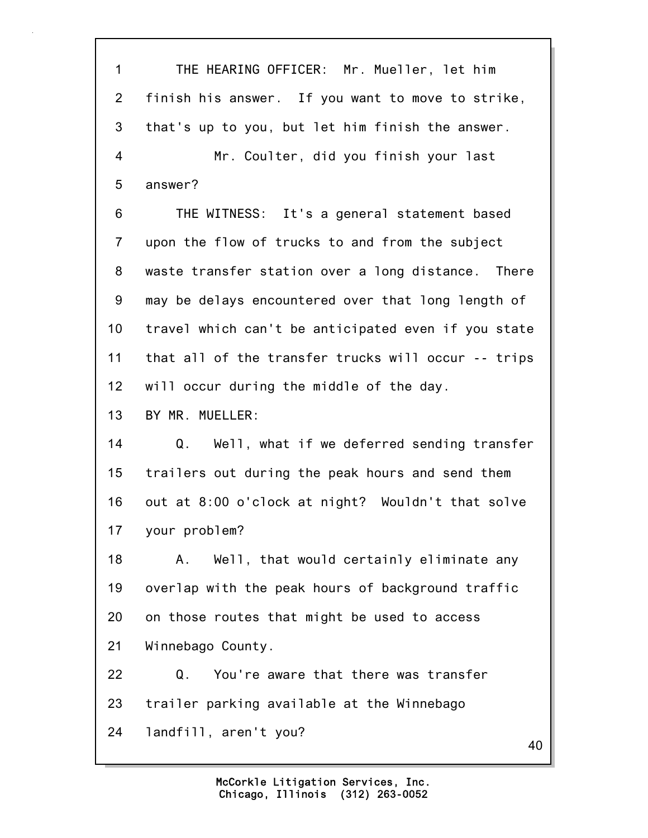1 THE HEARING OFFICER: Mr. Mueller, let him 2 finish his answer. If you want to move to strike, 3 that's up to you, but let him finish the answer. 4 Mr. Coulter, did you finish your last 5 answer? 6 THE WITNESS: It's a general statement based 7 upon the flow of trucks to and from the subject 8 waste transfer station over a long distance. There 9 may be delays encountered over that long length of 10 travel which can't be anticipated even if you state 11 that all of the transfer trucks will occur -- trips 12 will occur during the middle of the day. 13 BY MR. MUELLER: 14 Q. Well, what if we deferred sending transfer 15 trailers out during the peak hours and send them 16 out at 8:00 o'clock at night? Wouldn't that solve 17 your problem? 18 A. Well, that would certainly eliminate any 19 overlap with the peak hours of background traffic 20 on those routes that might be used to access 21 Winnebago County. 22 Q. You're aware that there was transfer 23 trailer parking available at the Winnebago 24 landfill, aren't you?

40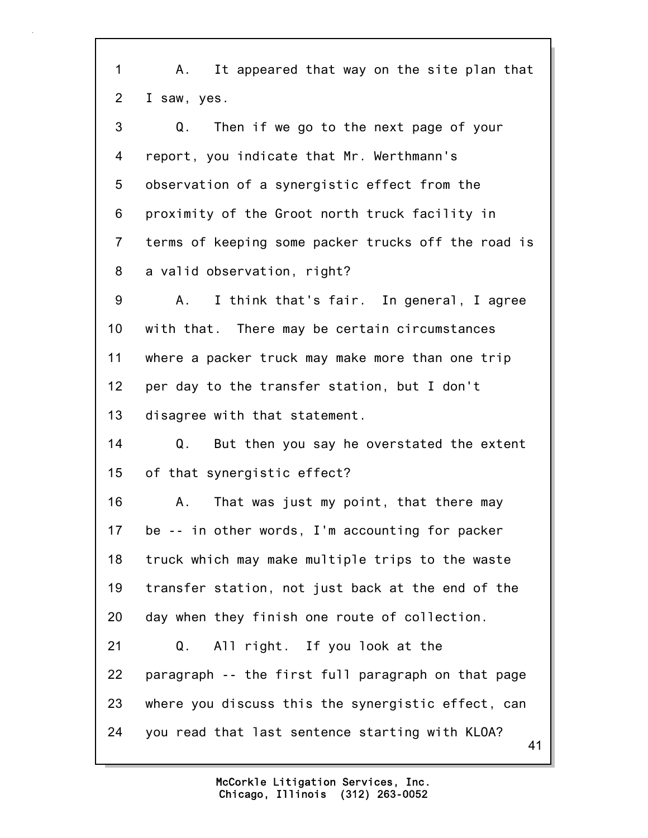41 1 A. It appeared that way on the site plan that 2 I saw, yes. 3 Q. Then if we go to the next page of your 4 report, you indicate that Mr. Werthmann's 5 observation of a synergistic effect from the 6 proximity of the Groot north truck facility in 7 terms of keeping some packer trucks off the road is 8 a valid observation, right? 9 A. I think that's fair. In general, I agree 10 with that. There may be certain circumstances 11 where a packer truck may make more than one trip 12 per day to the transfer station, but I don't 13 disagree with that statement. 14 Q. But then you say he overstated the extent 15 of that synergistic effect? 16 A. That was just my point, that there may 17 be -- in other words, I'm accounting for packer 18 truck which may make multiple trips to the waste 19 transfer station, not just back at the end of the 20 day when they finish one route of collection. 21 Q. All right. If you look at the 22 paragraph -- the first full paragraph on that page 23 where you discuss this the synergistic effect, can 24 you read that last sentence starting with KLOA?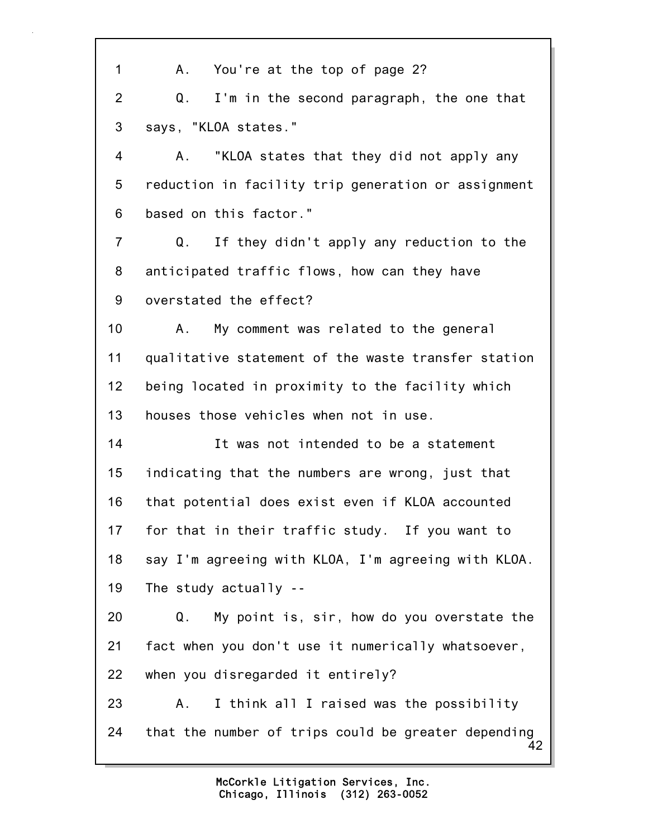42 1 A. You're at the top of page 2? 2 Q. I'm in the second paragraph, the one that 3 says, "KLOA states." 4 A. "KLOA states that they did not apply any 5 reduction in facility trip generation or assignment 6 based on this factor." 7 Q. If they didn't apply any reduction to the 8 anticipated traffic flows, how can they have 9 overstated the effect? 10 A. My comment was related to the general 11 qualitative statement of the waste transfer station 12 being located in proximity to the facility which 13 houses those vehicles when not in use. 14 It was not intended to be a statement 15 indicating that the numbers are wrong, just that 16 that potential does exist even if KLOA accounted 17 for that in their traffic study. If you want to 18 say I'm agreeing with KLOA, I'm agreeing with KLOA. 19 The study actually -- 20 Q. My point is, sir, how do you overstate the 21 fact when you don't use it numerically whatsoever, 22 when you disregarded it entirely? 23 A. I think all I raised was the possibility 24 that the number of trips could be greater depending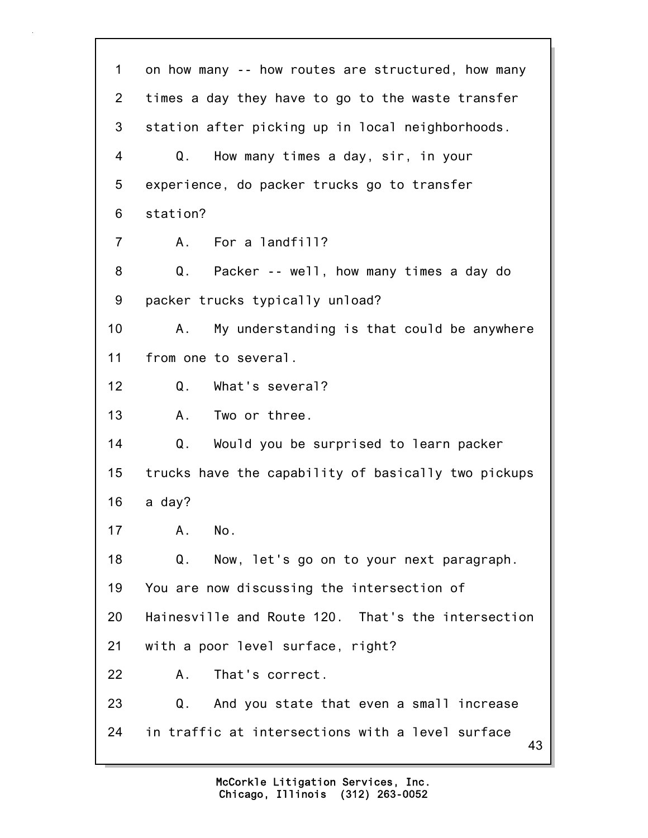43 1 on how many -- how routes are structured, how many 2 times a day they have to go to the waste transfer 3 station after picking up in local neighborhoods. 4 Q. How many times a day, sir, in your 5 experience, do packer trucks go to transfer 6 station? 7 A. For a landfill? 8 Q. Packer -- well, how many times a day do 9 packer trucks typically unload? 10 A. My understanding is that could be anywhere 11 from one to several. 12 Q. What's several? 13 A. Two or three. 14 Q. Would you be surprised to learn packer 15 trucks have the capability of basically two pickups 16 a day? 17 A. No. 18 Q. Now, let's go on to your next paragraph. 19 You are now discussing the intersection of 20 Hainesville and Route 120. That's the intersection 21 with a poor level surface, right? 22 A. That's correct. 23 Q. And you state that even a small increase 24 in traffic at intersections with a level surface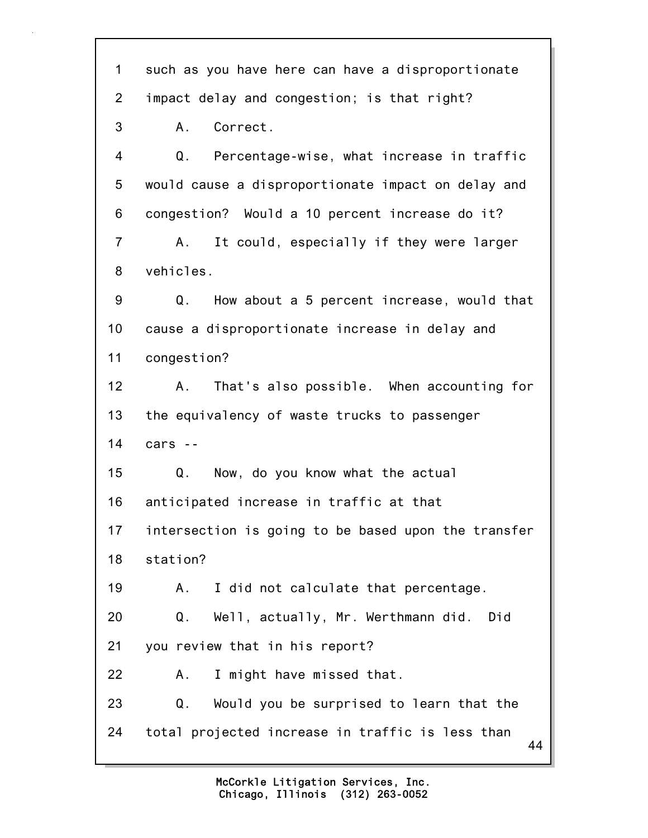44 1 such as you have here can have a disproportionate 2 impact delay and congestion; is that right? 3 A. Correct. 4 Q. Percentage-wise, what increase in traffic 5 would cause a disproportionate impact on delay and 6 congestion? Would a 10 percent increase do it? 7 A. It could, especially if they were larger 8 vehicles. 9 Q. How about a 5 percent increase, would that 10 cause a disproportionate increase in delay and 11 congestion? 12 A. That's also possible. When accounting for 13 the equivalency of waste trucks to passenger 14 cars -- 15 Q. Now, do you know what the actual 16 anticipated increase in traffic at that 17 intersection is going to be based upon the transfer 18 station? 19 A. I did not calculate that percentage. 20 Q. Well, actually, Mr. Werthmann did. Did 21 you review that in his report? 22 A. I might have missed that. 23 Q. Would you be surprised to learn that the 24 total projected increase in traffic is less than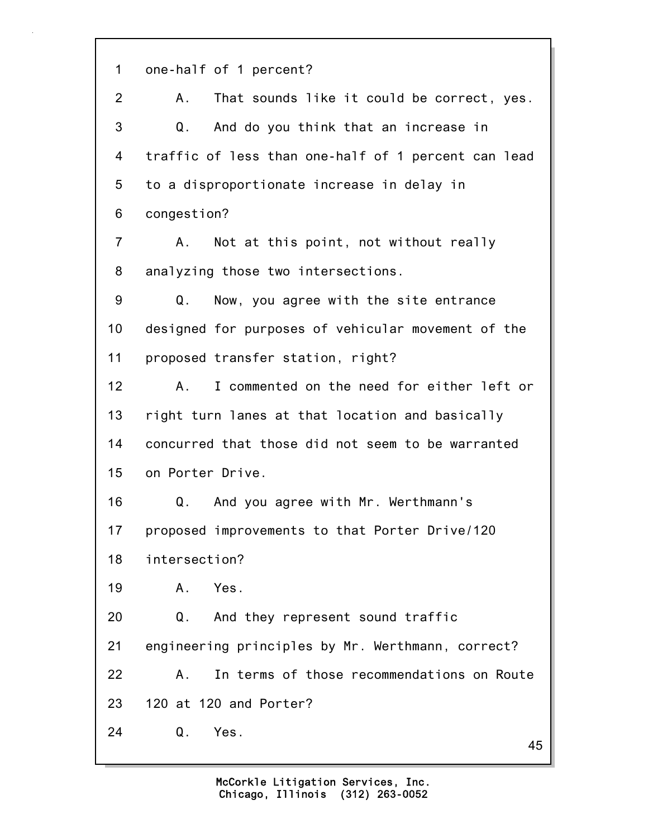45 1 one-half of 1 percent? 2 A. That sounds like it could be correct, yes. 3 Q. And do you think that an increase in 4 traffic of less than one-half of 1 percent can lead 5 to a disproportionate increase in delay in 6 congestion? 7 A. Not at this point, not without really 8 analyzing those two intersections. 9 Q. Now, you agree with the site entrance 10 designed for purposes of vehicular movement of the 11 proposed transfer station, right? 12 A. I commented on the need for either left or 13 right turn lanes at that location and basically 14 concurred that those did not seem to be warranted 15 on Porter Drive. 16 Q. And you agree with Mr. Werthmann's 17 proposed improvements to that Porter Drive/120 18 intersection? 19 A. Yes. 20 Q. And they represent sound traffic 21 engineering principles by Mr. Werthmann, correct? 22 A. In terms of those recommendations on Route 23 120 at 120 and Porter? 24 Q. Yes.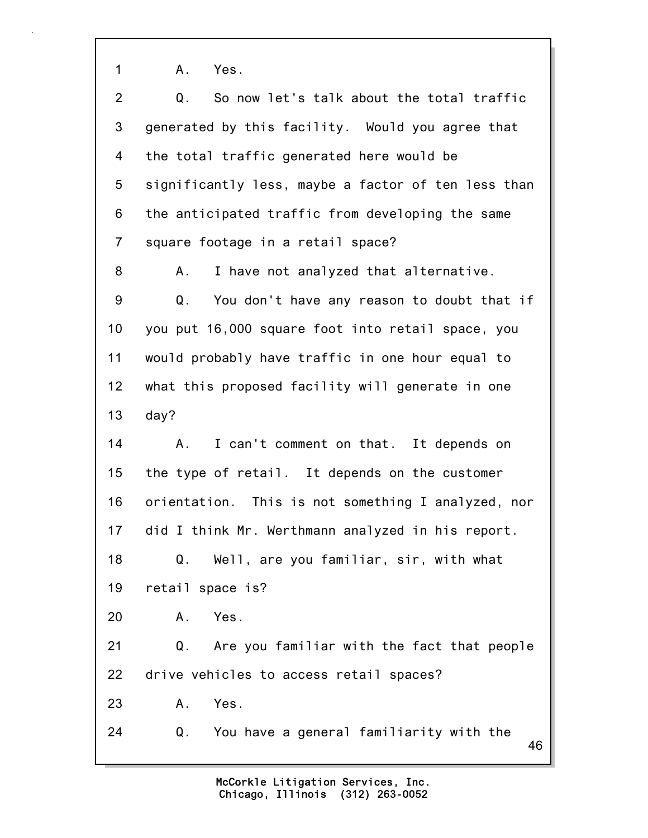1 A. Yes.

| $\overline{2}$ | So now let's talk about the total traffic<br>Q.     |
|----------------|-----------------------------------------------------|
| 3              | generated by this facility. Would you agree that    |
| 4              | the total traffic generated here would be           |
| 5              | significantly less, maybe a factor of ten less than |
| 6              | the anticipated traffic from developing the same    |
| $\overline{7}$ | square footage in a retail space?                   |
| 8              | I have not analyzed that alternative.<br>А.         |
| 9              | Q.<br>You don't have any reason to doubt that if    |
| 10             | you put 16,000 square foot into retail space, you   |
| 11             | would probably have traffic in one hour equal to    |
| 12             | what this proposed facility will generate in one    |
| 13             | day?                                                |
| 14             | I can't comment on that. It depends on<br>Α.        |
| 15             | the type of retail. It depends on the customer      |
| 16             | orientation. This is not something I analyzed, nor  |
| 17             | did I think Mr. Werthmann analyzed in his report.   |
| 18             | Q. Well, are you familiar, sir, with what           |
| 19             | retail space is?                                    |
| 20             | Yes.<br>Α.                                          |
| 21             | Q. Are you familiar with the fact that people       |
|                | drive vehicles to access retail spaces?             |
| 22             |                                                     |
| 23             | Yes.<br>Α.                                          |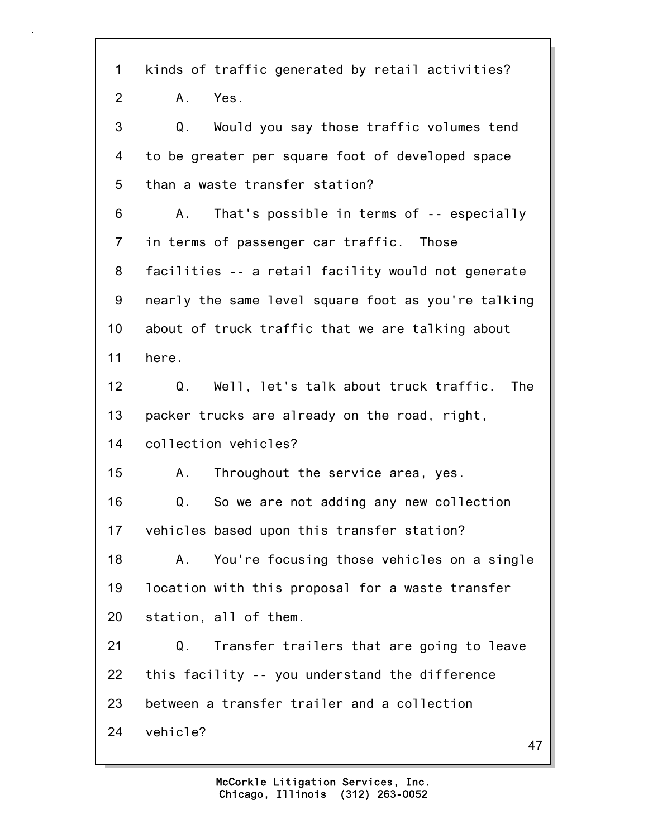47 1 kinds of traffic generated by retail activities? 2 A. Yes. 3 Q. Would you say those traffic volumes tend 4 to be greater per square foot of developed space 5 than a waste transfer station? 6 A. That's possible in terms of -- especially 7 in terms of passenger car traffic. Those 8 facilities -- a retail facility would not generate 9 nearly the same level square foot as you're talking 10 about of truck traffic that we are talking about 11 here. 12 Q. Well, let's talk about truck traffic. The 13 packer trucks are already on the road, right, 14 collection vehicles? 15 A. Throughout the service area, yes. 16 Q. So we are not adding any new collection 17 vehicles based upon this transfer station? 18 A. You're focusing those vehicles on a single 19 location with this proposal for a waste transfer 20 station, all of them. 21 Q. Transfer trailers that are going to leave 22 this facility -- you understand the difference 23 between a transfer trailer and a collection 24 vehicle?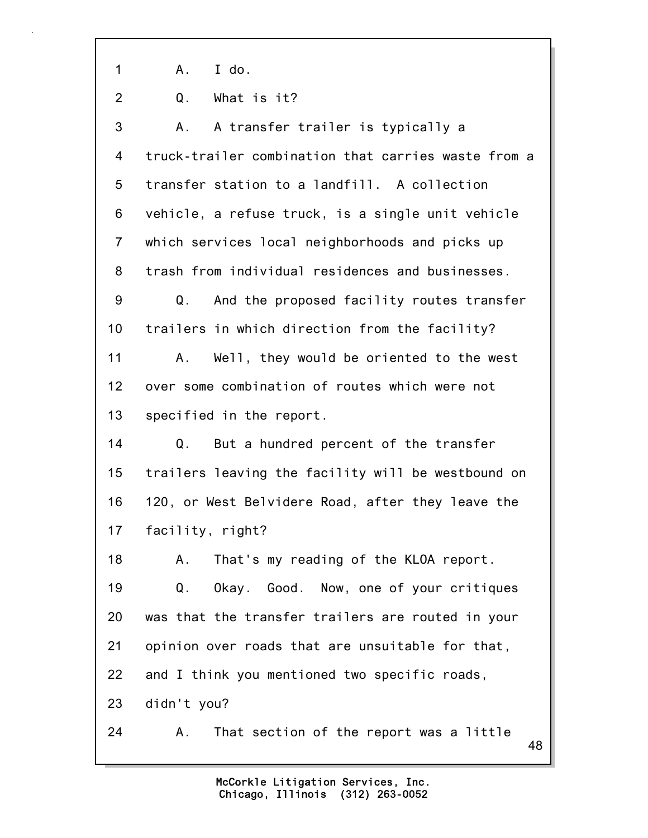1 A. I do.

2 Q. What is it?

3 A. A transfer trailer is typically a 4 truck-trailer combination that carries waste from a 5 transfer station to a landfill. A collection 6 vehicle, a refuse truck, is a single unit vehicle 7 which services local neighborhoods and picks up 8 trash from individual residences and businesses. 9 Q. And the proposed facility routes transfer 10 trailers in which direction from the facility? 11 A. Well, they would be oriented to the west 12 over some combination of routes which were not 13 specified in the report. 14 Q. But a hundred percent of the transfer 15 trailers leaving the facility will be westbound on 16 120, or West Belvidere Road, after they leave the 17 facility, right? 18 A. That's my reading of the KLOA report. 19 Q. Okay. Good. Now, one of your critiques 20 was that the transfer trailers are routed in your 21 opinion over roads that are unsuitable for that, 22 and I think you mentioned two specific roads, 23 didn't you? 24 A. That section of the report was a little

48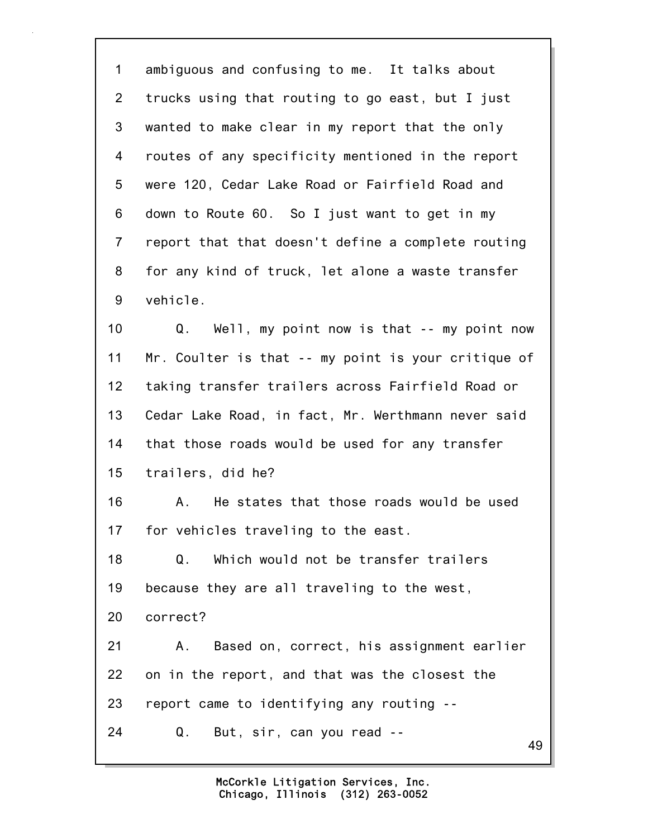1 ambiguous and confusing to me. It talks about 2 trucks using that routing to go east, but I just 3 wanted to make clear in my report that the only 4 routes of any specificity mentioned in the report 5 were 120, Cedar Lake Road or Fairfield Road and 6 down to Route 60. So I just want to get in my 7 report that that doesn't define a complete routing 8 for any kind of truck, let alone a waste transfer 9 vehicle. 10 Q. Well, my point now is that -- my point now

11 Mr. Coulter is that -- my point is your critique of 12 taking transfer trailers across Fairfield Road or 13 Cedar Lake Road, in fact, Mr. Werthmann never said 14 that those roads would be used for any transfer 15 trailers, did he?

16 A. He states that those roads would be used 17 for vehicles traveling to the east.

18 Q. Which would not be transfer trailers 19 because they are all traveling to the west, 20 correct?

21 A. Based on, correct, his assignment earlier 22 on in the report, and that was the closest the 23 report came to identifying any routing --

24 Q. But, sir, can you read --

49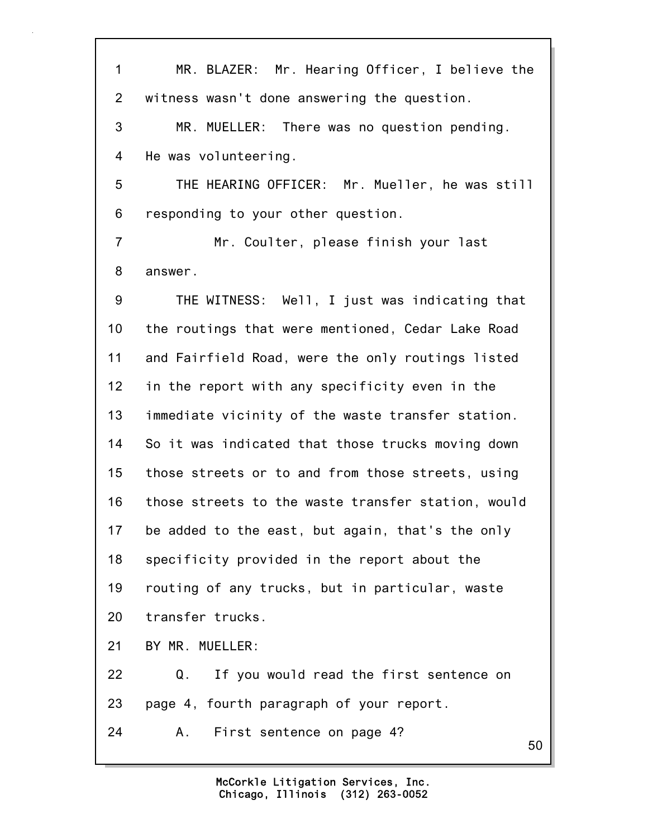50 1 MR. BLAZER: Mr. Hearing Officer, I believe the 2 witness wasn't done answering the question. 3 MR. MUELLER: There was no question pending. 4 He was volunteering. 5 THE HEARING OFFICER: Mr. Mueller, he was still 6 responding to your other question. 7 Mr. Coulter, please finish your last 8 answer. 9 THE WITNESS: Well, I just was indicating that 10 the routings that were mentioned, Cedar Lake Road 11 and Fairfield Road, were the only routings listed 12 in the report with any specificity even in the 13 immediate vicinity of the waste transfer station. 14 So it was indicated that those trucks moving down 15 those streets or to and from those streets, using 16 those streets to the waste transfer station, would 17 be added to the east, but again, that's the only 18 specificity provided in the report about the 19 routing of any trucks, but in particular, waste 20 transfer trucks. 21 BY MR. MUELLER: 22 Q. If you would read the first sentence on 23 page 4, fourth paragraph of your report. 24 A. First sentence on page 4?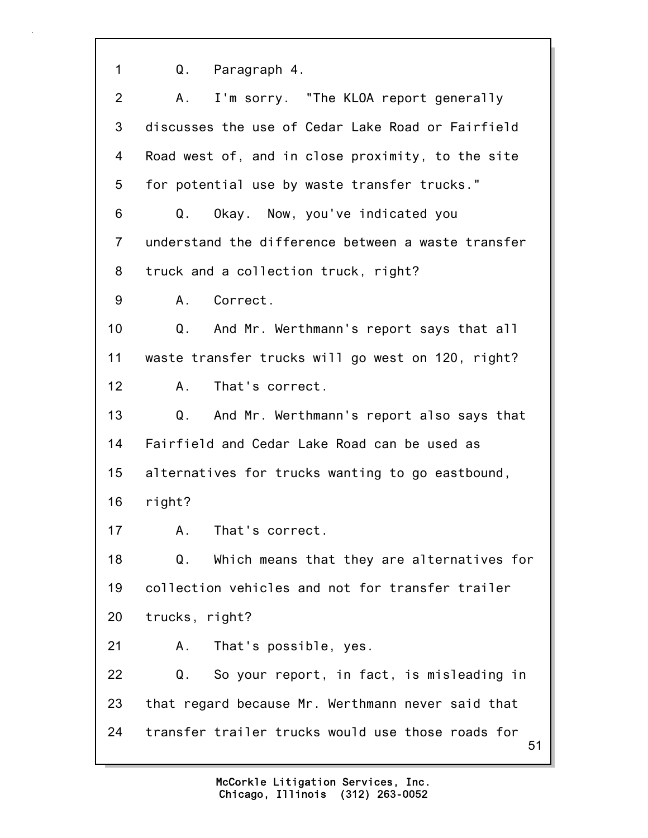1 Q. Paragraph 4.

| 2              | A. I'm sorry. "The KLOA report generally                |
|----------------|---------------------------------------------------------|
| 3              | discusses the use of Cedar Lake Road or Fairfield       |
| 4              | Road west of, and in close proximity, to the site       |
| 5              | for potential use by waste transfer trucks."            |
| 6              | Okay. Now, you've indicated you<br>Q.                   |
| $\overline{7}$ | understand the difference between a waste transfer      |
| 8              | truck and a collection truck, right?                    |
| 9              | Correct.<br>Α.                                          |
| 10             | Q.<br>And Mr. Werthmann's report says that all          |
| 11             | waste transfer trucks will go west on 120, right?       |
| 12             | That's correct.<br>A.                                   |
| 13             | Q.<br>And Mr. Werthmann's report also says that         |
| 14             | Fairfield and Cedar Lake Road can be used as            |
| 15             | alternatives for trucks wanting to go eastbound,        |
| 16             | right?                                                  |
| 17             | Α.<br>That's correct.                                   |
| 18             | Which means that they are alternatives for<br>Q.        |
| 19             | collection vehicles and not for transfer trailer        |
| 20             | trucks, right?                                          |
| 21             | That's possible, yes.<br>Α.                             |
| 22             | So your report, in fact, is misleading in<br>Q.         |
| 23             | that regard because Mr. Werthmann never said that       |
| 24             | transfer trailer trucks would use those roads for<br>51 |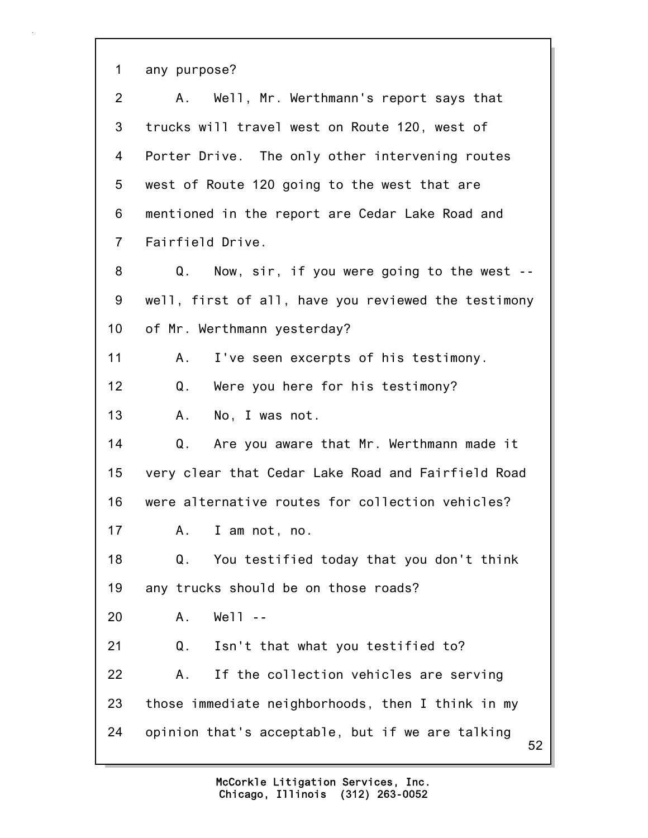52 1 any purpose? 2 A. Well, Mr. Werthmann's report says that 3 trucks will travel west on Route 120, west of 4 Porter Drive. The only other intervening routes 5 west of Route 120 going to the west that are 6 mentioned in the report are Cedar Lake Road and 7 Fairfield Drive. 8 Q. Now, sir, if you were going to the west -- 9 well, first of all, have you reviewed the testimony 10 of Mr. Werthmann yesterday? 11 A. I've seen excerpts of his testimony. 12 Q. Were you here for his testimony? 13 A. No, I was not. 14 Q. Are you aware that Mr. Werthmann made it 15 very clear that Cedar Lake Road and Fairfield Road 16 were alternative routes for collection vehicles? 17 A. I am not, no. 18 Q. You testified today that you don't think 19 any trucks should be on those roads? 20 A. Well -- 21 Q. Isn't that what you testified to? 22 A. If the collection vehicles are serving 23 those immediate neighborhoods, then I think in my 24 opinion that's acceptable, but if we are talking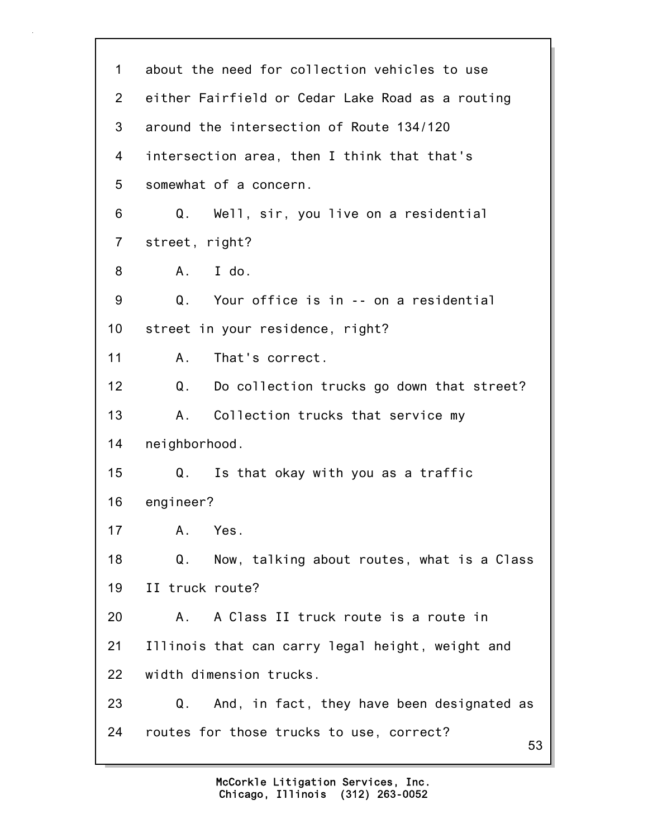| 1               | about the need for collection vehicles to use    |
|-----------------|--------------------------------------------------|
| $\overline{2}$  | either Fairfield or Cedar Lake Road as a routing |
| 3               | around the intersection of Route 134/120         |
| 4               | intersection area, then I think that that's      |
| 5               | somewhat of a concern.                           |
| 6               | Q.<br>Well, sir, you live on a residential       |
| $\overline{7}$  | street, right?                                   |
| 8               | I do.<br>A.                                      |
| 9               | Your office is in -- on a residential<br>Q.      |
| 10 <sub>1</sub> | street in your residence, right?                 |
| 11              | That's correct.<br>Α.                            |
| 12              | Do collection trucks go down that street?<br>Q.  |
| 13              | Collection trucks that service my<br>Α.          |
| 14              | neighborhood.                                    |
| 15              | Is that okay with you as a traffic<br>Q.         |
| 16              | engineer?                                        |
| 17              | Α.<br>Yes.                                       |
| 18              | Q.<br>Now, talking about routes, what is a Class |
| 19              | II truck route?                                  |
| 20              | A Class II truck route is a route in<br>A.       |
| 21              | Illinois that can carry legal height, weight and |
| 22              | width dimension trucks.                          |
| 23              | And, in fact, they have been designated as<br>Q. |
| 24              | routes for those trucks to use, correct?<br>53   |
|                 |                                                  |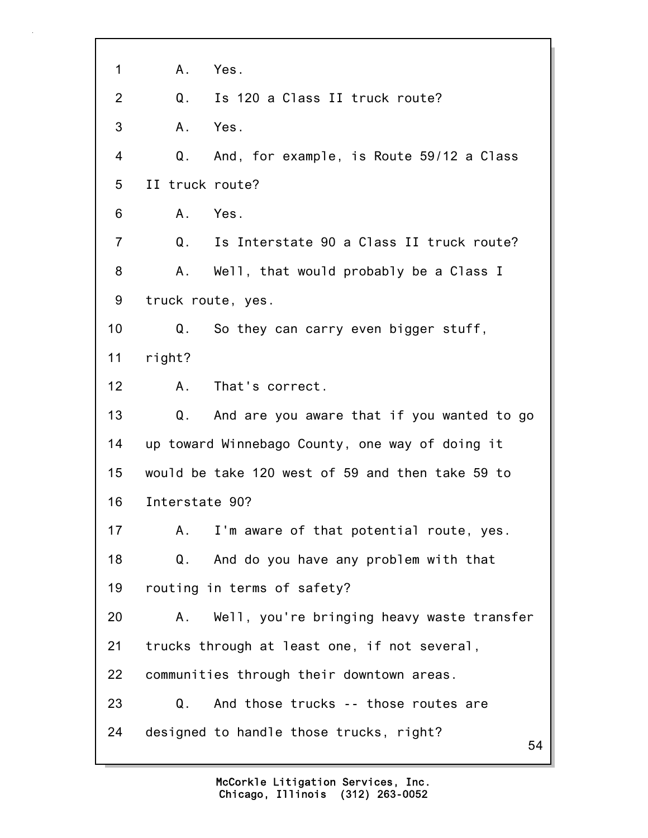| 1              | A.<br>Yes.                                       |
|----------------|--------------------------------------------------|
| $\overline{2}$ | Is 120 a Class II truck route?<br>Q.             |
| 3              | A.<br>Yes.                                       |
| $\overline{4}$ | Q. And, for example, is Route 59/12 a Class      |
| 5              | II truck route?                                  |
| 6              | Yes.<br>A.                                       |
| $\overline{7}$ | Q.<br>Is Interstate 90 a Class II truck route?   |
| 8              | A. Well, that would probably be a Class I        |
| 9              | truck route, yes.                                |
| 10             | Q.<br>So they can carry even bigger stuff,       |
| 11             | right?                                           |
| 12             | That's correct.<br>A.,                           |
| 13             | And are you aware that if you wanted to go<br>Q. |
| 14             | up toward Winnebago County, one way of doing it  |
| 15             | would be take 120 west of 59 and then take 59 to |
| 16             | Interstate 90?                                   |
| 17             | I'm aware of that potential route, yes.<br>Α.    |
| 18             | And do you have any problem with that<br>Q.      |
| 19             | routing in terms of safety?                      |
| 20             | Well, you're bringing heavy waste transfer<br>Α. |
| 21             | trucks through at least one, if not several,     |
| 22             | communities through their downtown areas.        |
| 23             | And those trucks -- those routes are<br>Q.       |
| 24             | designed to handle those trucks, right?<br>54    |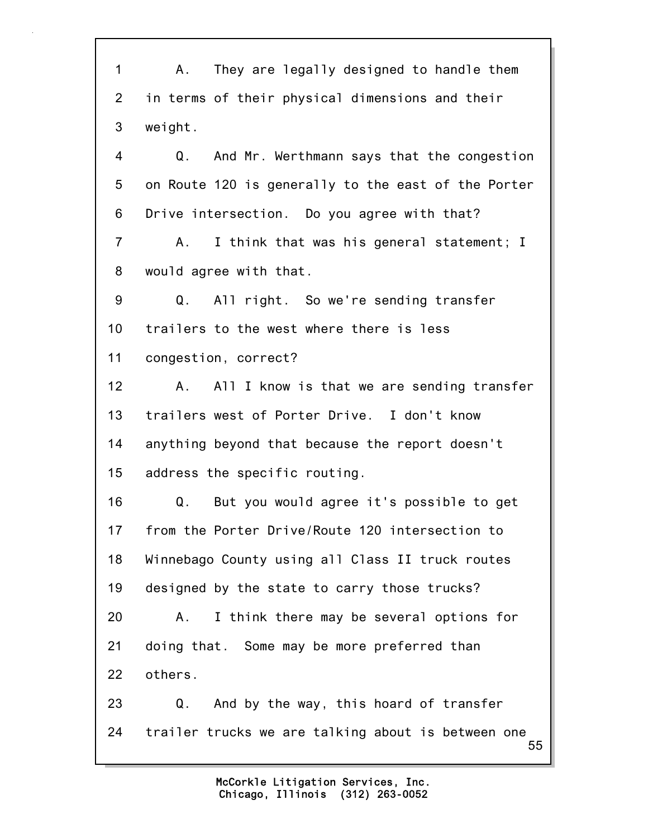55 1 A. They are legally designed to handle them 2 in terms of their physical dimensions and their 3 weight. 4 Q. And Mr. Werthmann says that the congestion 5 on Route 120 is generally to the east of the Porter 6 Drive intersection. Do you agree with that? 7 A. I think that was his general statement; I 8 would agree with that. 9 Q. All right. So we're sending transfer 10 trailers to the west where there is less 11 congestion, correct? 12 A. All I know is that we are sending transfer 13 trailers west of Porter Drive. I don't know 14 anything beyond that because the report doesn't 15 address the specific routing. 16 Q. But you would agree it's possible to get 17 from the Porter Drive/Route 120 intersection to 18 Winnebago County using all Class II truck routes 19 designed by the state to carry those trucks? 20 A. I think there may be several options for 21 doing that. Some may be more preferred than 22 others. 23 Q. And by the way, this hoard of transfer 24 trailer trucks we are talking about is between one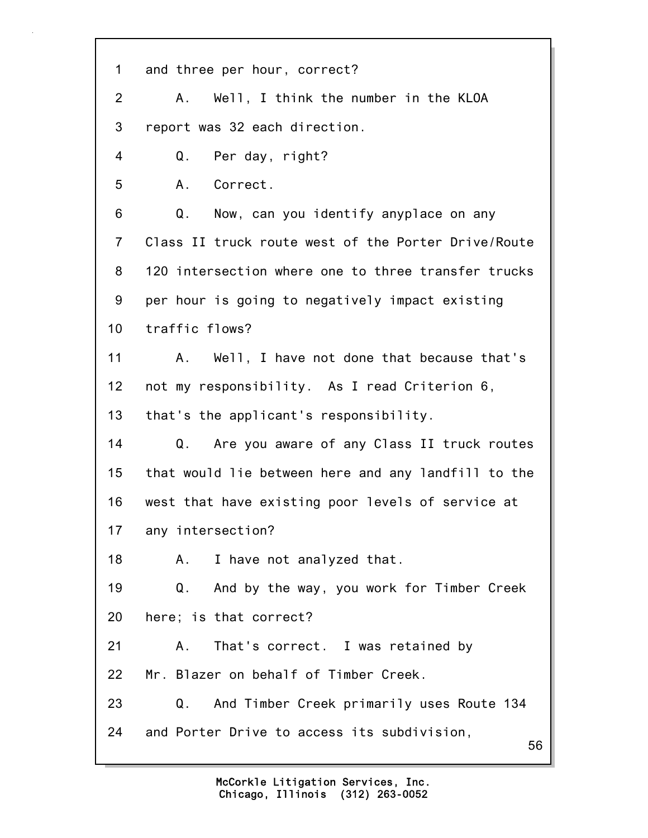56 1 and three per hour, correct? 2 A. Well, I think the number in the KLOA 3 report was 32 each direction. 4 Q. Per day, right? 5 A. Correct. 6 Q. Now, can you identify anyplace on any 7 Class II truck route west of the Porter Drive/Route 8 120 intersection where one to three transfer trucks 9 per hour is going to negatively impact existing 10 traffic flows? 11 A. Well, I have not done that because that's 12 not my responsibility. As I read Criterion 6, 13 that's the applicant's responsibility. 14 Q. Are you aware of any Class II truck routes 15 that would lie between here and any landfill to the 16 west that have existing poor levels of service at 17 any intersection? 18 A. I have not analyzed that. 19 Q. And by the way, you work for Timber Creek 20 here; is that correct? 21 A. That's correct. I was retained by 22 Mr. Blazer on behalf of Timber Creek. 23 Q. And Timber Creek primarily uses Route 134 24 and Porter Drive to access its subdivision,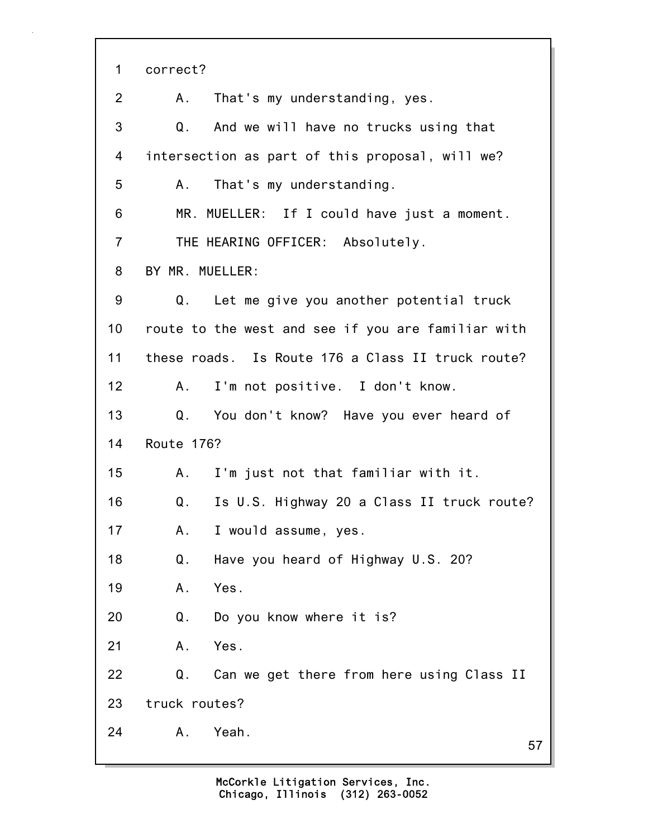| $\mathbf 1$    | correct?                                           |
|----------------|----------------------------------------------------|
| 2              | That's my understanding, yes.<br>A.                |
| 3              | Q. And we will have no trucks using that           |
| 4              | intersection as part of this proposal, will we?    |
| 5              | That's my understanding.<br>A.,                    |
| 6              | MR. MUELLER: If I could have just a moment.        |
| $\overline{7}$ | THE HEARING OFFICER: Absolutely.                   |
| 8              | BY MR. MUELLER:                                    |
| 9              | Let me give you another potential truck<br>Q.      |
| 10             | route to the west and see if you are familiar with |
| 11             | these roads. Is Route 176 a Class II truck route?  |
| 12             | A. I'm not positive. I don't know.                 |
| 13             | Q. You don't know? Have you ever heard of          |
| 14             | Route 176?                                         |
| 15             | A.<br>I'm just not that familiar with it.          |
| 16             | Is U.S. Highway 20 a Class II truck route?<br>Q.   |
| 17             | I would assume, yes.<br>Α.                         |
| 18             | Q.<br>Have you heard of Highway U.S. 20?           |
| 19             | Yes.<br>Α.                                         |
| 20             | Q.<br>Do you know where it is?                     |
| 21             | Α.<br>Yes.                                         |
| 22             | Q.<br>Can we get there from here using Class II    |
| 23             | truck routes?                                      |
| 24             | Yeah.<br>Α.<br>57                                  |
|                |                                                    |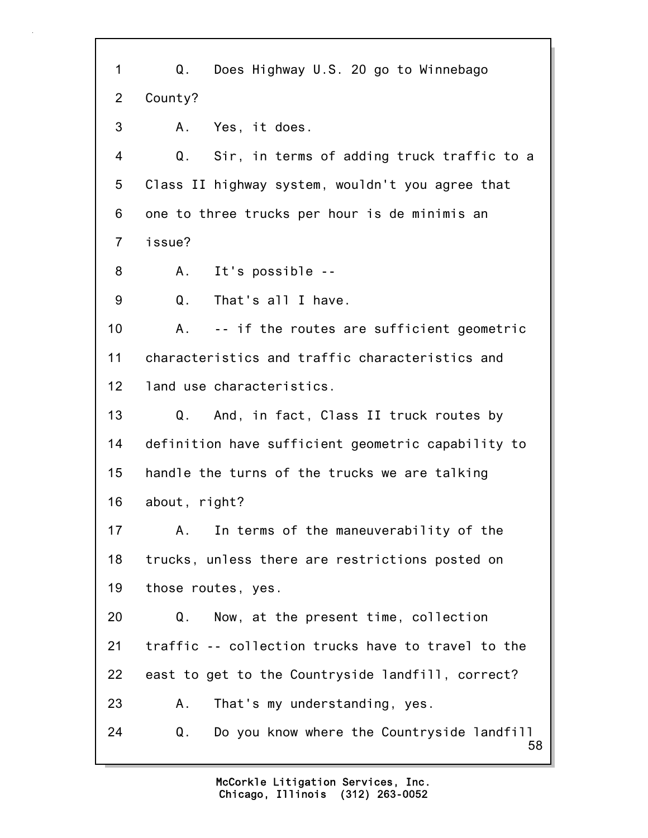| 1              | Does Highway U.S. 20 go to Winnebago<br>Q.             |
|----------------|--------------------------------------------------------|
| $\overline{2}$ | County?                                                |
| 3              | Yes, it does.<br>A.,                                   |
| 4              | Q.<br>Sir, in terms of adding truck traffic to a       |
| 5              | Class II highway system, wouldn't you agree that       |
| 6              | one to three trucks per hour is de minimis an          |
| $\overline{7}$ | issue?                                                 |
| 8              | A. It's possible --                                    |
| 9              | Q.<br>That's all I have.                               |
| 10             | -- if the routes are sufficient geometric<br>А.        |
| 11             | characteristics and traffic characteristics and        |
| 12             | land use characteristics.                              |
| 13             | And, in fact, Class II truck routes by<br>Q.           |
| 14             | definition have sufficient geometric capability to     |
| 15             | handle the turns of the trucks we are talking          |
| 16             | about, right?                                          |
| 17             | In terms of the maneuverability of the<br>A.           |
| 18             | trucks, unless there are restrictions posted on        |
| 19             | those routes, yes.                                     |
| 20             | Now, at the present time, collection<br>Q.             |
| 21             | traffic -- collection trucks have to travel to the     |
| 22             | east to get to the Countryside landfill, correct?      |
| 23             | That's my understanding, yes.<br>Α.                    |
| 24             | Do you know where the Countryside landfill<br>Q.<br>58 |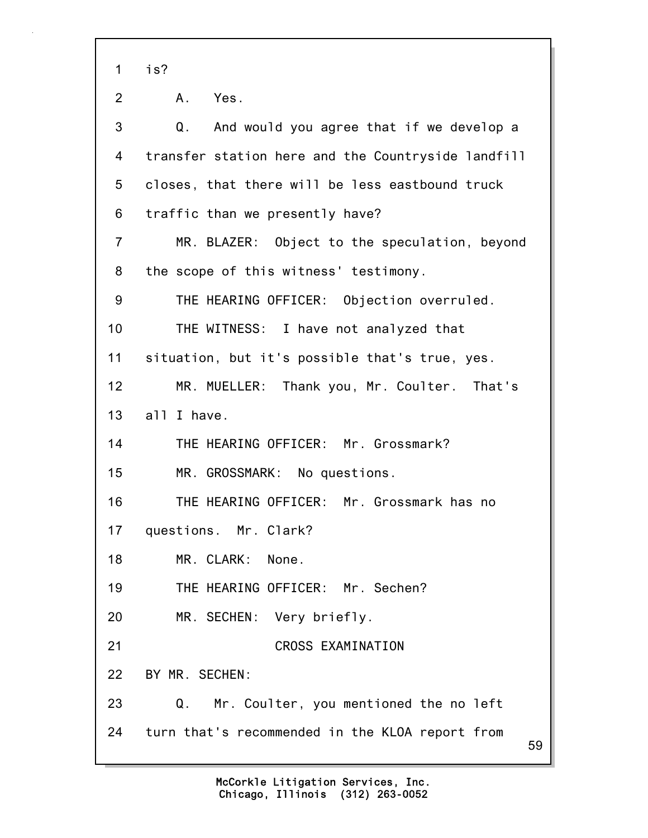1 is?

59 2 A. Yes. 3 Q. And would you agree that if we develop a 4 transfer station here and the Countryside landfill 5 closes, that there will be less eastbound truck 6 traffic than we presently have? 7 MR. BLAZER: Object to the speculation, beyond 8 the scope of this witness' testimony. 9 THE HEARING OFFICER: Objection overruled. 10 THE WITNESS: I have not analyzed that 11 situation, but it's possible that's true, yes. 12 MR. MUELLER: Thank you, Mr. Coulter. That's 13 all I have. 14 THE HEARING OFFICER: Mr. Grossmark? 15 MR. GROSSMARK: No questions. 16 THE HEARING OFFICER: Mr. Grossmark has no 17 questions. Mr. Clark? 18 MR. CLARK: None. 19 THE HEARING OFFICER: Mr. Sechen? 20 MR. SECHEN: Very briefly. 21 CROSS EXAMINATION 22 BY MR. SECHEN: 23 Q. Mr. Coulter, you mentioned the no left 24 turn that's recommended in the KLOA report from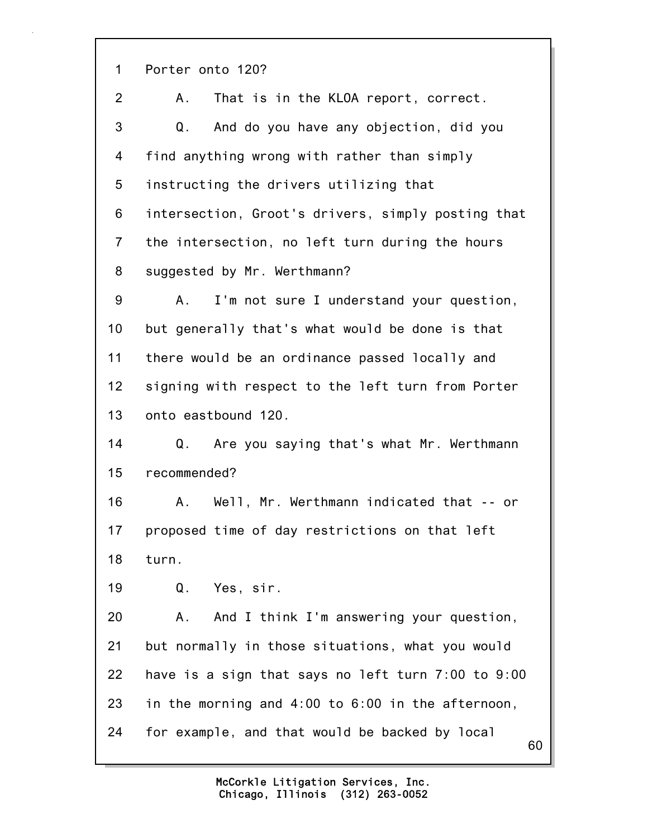1 Porter onto 120?

2 A. That is in the KLOA report, correct. 3 Q. And do you have any objection, did you 4 find anything wrong with rather than simply 5 instructing the drivers utilizing that 6 intersection, Groot's drivers, simply posting that 7 the intersection, no left turn during the hours 8 suggested by Mr. Werthmann? 9 A. I'm not sure I understand your question, 10 but generally that's what would be done is that 11 there would be an ordinance passed locally and 12 signing with respect to the left turn from Porter 13 onto eastbound 120. 14 Q. Are you saying that's what Mr. Werthmann 15 recommended? 16 A. Well, Mr. Werthmann indicated that -- or 17 proposed time of day restrictions on that left 18 turn. 19 Q. Yes, sir. 20 A. And I think I'm answering your question, 21 but normally in those situations, what you would 22 have is a sign that says no left turn 7:00 to 9:00 23 in the morning and 4:00 to 6:00 in the afternoon, 24 for example, and that would be backed by local

60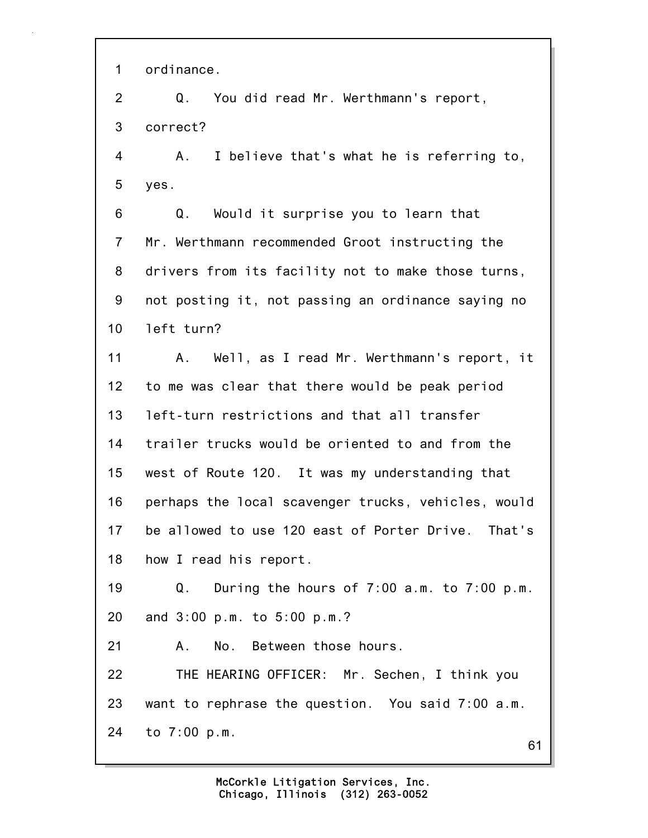1 ordinance.

2 Q. You did read Mr. Werthmann's report, 3 correct?

4 A. I believe that's what he is referring to, 5 yes.

6 Q. Would it surprise you to learn that 7 Mr. Werthmann recommended Groot instructing the 8 drivers from its facility not to make those turns, 9 not posting it, not passing an ordinance saying no 10 left turn?

11 A. Well, as I read Mr. Werthmann's report, it 12 to me was clear that there would be peak period 13 left-turn restrictions and that all transfer 14 trailer trucks would be oriented to and from the 15 west of Route 120. It was my understanding that 16 perhaps the local scavenger trucks, vehicles, would 17 be allowed to use 120 east of Porter Drive. That's 18 how I read his report.

19 Q. During the hours of 7:00 a.m. to 7:00 p.m. 20 and 3:00 p.m. to 5:00 p.m.?

21 A. No. Between those hours.

22 THE HEARING OFFICER: Mr. Sechen, I think you 23 want to rephrase the question. You said 7:00 a.m. 24 to 7:00 p.m.

61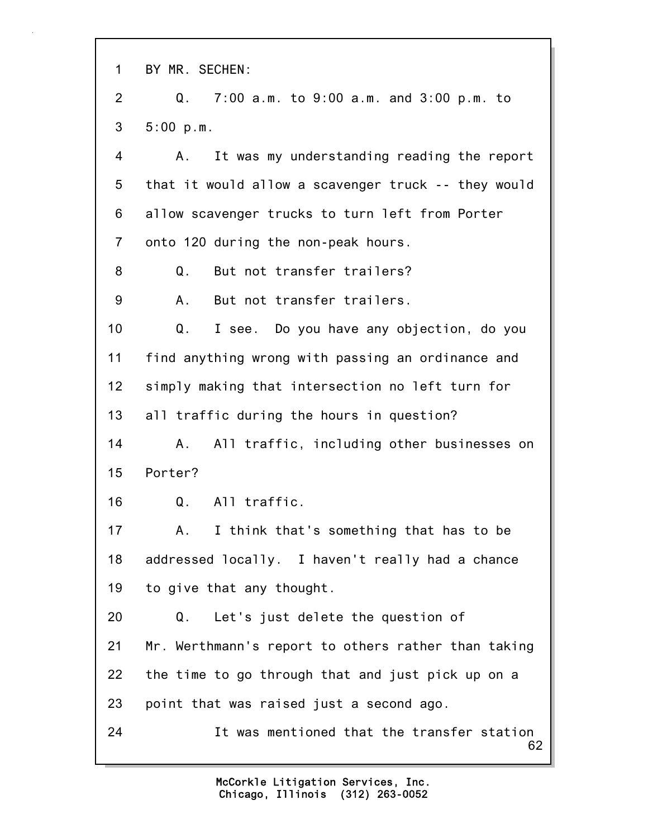62 1 BY MR. SECHEN: 2 Q. 7:00 a.m. to 9:00 a.m. and 3:00 p.m. to 3 5:00 p.m. 4 A. It was my understanding reading the report 5 that it would allow a scavenger truck -- they would 6 allow scavenger trucks to turn left from Porter 7 onto 120 during the non-peak hours. 8 Q. But not transfer trailers? 9 A. But not transfer trailers. 10 Q. I see. Do you have any objection, do you 11 find anything wrong with passing an ordinance and 12 simply making that intersection no left turn for 13 all traffic during the hours in question? 14 A. All traffic, including other businesses on 15 Porter? 16 Q. All traffic. 17 A. I think that's something that has to be 18 addressed locally. I haven't really had a chance 19 to give that any thought. 20 Q. Let's just delete the question of 21 Mr. Werthmann's report to others rather than taking 22 the time to go through that and just pick up on a 23 point that was raised just a second ago. 24 It was mentioned that the transfer station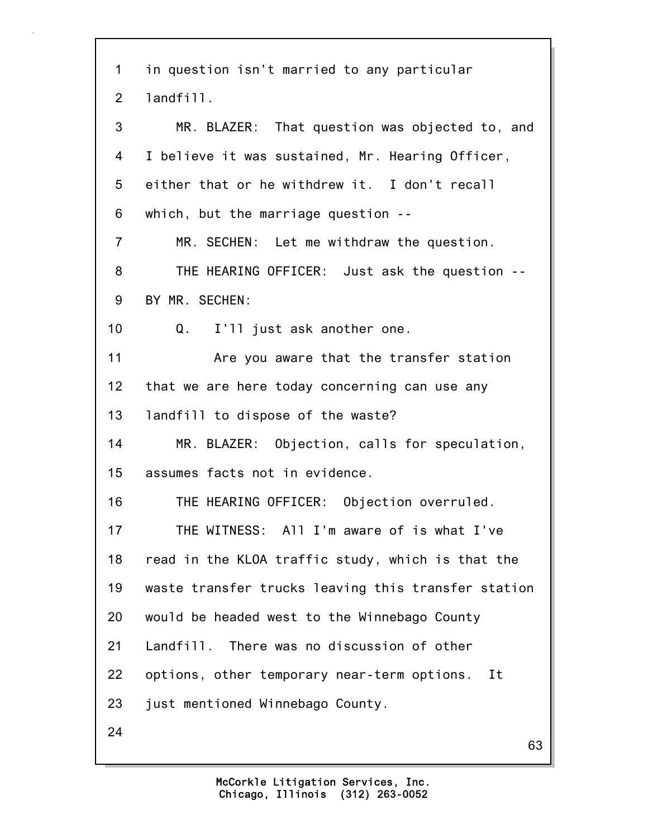63 1 in question isn't married to any particular 2 landfill. 3 MR. BLAZER: That question was objected to, and 4 I believe it was sustained, Mr. Hearing Officer, 5 either that or he withdrew it. I don't recall 6 which, but the marriage question -- 7 MR. SECHEN: Let me withdraw the question. 8 THE HEARING OFFICER: Just ask the question -- 9 BY MR. SECHEN: 10 Q. I'll just ask another one. 11 Are you aware that the transfer station 12 that we are here today concerning can use any 13 landfill to dispose of the waste? 14 MR. BLAZER: Objection, calls for speculation, 15 assumes facts not in evidence. 16 THE HEARING OFFICER: Objection overruled. 17 THE WITNESS: All I'm aware of is what I've 18 read in the KLOA traffic study, which is that the 19 waste transfer trucks leaving this transfer station 20 would be headed west to the Winnebago County 21 Landfill. There was no discussion of other 22 options, other temporary near-term options. It 23 just mentioned Winnebago County. 24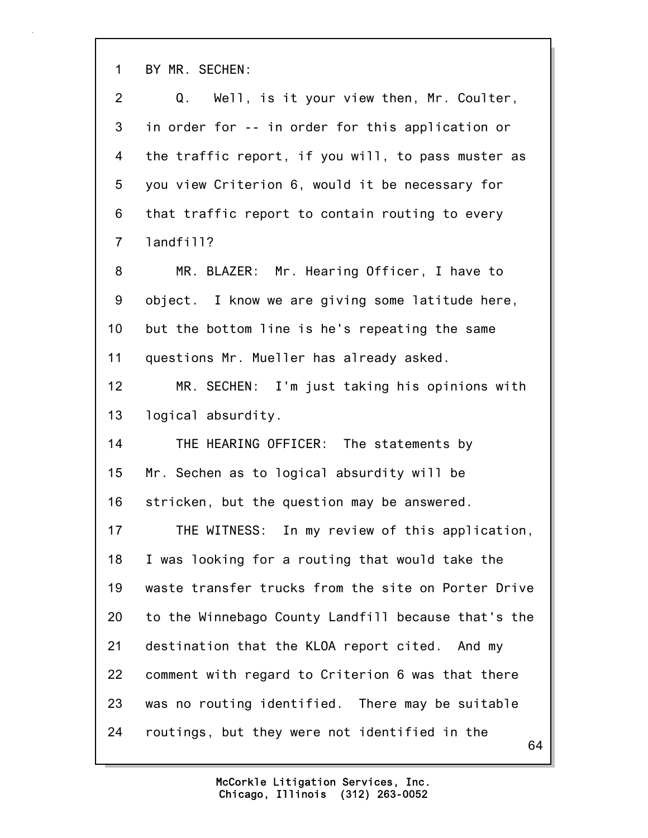1 BY MR. SECHEN:

| $\overline{2}$ | Q. Well, is it your view then, Mr. Coulter,         |
|----------------|-----------------------------------------------------|
| 3              | in order for -- in order for this application or    |
| 4              | the traffic report, if you will, to pass muster as  |
| 5              | you view Criterion 6, would it be necessary for     |
| 6              | that traffic report to contain routing to every     |
| $\overline{7}$ | landfill?                                           |
| 8              | MR. BLAZER: Mr. Hearing Officer, I have to          |
| 9              | object. I know we are giving some latitude here,    |
| 10             | but the bottom line is he's repeating the same      |
| 11             | questions Mr. Mueller has already asked.            |
| 12             | MR. SECHEN: I'm just taking his opinions with       |
| 13             | logical absurdity.                                  |
| 14             | THE HEARING OFFICER: The statements by              |
| 15             | Mr. Sechen as to logical absurdity will be          |
| 16             | stricken, but the question may be answered.         |
| 17             | THE WITNESS: In my review of this application,      |
| 18             | I was looking for a routing that would take the     |
| 19             | waste transfer trucks from the site on Porter Drive |
| 20             | to the Winnebago County Landfill because that's the |
| 21             | destination that the KLOA report cited. And my      |
| 22             | comment with regard to Criterion 6 was that there   |
| 23             | was no routing identified. There may be suitable    |
| 24             | routings, but they were not identified in the<br>64 |
|                |                                                     |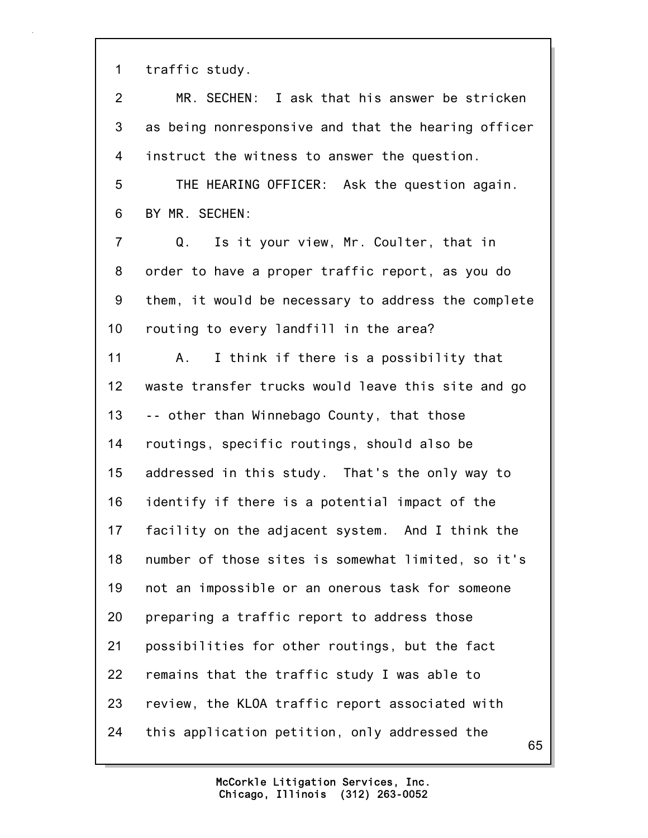1 traffic study.

| $\overline{2}$ | MR. SECHEN: I ask that his answer be stricken       |
|----------------|-----------------------------------------------------|
| 3              | as being nonresponsive and that the hearing officer |
| 4              | instruct the witness to answer the question.        |
| 5              | THE HEARING OFFICER: Ask the question again.        |
| 6              | BY MR. SECHEN:                                      |
| $\overline{7}$ | Is it your view, Mr. Coulter, that in<br>Q.         |
| 8              | order to have a proper traffic report, as you do    |
| 9              | them, it would be necessary to address the complete |
| 10             | routing to every landfill in the area?              |
| 11             | I think if there is a possibility that<br>A.        |
| 12             | waste transfer trucks would leave this site and go  |
| 13             | -- other than Winnebago County, that those          |
| 14             | routings, specific routings, should also be         |
| 15             | addressed in this study. That's the only way to     |
| 16             | identify if there is a potential impact of the      |
| 17             | facility on the adjacent system. And I think the    |
| 18             | number of those sites is somewhat limited, so it's  |
| 19             | not an impossible or an onerous task for someone    |
| 20             | preparing a traffic report to address those         |
| 21             | possibilities for other routings, but the fact      |
| 22             | remains that the traffic study I was able to        |
| 23             | review, the KLOA traffic report associated with     |
| 24             | this application petition, only addressed the<br>65 |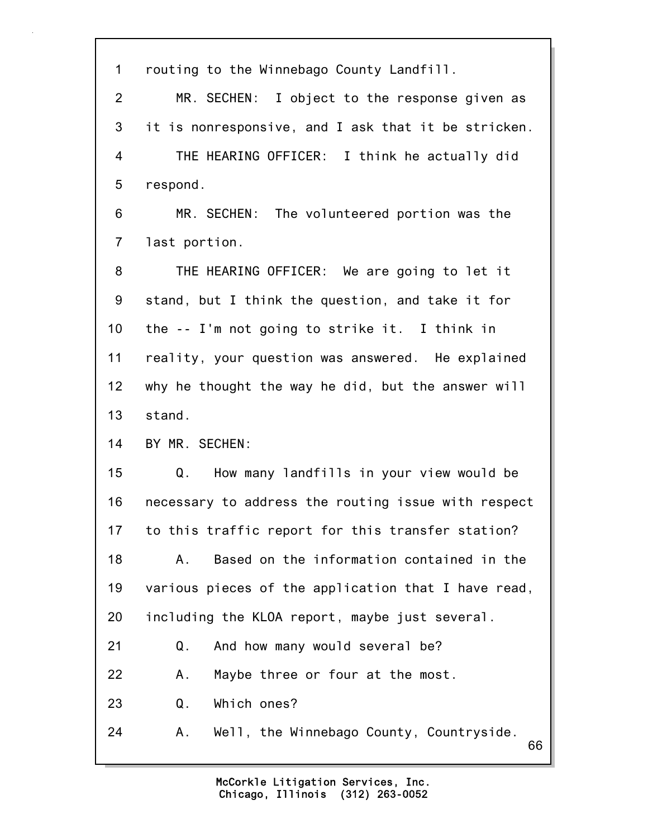| $\mathbf 1$     | routing to the Winnebago County Landfill.            |
|-----------------|------------------------------------------------------|
| $\overline{2}$  | MR. SECHEN: I object to the response given as        |
| 3               | it is nonresponsive, and I ask that it be stricken.  |
| 4               | THE HEARING OFFICER: I think he actually did         |
| 5               | respond.                                             |
| 6               | MR. SECHEN: The volunteered portion was the          |
| $\overline{7}$  | last portion.                                        |
| 8               | THE HEARING OFFICER: We are going to let it          |
| 9               | stand, but I think the question, and take it for     |
| 10 <sub>1</sub> | the -- I'm not going to strike it. I think in        |
| 11              | reality, your question was answered. He explained    |
| 12              | why he thought the way he did, but the answer will   |
| 13              | stand.                                               |
| 14              | BY MR. SECHEN:                                       |
| 15              | How many landfills in your view would be<br>Q.       |
| 16              | necessary to address the routing issue with respect  |
| 17              | to this traffic report for this transfer station?    |
| 18              | Based on the information contained in the<br>Α.      |
| 19              | various pieces of the application that I have read,  |
| 20              | including the KLOA report, maybe just several.       |
| 21              | And how many would several be?<br>Q.                 |
| 22              | Maybe three or four at the most.<br>Α.               |
| 23              | Which ones?<br>Q.                                    |
| 24              | Well, the Winnebago County, Countryside.<br>Α.<br>66 |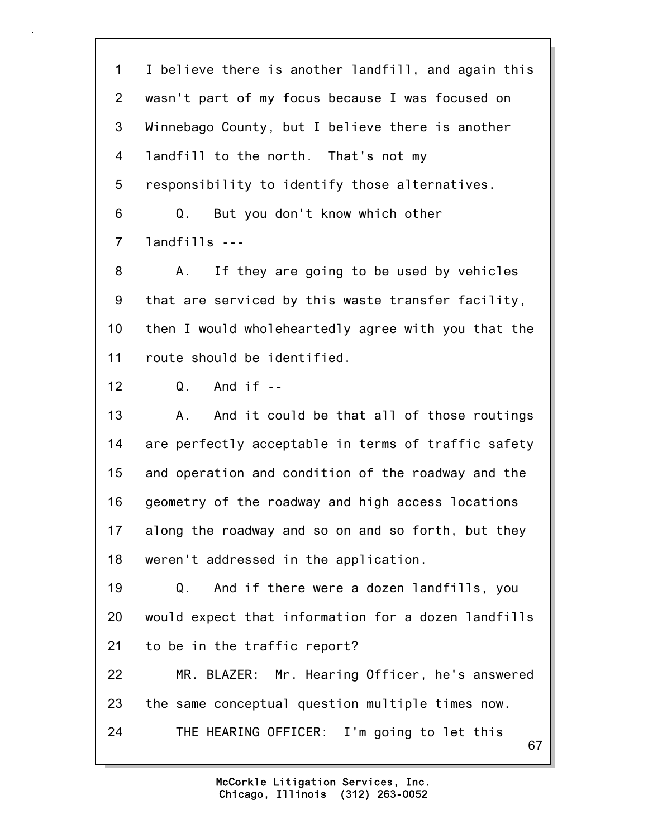67 1 I believe there is another landfill, and again this 2 wasn't part of my focus because I was focused on 3 Winnebago County, but I believe there is another 4 landfill to the north. That's not my 5 responsibility to identify those alternatives. 6 Q. But you don't know which other 7 landfills --- 8 A. If they are going to be used by vehicles 9 that are serviced by this waste transfer facility, 10 then I would wholeheartedly agree with you that the 11 route should be identified. 12 Q. And if -- 13 A. And it could be that all of those routings 14 are perfectly acceptable in terms of traffic safety 15 and operation and condition of the roadway and the 16 geometry of the roadway and high access locations 17 along the roadway and so on and so forth, but they 18 weren't addressed in the application. 19 Q. And if there were a dozen landfills, you 20 would expect that information for a dozen landfills 21 to be in the traffic report? 22 MR. BLAZER: Mr. Hearing Officer, he's answered 23 the same conceptual question multiple times now. 24 THE HEARING OFFICER: I'm going to let this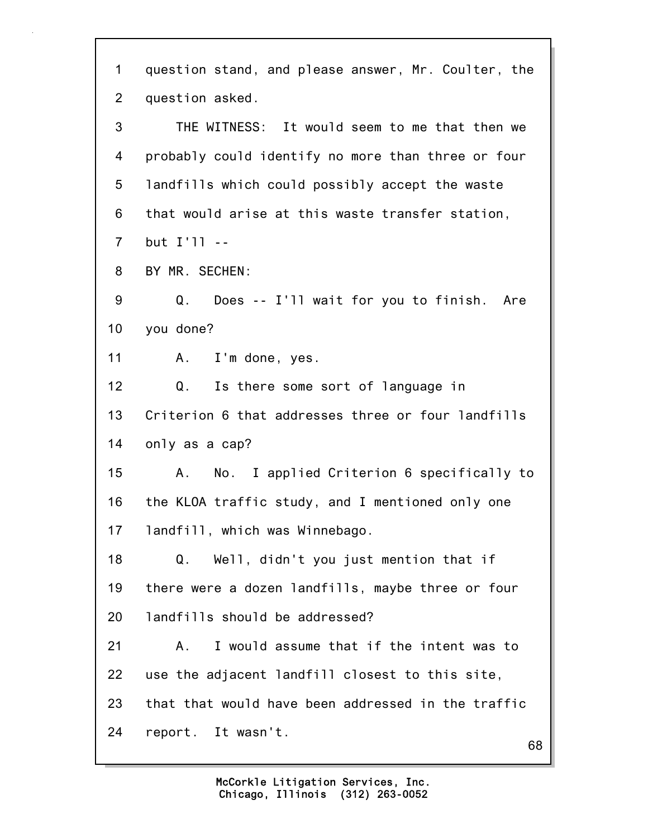| 1              | question stand, and please answer, Mr. Coulter, the |
|----------------|-----------------------------------------------------|
| 2              | question asked.                                     |
| 3              | THE WITNESS: It would seem to me that then we       |
| 4              | probably could identify no more than three or four  |
| 5              | landfills which could possibly accept the waste     |
| 6              | that would arise at this waste transfer station,    |
| $\overline{7}$ | but I'll --                                         |
| 8              | BY MR. SECHEN:                                      |
| 9              | Does -- I'll wait for you to finish. Are<br>Q.      |
| 10             | you done?                                           |
| 11             | I'm done, yes.<br>A.,                               |
| 12             | Q.<br>Is there some sort of language in             |
| 13             | Criterion 6 that addresses three or four landfills  |
| 14             | only as a cap?                                      |
| 15             | No. I applied Criterion 6 specifically to<br>A.     |
| 16             | the KLOA traffic study, and I mentioned only one    |
| 17             | landfill, which was Winnebago.                      |
| 18             | Q.<br>Well, didn't you just mention that if         |
| 19             | there were a dozen landfills, maybe three or four   |
| 20             | landfills should be addressed?                      |
| 21             | I would assume that if the intent was to<br>Α.      |
| 22             | use the adjacent landfill closest to this site,     |
| 23             | that that would have been addressed in the traffic  |
| 24             | report. It wasn't.<br>68                            |
|                |                                                     |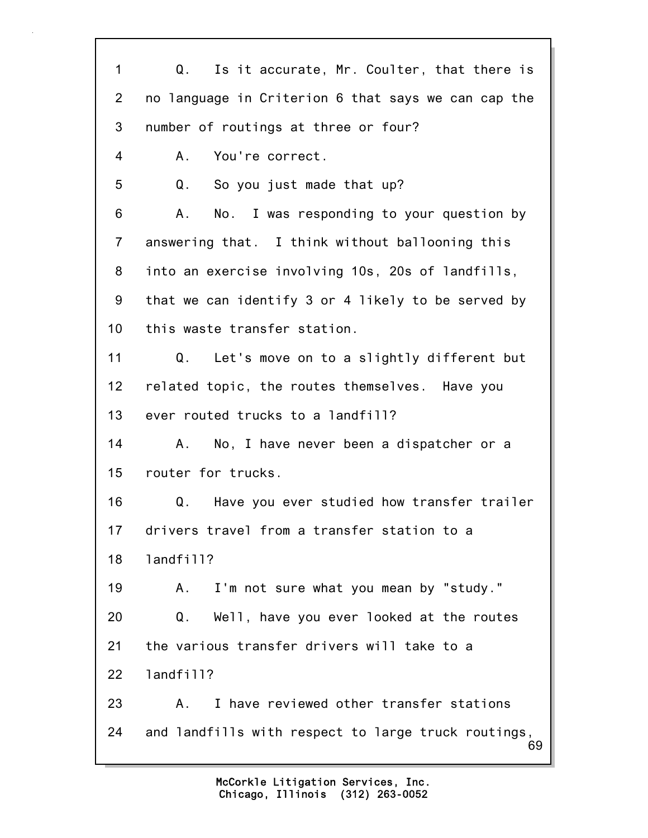| $\mathbf{1}$    | Q. Is it accurate, Mr. Coulter, that there is             |
|-----------------|-----------------------------------------------------------|
| $\overline{2}$  | no language in Criterion 6 that says we can cap the       |
| 3               | number of routings at three or four?                      |
| 4               | You're correct.<br>Α.                                     |
| 5               | Q.<br>So you just made that up?                           |
| 6               | No. I was responding to your question by<br>A.,           |
| $\overline{7}$  | answering that. I think without ballooning this           |
| 8               | into an exercise involving 10s, 20s of landfills,         |
| 9               | that we can identify 3 or 4 likely to be served by        |
| 10 <sub>1</sub> | this waste transfer station.                              |
| 11              | Q. Let's move on to a slightly different but              |
| $12 \,$         | related topic, the routes themselves. Have you            |
| 13              | ever routed trucks to a landfill?                         |
| 14              | No, I have never been a dispatcher or a<br>А.             |
| 15              | router for trucks.                                        |
| 16              | Have you ever studied how transfer trailer<br>Q.          |
| 17              | drivers travel from a transfer station to a               |
| 18              | landfill?                                                 |
| 19              | I'm not sure what you mean by "study."<br>А.              |
| 20              | Well, have you ever looked at the routes<br>Q.            |
| 21              | the various transfer drivers will take to a               |
| 22              | landfill?                                                 |
| 23              | I have reviewed other transfer stations<br>А.             |
| 24              | and landfills with respect to large truck routings,<br>69 |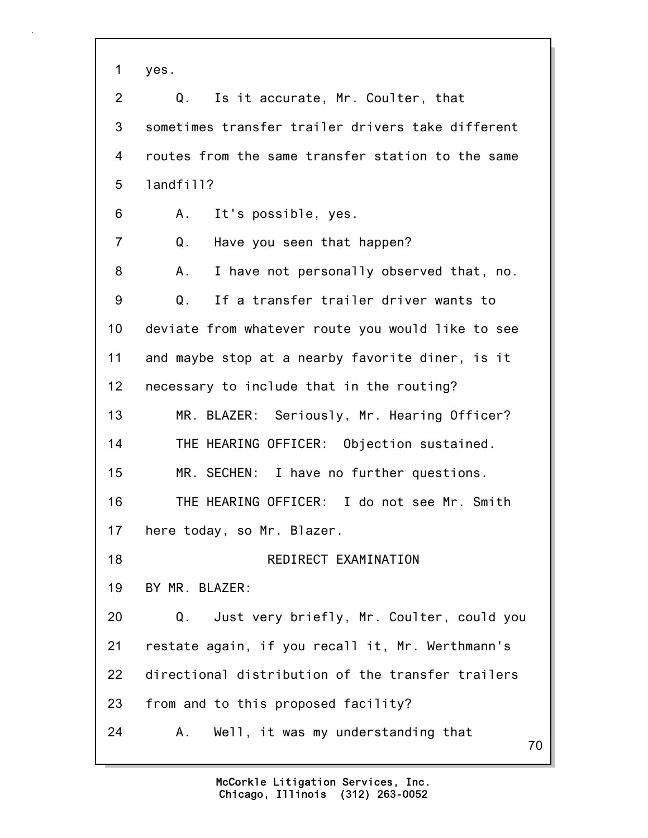1 yes.

70 2 Q. Is it accurate, Mr. Coulter, that 3 sometimes transfer trailer drivers take different 4 routes from the same transfer station to the same 5 landfill? 6 A. It's possible, yes. 7 Q. Have you seen that happen? 8 A. I have not personally observed that, no. 9 Q. If a transfer trailer driver wants to 10 deviate from whatever route you would like to see 11 and maybe stop at a nearby favorite diner, is it 12 necessary to include that in the routing? 13 MR. BLAZER: Seriously, Mr. Hearing Officer? 14 THE HEARING OFFICER: Objection sustained. 15 MR. SECHEN: I have no further questions. 16 THE HEARING OFFICER: I do not see Mr. Smith 17 here today, so Mr. Blazer. 18 REDIRECT EXAMINATION 19 BY MR. BLAZER: 20 Q. Just very briefly, Mr. Coulter, could you 21 restate again, if you recall it, Mr. Werthmann's 22 directional distribution of the transfer trailers 23 from and to this proposed facility? 24 A. Well, it was my understanding that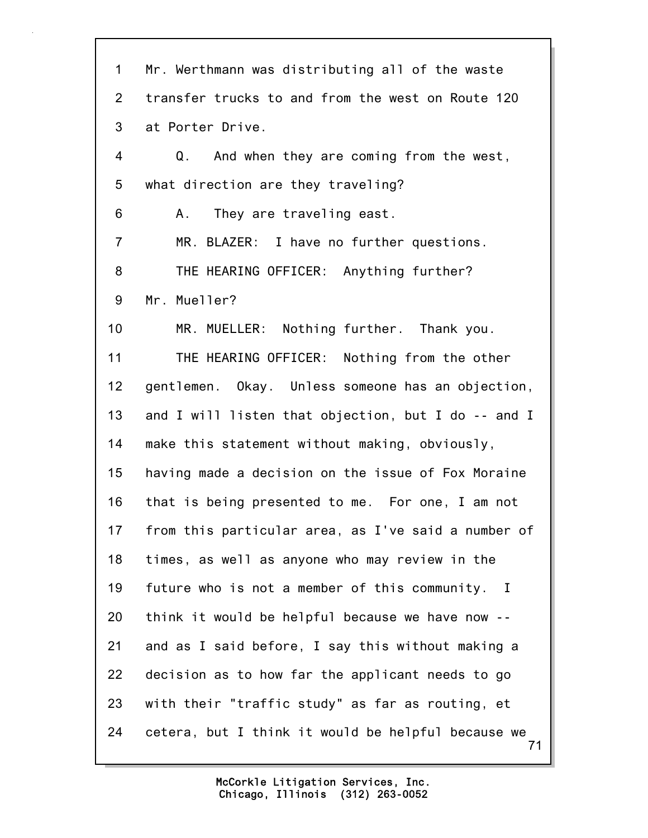71 1 Mr. Werthmann was distributing all of the waste 2 transfer trucks to and from the west on Route 120 3 at Porter Drive. 4 Q. And when they are coming from the west, 5 what direction are they traveling? 6 A. They are traveling east. 7 MR. BLAZER: I have no further questions. 8 THE HEARING OFFICER: Anything further? 9 Mr. Mueller? 10 MR. MUELLER: Nothing further. Thank you. 11 THE HEARING OFFICER: Nothing from the other 12 gentlemen. Okay. Unless someone has an objection, 13 and I will listen that objection, but I do -- and I 14 make this statement without making, obviously, 15 having made a decision on the issue of Fox Moraine 16 that is being presented to me. For one, I am not 17 from this particular area, as I've said a number of 18 times, as well as anyone who may review in the 19 future who is not a member of this community. I 20 think it would be helpful because we have now -- 21 and as I said before, I say this without making a 22 decision as to how far the applicant needs to go 23 with their "traffic study" as far as routing, et 24 cetera, but I think it would be helpful because we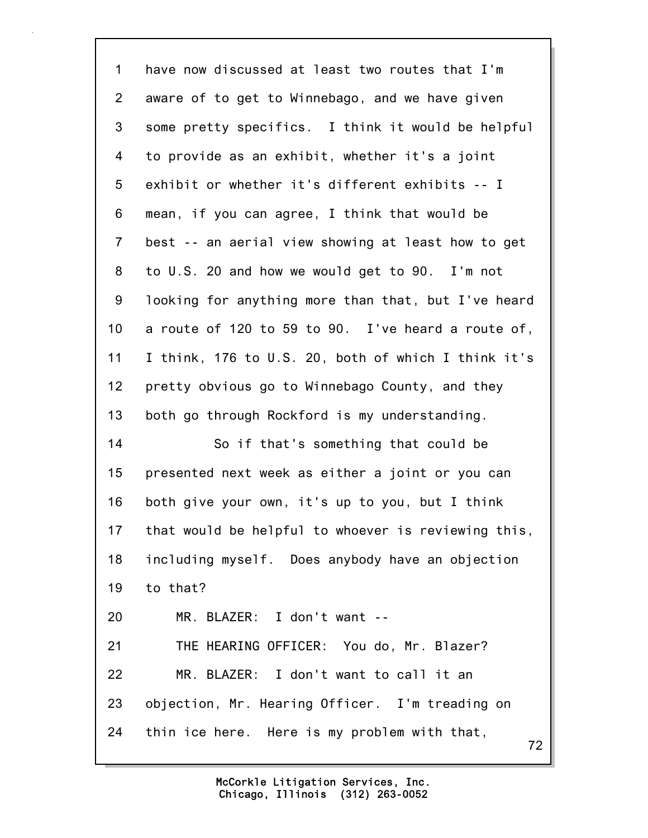72 1 have now discussed at least two routes that I'm 2 aware of to get to Winnebago, and we have given 3 some pretty specifics. I think it would be helpful 4 to provide as an exhibit, whether it's a joint 5 exhibit or whether it's different exhibits -- I 6 mean, if you can agree, I think that would be 7 best -- an aerial view showing at least how to get 8 to U.S. 20 and how we would get to 90. I'm not 9 looking for anything more than that, but I've heard 10 a route of 120 to 59 to 90. I've heard a route of, 11 I think, 176 to U.S. 20, both of which I think it's 12 pretty obvious go to Winnebago County, and they 13 both go through Rockford is my understanding. 14 So if that's something that could be 15 presented next week as either a joint or you can 16 both give your own, it's up to you, but I think 17 that would be helpful to whoever is reviewing this, 18 including myself. Does anybody have an objection 19 to that? 20 MR. BLAZER: I don't want -- 21 THE HEARING OFFICER: You do, Mr. Blazer? 22 MR. BLAZER: I don't want to call it an 23 objection, Mr. Hearing Officer. I'm treading on 24 thin ice here. Here is my problem with that,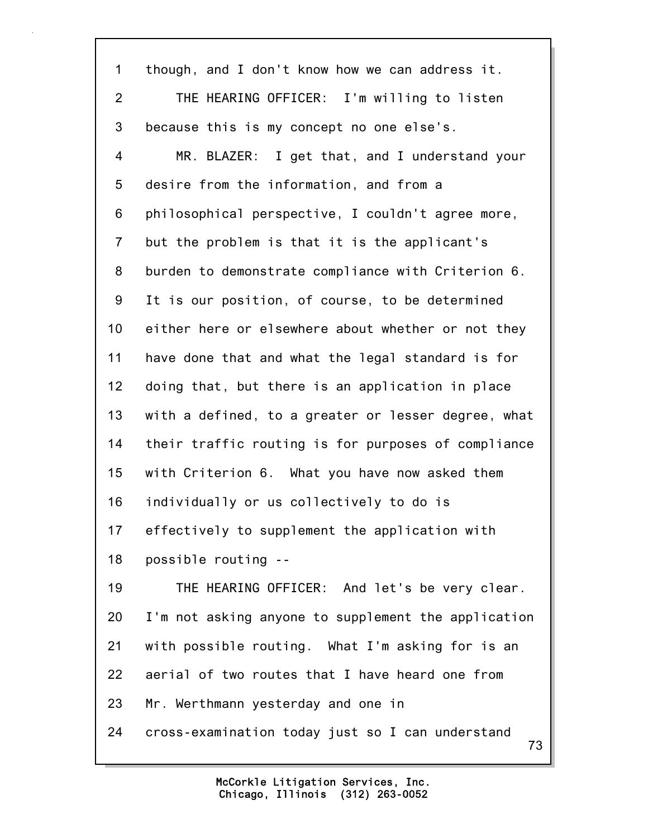73 1 though, and I don't know how we can address it. 2 THE HEARING OFFICER: I'm willing to listen 3 because this is my concept no one else's. 4 MR. BLAZER: I get that, and I understand your 5 desire from the information, and from a 6 philosophical perspective, I couldn't agree more, 7 but the problem is that it is the applicant's 8 burden to demonstrate compliance with Criterion 6. 9 It is our position, of course, to be determined 10 either here or elsewhere about whether or not they 11 have done that and what the legal standard is for 12 doing that, but there is an application in place 13 with a defined, to a greater or lesser degree, what 14 their traffic routing is for purposes of compliance 15 with Criterion 6. What you have now asked them 16 individually or us collectively to do is 17 effectively to supplement the application with 18 possible routing -- 19 THE HEARING OFFICER: And let's be very clear. 20 I'm not asking anyone to supplement the application 21 with possible routing. What I'm asking for is an 22 aerial of two routes that I have heard one from 23 Mr. Werthmann yesterday and one in 24 cross-examination today just so I can understand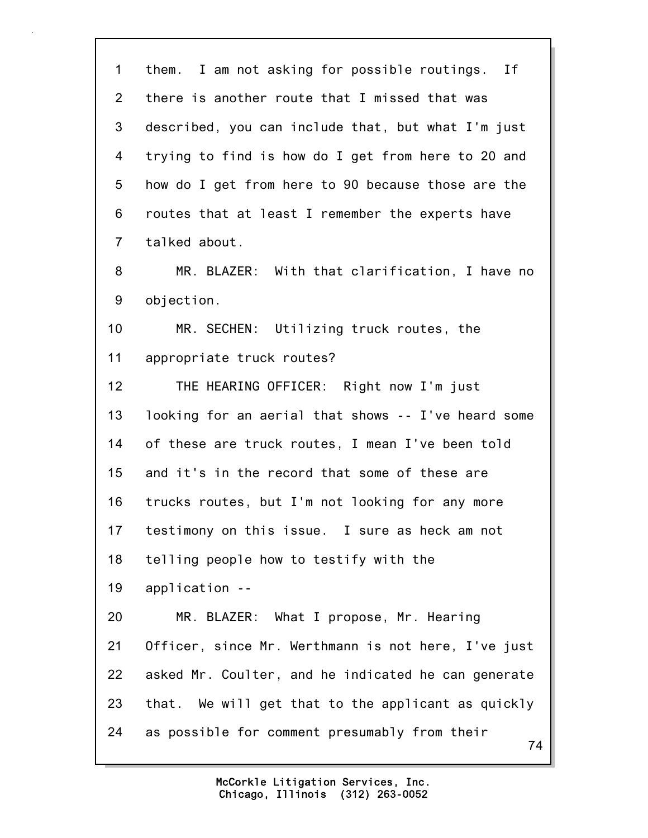74 1 them. I am not asking for possible routings. If 2 there is another route that I missed that was 3 described, you can include that, but what I'm just 4 trying to find is how do I get from here to 20 and 5 how do I get from here to 90 because those are the 6 routes that at least I remember the experts have 7 talked about. 8 MR. BLAZER: With that clarification, I have no 9 objection. 10 MR. SECHEN: Utilizing truck routes, the 11 appropriate truck routes? 12 THE HEARING OFFICER: Right now I'm just 13 looking for an aerial that shows -- I've heard some 14 of these are truck routes, I mean I've been told 15 and it's in the record that some of these are 16 trucks routes, but I'm not looking for any more 17 testimony on this issue. I sure as heck am not 18 telling people how to testify with the 19 application -- 20 MR. BLAZER: What I propose, Mr. Hearing 21 Officer, since Mr. Werthmann is not here, I've just 22 asked Mr. Coulter, and he indicated he can generate 23 that. We will get that to the applicant as quickly 24 as possible for comment presumably from their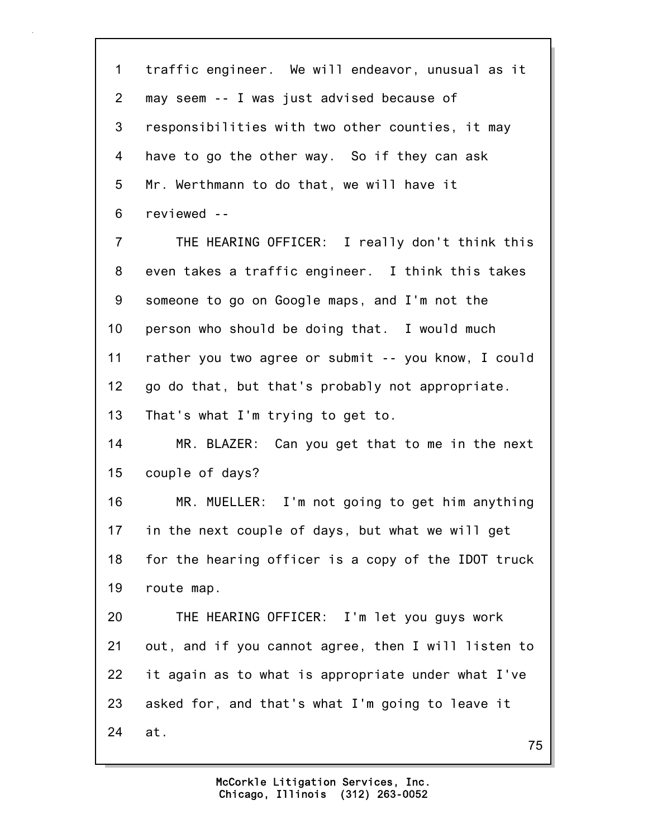75 1 traffic engineer. We will endeavor, unusual as it 2 may seem -- I was just advised because of 3 responsibilities with two other counties, it may 4 have to go the other way. So if they can ask 5 Mr. Werthmann to do that, we will have it 6 reviewed -- 7 THE HEARING OFFICER: I really don't think this 8 even takes a traffic engineer. I think this takes 9 someone to go on Google maps, and I'm not the 10 person who should be doing that. I would much 11 rather you two agree or submit -- you know, I could 12 go do that, but that's probably not appropriate. 13 That's what I'm trying to get to. 14 MR. BLAZER: Can you get that to me in the next 15 couple of days? 16 MR. MUELLER: I'm not going to get him anything 17 in the next couple of days, but what we will get 18 for the hearing officer is a copy of the IDOT truck 19 route map. 20 THE HEARING OFFICER: I'm let you guys work 21 out, and if you cannot agree, then I will listen to 22 it again as to what is appropriate under what I've 23 asked for, and that's what I'm going to leave it 24 at.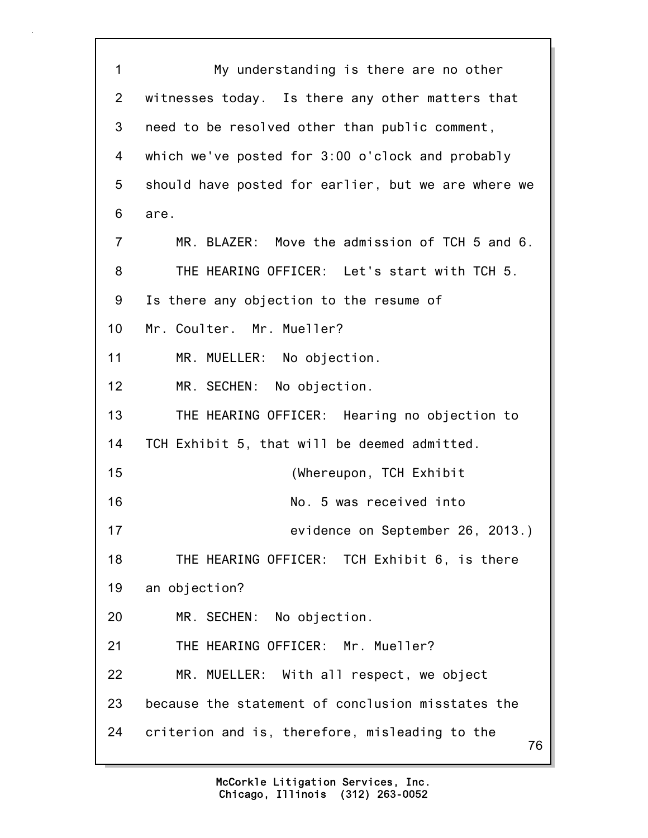76 1 My understanding is there are no other 2 witnesses today. Is there any other matters that 3 need to be resolved other than public comment, 4 which we've posted for 3:00 o'clock and probably 5 should have posted for earlier, but we are where we 6 are. 7 MR. BLAZER: Move the admission of TCH 5 and 6. 8 THE HEARING OFFICER: Let's start with TCH 5. 9 Is there any objection to the resume of 10 Mr. Coulter. Mr. Mueller? 11 MR. MUELLER: No objection. 12 MR. SECHEN: No objection. 13 THE HEARING OFFICER: Hearing no objection to 14 TCH Exhibit 5, that will be deemed admitted. 15 (Whereupon, TCH Exhibit 16 No. 5 was received into 17 evidence on September 26, 2013.) 18 THE HEARING OFFICER: TCH Exhibit 6, is there 19 an objection? 20 MR. SECHEN: No objection. 21 THE HEARING OFFICER: Mr. Mueller? 22 MR. MUELLER: With all respect, we object 23 because the statement of conclusion misstates the 24 criterion and is, therefore, misleading to the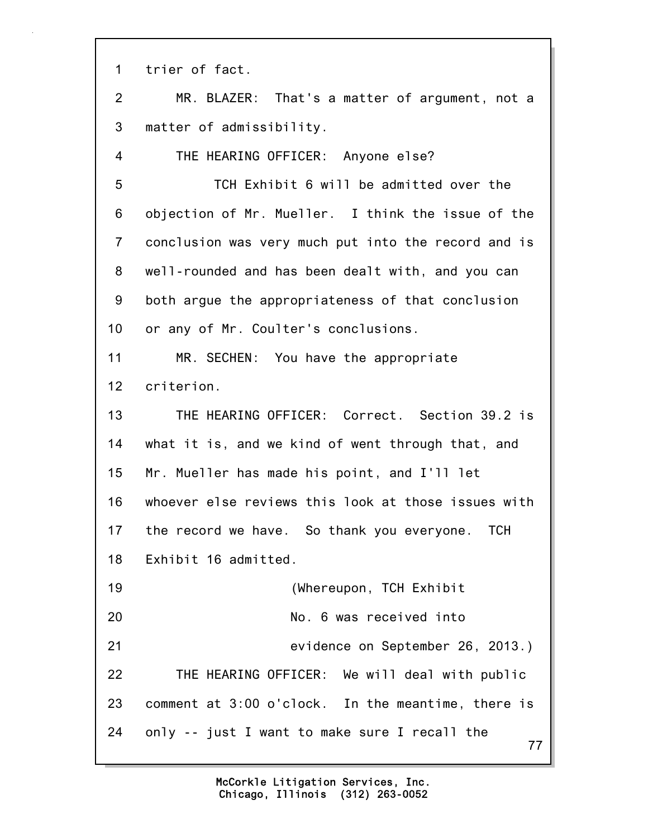1 trier of fact.

2 MR. BLAZER: That's a matter of argument, not a 3 matter of admissibility.

4 THE HEARING OFFICER: Anyone else?

5 TCH Exhibit 6 will be admitted over the 6 objection of Mr. Mueller. I think the issue of the 7 conclusion was very much put into the record and is 8 well-rounded and has been dealt with, and you can 9 both argue the appropriateness of that conclusion 10 or any of Mr. Coulter's conclusions.

11 MR. SECHEN: You have the appropriate 12 criterion.

13 THE HEARING OFFICER: Correct. Section 39.2 is 14 what it is, and we kind of went through that, and 15 Mr. Mueller has made his point, and I'll let 16 whoever else reviews this look at those issues with 17 the record we have. So thank you everyone. TCH 18 Exhibit 16 admitted.

77 19 (Whereupon, TCH Exhibit 20 No. 6 was received into 21 evidence on September 26, 2013.) 22 THE HEARING OFFICER: We will deal with public 23 comment at 3:00 o'clock. In the meantime, there is 24 only -- just I want to make sure I recall the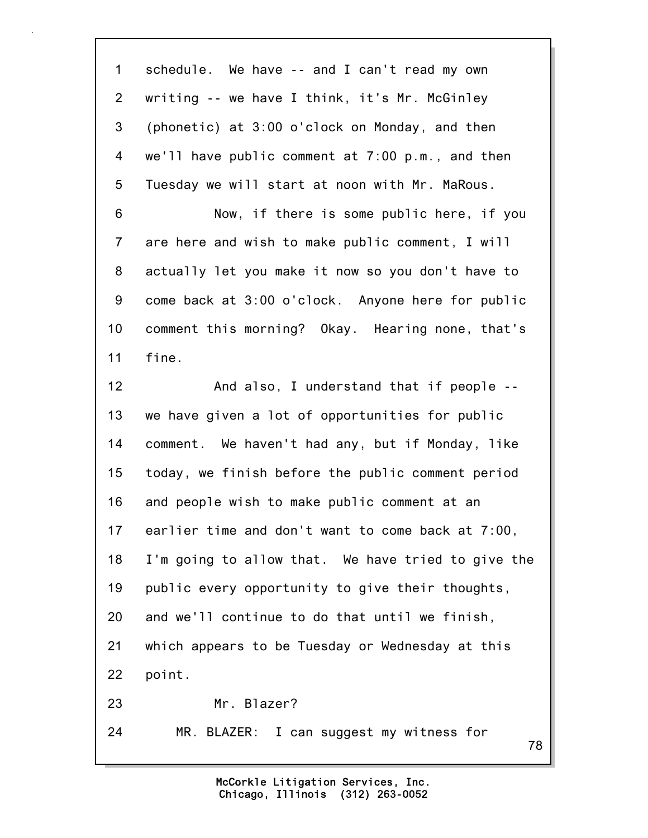78 1 schedule. We have -- and I can't read my own 2 writing -- we have I think, it's Mr. McGinley 3 (phonetic) at 3:00 o'clock on Monday, and then 4 we'll have public comment at 7:00 p.m., and then 5 Tuesday we will start at noon with Mr. MaRous. 6 Now, if there is some public here, if you 7 are here and wish to make public comment, I will 8 actually let you make it now so you don't have to 9 come back at 3:00 o'clock. Anyone here for public 10 comment this morning? Okay. Hearing none, that's 11 fine. 12 And also, I understand that if people -- 13 we have given a lot of opportunities for public 14 comment. We haven't had any, but if Monday, like 15 today, we finish before the public comment period 16 and people wish to make public comment at an 17 earlier time and don't want to come back at 7:00, 18 I'm going to allow that. We have tried to give the 19 public every opportunity to give their thoughts, 20 and we'll continue to do that until we finish, 21 which appears to be Tuesday or Wednesday at this 22 point. 23 Mr. Blazer? 24 MR. BLAZER: I can suggest my witness for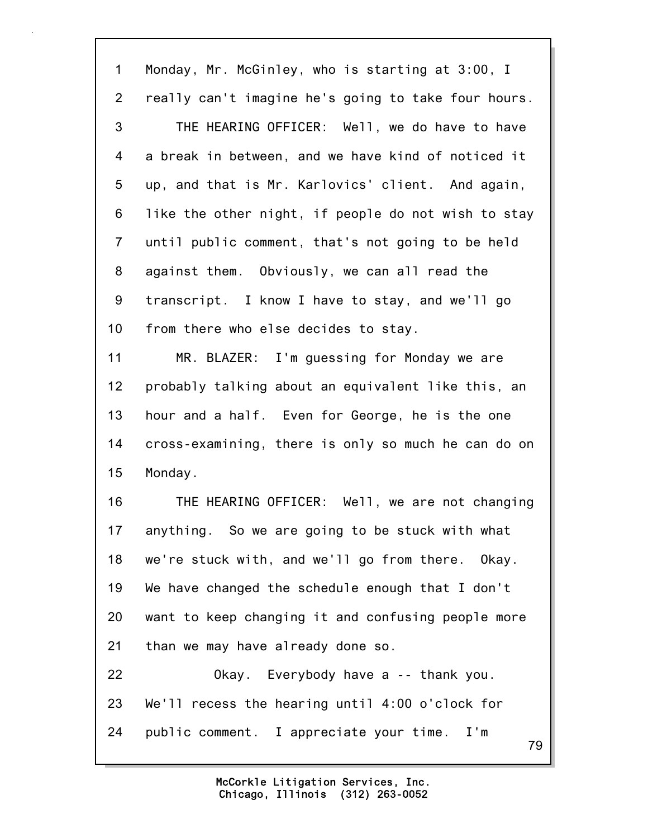79 1 Monday, Mr. McGinley, who is starting at 3:00, I 2 really can't imagine he's going to take four hours. 3 THE HEARING OFFICER: Well, we do have to have 4 a break in between, and we have kind of noticed it 5 up, and that is Mr. Karlovics' client. And again, 6 like the other night, if people do not wish to stay 7 until public comment, that's not going to be held 8 against them. Obviously, we can all read the 9 transcript. I know I have to stay, and we'll go 10 from there who else decides to stay. 11 MR. BLAZER: I'm guessing for Monday we are 12 probably talking about an equivalent like this, an 13 hour and a half. Even for George, he is the one 14 cross-examining, there is only so much he can do on 15 Monday. 16 THE HEARING OFFICER: Well, we are not changing 17 anything. So we are going to be stuck with what 18 we're stuck with, and we'll go from there. Okay. 19 We have changed the schedule enough that I don't 20 want to keep changing it and confusing people more 21 than we may have already done so. 22 Okay. Everybody have a -- thank you. 23 We'll recess the hearing until 4:00 o'clock for 24 public comment. I appreciate your time. I'm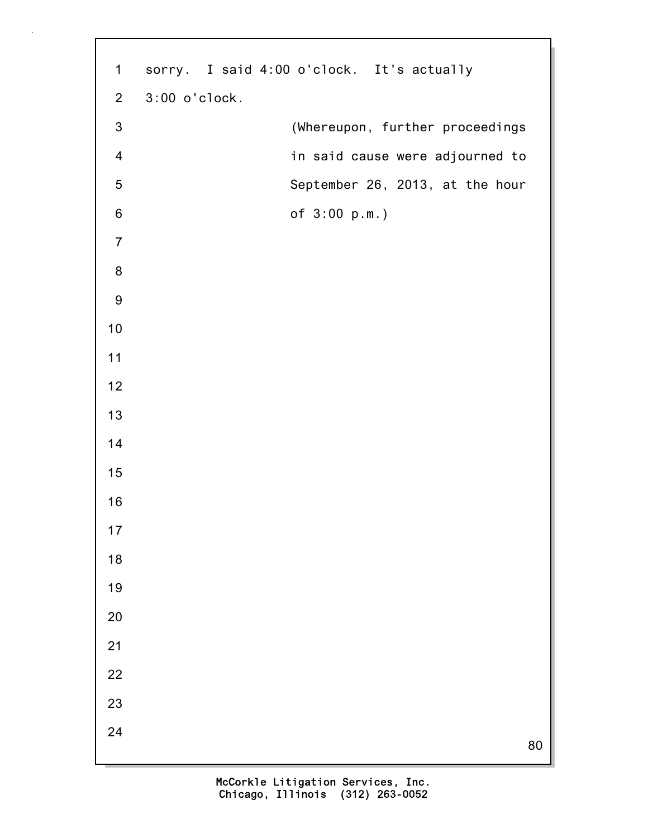1 sorry. I said 4:00 o'clock. It's actually 2 3:00 o'clock. 3 (Whereupon, further proceedings 4 in said cause were adjourned to 5 September 26, 2013, at the hour 6 of 3:00 p.m.)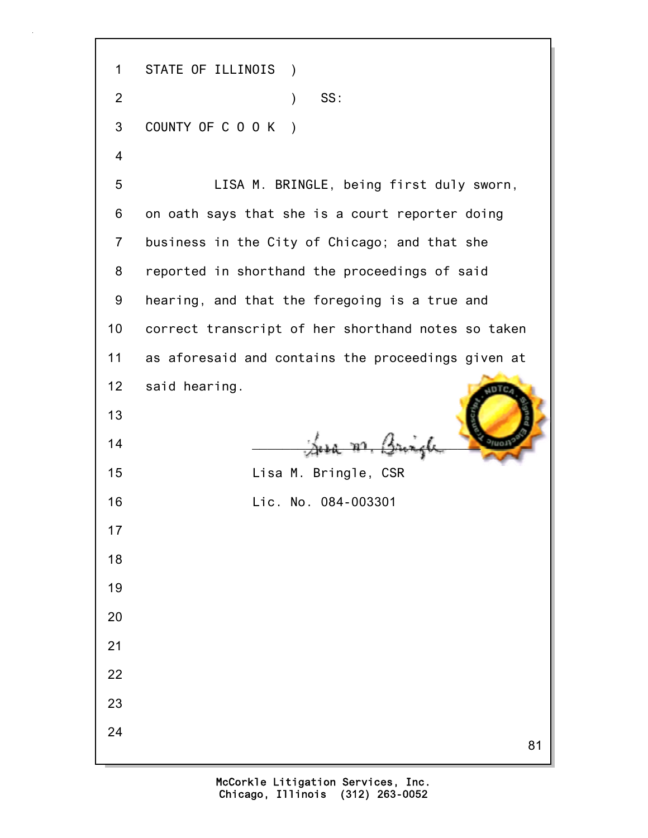81 1 STATE OF ILLINOIS ) 2 ) SS: 3 COUNTY OF C O O K ) 4 5 LISA M. BRINGLE, being first duly sworn, 6 on oath says that she is a court reporter doing 7 business in the City of Chicago; and that she 8 reported in shorthand the proceedings of said 9 hearing, and that the foregoing is a true and 10 correct transcript of her shorthand notes so taken 11 as aforesaid and contains the proceedings given at 12 said hearing. 13  $\frac{14}{\sqrt{2}}$   $\frac{14}{\sqrt{2}}$   $\frac{14}{\sqrt{2}}$ 15 Lisa M. Bringle, CSR 16 Lic. No. 084-003301 17 18 19 20 21 22 23 24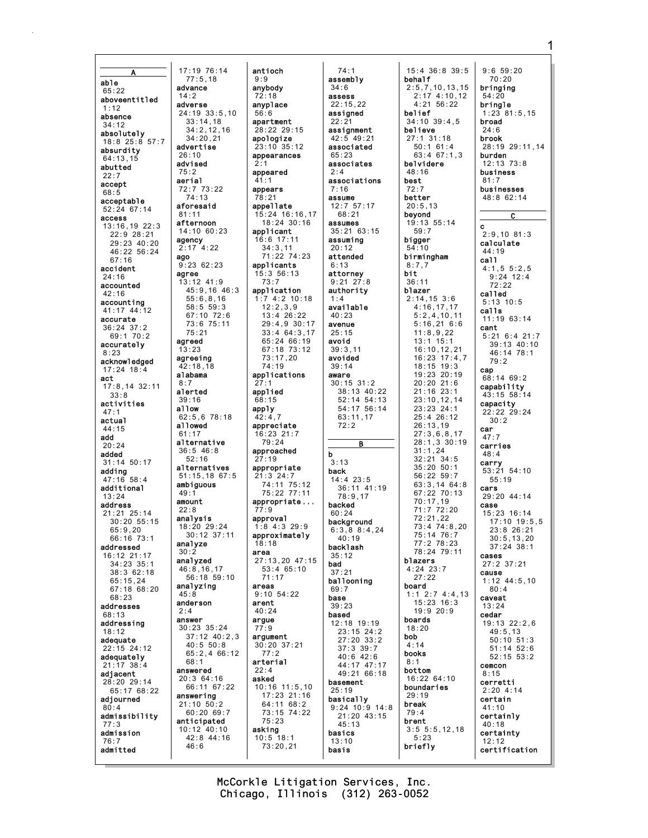able  $65:22$ aboveentitled  $1:12$ absence  $34:12$ absolutely 18:8 25:8 57:7 absurdity  $64:13.15$ abutted  $22:7$ accept  $68:5$ acceptable  $52:24$  67:14 access 13:16,19 22:3  $22:9$  28:21 29:23 40:20 46:22 56:24  $67:16$ accident  $24:16$ accounted  $42:16$ accounting 41:17 44:12 accurate  $36:24$  37:2 69:1 70:2 accurately  $8:23$ acknowledged  $17:24$  18:4 act  $17:8,14$  32:11  $33.8$ activities  $47:1$ actual  $44.15$ add  $20:24$ added  $31 \cdot 14$  50  $17$ adding  $47:16$  58:4 additional  $13:24$ address  $21:21$   $25:14$  $30:20.55:15$  $65:9,20$ 66:16 73:1 addressed 16:12 21:17  $34:23$   $35:1$ 38:3 62:18  $65:15,24$ 67:18 68:20 68:23 addresses  $68:13$ addressing  $18:12$ adequate  $22:15$  24:12 adequately  $21:17$  38:4 adjacent 28:20 29:14 65:17 68:22 adiourned  $80:4$ admissibility  $77:3$ admission  $76:7$ admitted

17:19 76:14 antioch  $77:5.18$  $9:9$ anybody advance  $72:18$ adverse anyplace  $24:19.33:5.10$  $56:6$  $33 \cdot 14$  18  $34:2.12.16$  $34.20$  21 advertise  $26:10$ hestyhe  $75:2$ aerial  $41:1$ 72:7 73:22<br>74:13 appears  $78.21$ aforesaid  $81:11$ afternoon 14:10 60:23 agency  $2:17$  4:22 ago  $9:2362:23$ agree 13:12 41:9 45:9,16 46:3  $55:6, 8, 16$  $58.5.59.3$ 67:10 72:6 73:6 75:11  $75:21$ agreed 13:23 agreeing  $42:18.18$ alabama  $8:7$ alerted applied  $39:16$ 68:15 allow apply  $62:5,678:18$  $42:4.7$ a11owed  $61:17$ alternative  $36:5$  46:8  $52:16$  $27:19$ alternatives  $51:15, 18$  67:5 ambiguous  $49.1$ amount  $22:8$  $77:9$ analysis approval 18:20 29:24  $30:12.37:11$ analyze  $18.18$  $30.2$ area analyzed  $46:8,16,17$  $56:18.59:10$ analyzing areas  $45:8$ anderson arent  $2:4$  $40:24$ answer argue 30:23 35:24  $77:9$  $37:12$   $40:2.3$  $40:5 50:8$ 65:2,4 66:12  $68.1$ arterial answered 20:3 64:16 asked 66:11 67:22 answering  $21:10$   $50:2$  $60:2069:7$ anticipated  $10:12$  40:10 asking 42:8 44:16  $46:6$ 

 $73:7$ 

 $77:2$ 

 $74:1$ assembly  $34:6$ assess  $22:15.22$ assigned apartment  $22.21$  $28:22$  29:15 assignment apologize  $42:5$  49:21 associated  $23.10$   $35.12$ appearances  $65:23$ associates appeared  $2:4$ associations  $7:16$ assume appellate  $12:757:17$ 15:24 16:16,17  $68.21$  $18:24$  30:16 assumes applicant 35:21 63:15  $16:6$  17:11 assuming  $34:3,11$  $20:12$ 71:22 74:23 attended applicants  $6:13$  $15:356:13$ attornev  $9:21$   $27:8$ application authority  $1:7$  4:2 10:18  $1:4$  $12:2,3,9$ available  $13:4$  26:22  $40:23$ 29:4,9 30:17 avenue  $33:4$  64:3,17  $25:15$ 65:24 66:19 avoid 67:18 73:12  $39:3,11$  $73:17.20$ avoided  $74:19$  $39:14$ applications aware  $30:15$   $31:2$ 38:13 40:22  $52:14$   $54:13$ 54:17 56:14  $63:11,17$  $72.2$ appreciate  $16:23$  21:7  $79:24$ B approached b  $3.13$ appropriate back  $21.324.7$  $14:4$  23:5  $74:11$   $75:12$ 36:11 41:19 75:22 77:11  $78:9.17$ appropriate... backed  $60:24$ background  $1:8$  4:3 29:9  $6:3,88:4,24$ approximately  $40:19$ backlash  $35:12$ 27:13.20 47:15 bad  $53 \cdot 4 65 \cdot 10$  $37:21$  $71:17$ ballooning  $69:7$  $9.10.54.22$ base  $39:23$ based 12:18 19:19  $23:15$  24:2 argument  $27:20$  33:2  $30:20$  37:21  $37:3$   $39:7$  $40:6$   $42:6$ 44:17 47:17  $49:2166:18$ basement  $10:16$   $11:5,10$  $25:19$ 17:23 21:16 basically 64:11 68:2  $9:24$  10:9 14:8 73:15 74:22  $21:20$  43:15  $75:23$  $45:13$ basics  $10:5$  18:1  $13:10$  $73:20,21$ basis

15:4 36:8 39:5 hehalf  $2:5,7,10,13,15$ <br>2:17 4:10,12  $4:21$  56:22 belief  $34:10$  39:4.5 believe  $27:1$  31:18  $50:1$  61:4  $63:467:1.3$ belvidere  $48:16$ **best**  $72:7$ better  $20:5,13$ beyond 19:13 55:14  $59:7$ bigger  $54:10$ birmingham  $R:7,7$ bit  $36:11$ blazer  $2:14, 15$  3:6  $4:16,17,17$  $5:2,4,10,11$  $5:16,216:6$  $11:8,9,22$  $13:1$  15:1  $16:10, 12, 21$  $16:23$   $17:4.7$ 18:15 19:3 19:23 20:19  $20:20$  21:6  $21:16$  23:1  $23:10.12.14$  $23:23$  24:1  $25:4$  26:12  $26:13,19$  $27:3.6.8.17$  $28:1,3,30:19$ <br>31:1,24  $32:21.34:5$  $35:20$   $50:1$  $56.22.59.7$  $63:3.1464:8$ 67:22 70:13  $70:17.19$  $71:772:20$  $72:21.22$  $73:474:8.20$ 75:14 76:7  $77.278.23$ 78:24 79:11 blazers  $4.2423.7$  $27:22$ board  $1:1, 2:7, 4:4.13$  $15:23:16:3$  $19:920:9$ boards  $18:20$ bob  $4:14$ books  $8.1$ bottom  $16:2264:10$ boundaries  $29:19$ break  $79:4$ brent  $3:5 5:5, 12, 18$  $5:23$ briefly

 $9:659:20$  $70:20$ brinaina  $54:20$ bringle  $1:23$  81:5.15 broad  $24:6$ brook  $28:19$  29:11.14 burden  $12:13$   $73:8$ business  $81:7$ businesses  $48:862:14$  $\overline{c}$  $\mathbf{c}$  $2:9,10$  81:3 calculate  $44:19$ call  $4:1,5.5:2,5$  $9:24$  12:4  $72:22$ called  $5:13$  10:5 calls  $11:1963:14$ cant  $5:21$  6:4 21:7  $39:13$  40:10  $46:14$  78:1  $79:2$ cap  $68:14$  69:2 capability 43:15 58:14 capacity<br> $22:22:29:24$  $30:2$ car  $47:7$ carries  $48:4$ carry  $53:21$   $54:10$  $55:19$ cars 29:20 44:14 case 15:23 16:14 17:10 19:5,5  $23.826.21$  $30:5, 13, 20$  $37:24$  38:1 cases 27:2 37:21 cause  $1:12$  44:5,10  $80:4$ caveat  $13:24$ cedar 19:13 22:2.6  $49:5.13$  $50:10$   $51:3$  $51:14$   $52:6$  $52:15.53:2$ cemcon  $8.15$ cerretti  $2:204:14$ certain  $41:10$ certainly  $40:18$ certainty  $12:12$ certification

McCorkle Litigation Services, Inc. Chicago, Illinois (312) 263-0052

1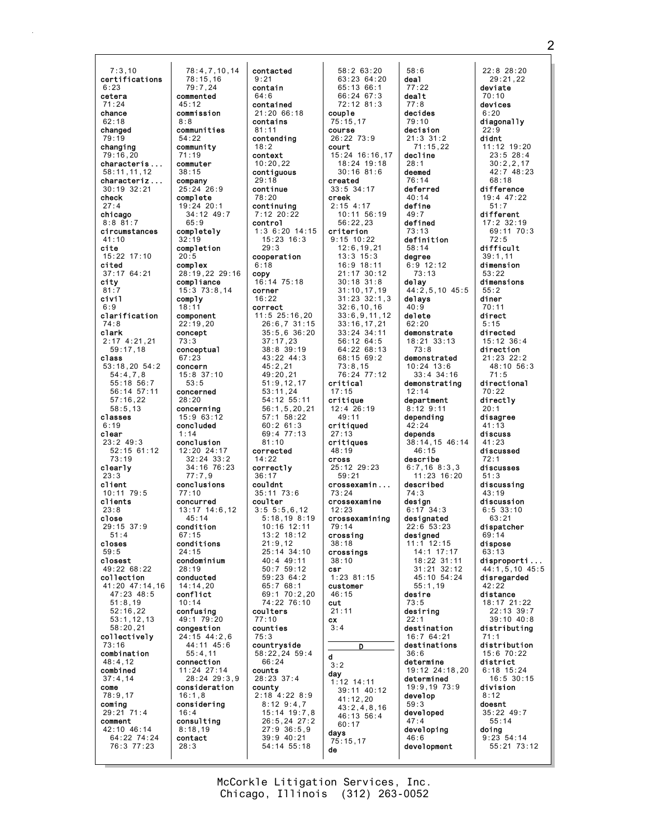7:3,10 certifications 6:23 cetera 71:24 chance  $62.18$ changed 79:19 changing 79:16,20 characteris ... 58:11,11,12 characteriz ... 30:19 32:21 check  $27:4$ chicago 8:8 81:7 circumstances 41:10 cite 15:22 17:10 cited 37:17 64:21 city 81:7 civil 6:9 clarification 74:8 clark 2:17 4:21,21 59:17,18 class 53:18,20 54:2 54:4,7,8 55:18 56:7 56:14 57:11 57:16,22 58:5,13 classes 6:19 clear 23:2 49:3 52:15 61:12 73:19 clearly  $23.3$ client 10:11 79:5 clients 23:8 close 29:15 37:9 51:4 closes 59:5 closest  $49.22$   $68.22$ collection 41:20 47:14,16 47:23 48:5 51:8,19 52:16,22 53:1,12,13 58:20,21 collectively 73:16 combination 48:4,12 combined 37:4,14 come 78:9,17 coming 29:21 71:4 comment 42:10 46:14 64:22 74:24 76:3 77:23 8:8  $20:5$ 

78:4,7,10,14 78:15,16 79:7,24 commented 45:12 commission communities 54:22 community 71:19 commuter 38:15 company 25:24 26:9 complete 19:24 20:1  $34 \cdot 12$   $49 \cdot 7$ 65:9 completely 32:19 completion complex 28:19,22 29:16 compliance 15:3 73:8,14 comply  $18.1$ component 22:19,20 concept 73:3 conceptual 67:23 concern 15:8 37:10  $53:5$ concerned 28:20 concerning 15:9 63:12 concluded 1:14 conclusion 12:20 24:17 32:24 33:2 34:16 76:23  $77.79$ conclusions 77:10 concurred 13:17 14:6,12 45:14 condition  $67:15$ conditions 24:15 condominium  $28.19$ conducted 14:14,20 conflict 10:14 confusing 49:1 79:20 congestion 24:15 44:2,6 44:11 45:6 55:4,11 connection 11:24 27:14 28:24 29:3,9 consideration 16:1,8 considering 16:4 consulting 8:18,19 contact 28:3 contacted 9:21 contain 64:6 contained contains 81:11 contending  $18.2$ context 10:20,22 contiguous 29:18 continue 78:20 continuing control 29:3 6:18 copy corner 16:22 correct 81:10 corrected 14:22 correctly 36:17 couldnt coulter coulters 77:10 counties 75:3  $66.24$ counts 28:23 37:4 county

21:20 66:18 7:12 20:22 1:3 6:20 14:15 15:23 16:3 cooperation 16:14 75:18 11:5 25:16,20 26:6,7 31:15 35:5,6 36:20 37:17,23 38:8 39:19 43:22 44:3 45:2,21 49:20,21 51:9,12,17 53:11,24 54:12 55:11 56:1,5,20,21 57:1 58:22 60:2 61:3 69:4 77:13 35:11 73:6 3:5 5:5,6,12 5:18,19 8:19 10:16 12:11 13:2 18:12  $21.9, 12$ 25:14 34:10 40:4 49:11  $50.7 50.12$ 59:23 64:2 65:7 68:1 69:1 70:2,20 74:22 76:10 countryside 58:22,24 59:4 2:18 4:22 8:9 8:12 9:4,7 15:14 19:7,8 26:5,24 27:2 27:9 36:5,9 39:9 40:21 54:14 55:18 couple 75:15,17 course 26:22 73:9 court created 33:5 34:17 creek 2:15 4:17 56:22,23 criterion 9:15 10:22 13:3 15:3 73:8,15 critical 17:15 critique 12:4 26:19 49:11 critiqued 27:13 critiques 48:19 cross 25:12 29:23 59:21 crossexamin ... 73:24 crossexamine 12:23 79:14 crossing 38:18 crossings 38:10 csr 1:23 81:15 customer 46:15 cut 21:11 cx 3:4 d 3:2 day 1:12 14:11 41:12,20 60:17 days 75:15,17 de

58:2 63:20 63:23 64:20 65:13 66:1 66:24 67:3 72:12 81:3 15:24 16:16,17 18:24 19:18 30:16 81:6 10:11 56:19 12:6,19,21 16:9 18:11 21:17 30:12 30:18 31:8 31:10,17,19 31:23 32:1,3 32:6,10,16 33:6,9,11,12 33:16,17,21 33:24 34:11 56:12 64:5 64:22 68:13 68:15 69:2 76:24 77:12 crossexamining D 39:11 40:12 43:2,4,8,16 46:13 56:4 58:6 deal 77:22 dealt 77:8 decides 79:10 decision 21:3 31:2 71:15,22 decline 28:1 deemed 76:14 deferred 40:14 define  $49.7$ defined 73:13 definition 58:14 degree 6:9 12:12 73:13 delay 44:2,5,10 45:5 delays  $40 \cdot 9$ delete 62:20 demonstrate 18:21 33:13 73:8 demonstrated 10:24 13:6 33:4 34:16 demonstrating 12:14 department 8:12 9:11 depending 42:24 depends 38:14,15 46:14 46:15 describe 6:7,16 8:3,3  $11.23$   $16.20$ described 74:3 design 6:17 34:3 designated 22:6 53:23 designed 11:1 12:15 14:1 17:17 18:22 31:11 31:21 32:12 45:10 54:24 55:1,19 desire 73:5 desiring 22:1 destination 16:7 64:21 destinations 36:6 determine 19:12 24:18,20 determined 19:9,19 73:9 develop 59:3 developed 47:4 developing 46:6 development

22:8 28:20 29:21,22 deviate 70:10 devices 6:20 diagonally  $22:9$ didnt 11:12 19:20 23:5 28:4 30:2,2,17  $42.7$   $48.23$ 68:18 difference 19:4 47:22 51:7 different 17:2 32:19 69:11 70:3  $72.5$ difficult 39:1,11 dimension 53:22 dimensions 55:2 diner 70:11 direct 5:15 directed 15:12 36:4 direction 21:23 22:2 48:10 56:3 71:5 directional 70:22 directly 20:1 disagree  $41:13$ discuss 41:23 discussed 72:1 discusses 51:3 discussing 43:19 discussion 6:5 33:10  $63.21$ dispatcher 69:14 dispose 63:13 disproporti ... 44:1,5,10 45:5 disregarded 42:22 distance 18:17 21:22 22:13 39:7 39:10 40:8 distributing 71:1 distribution 15:6 70:22 district 6:18 15:24 16:5 30:15 division 8:12 doesnt 35:22 49:7 55:14 doing 9:23 54:14 55:21 73:12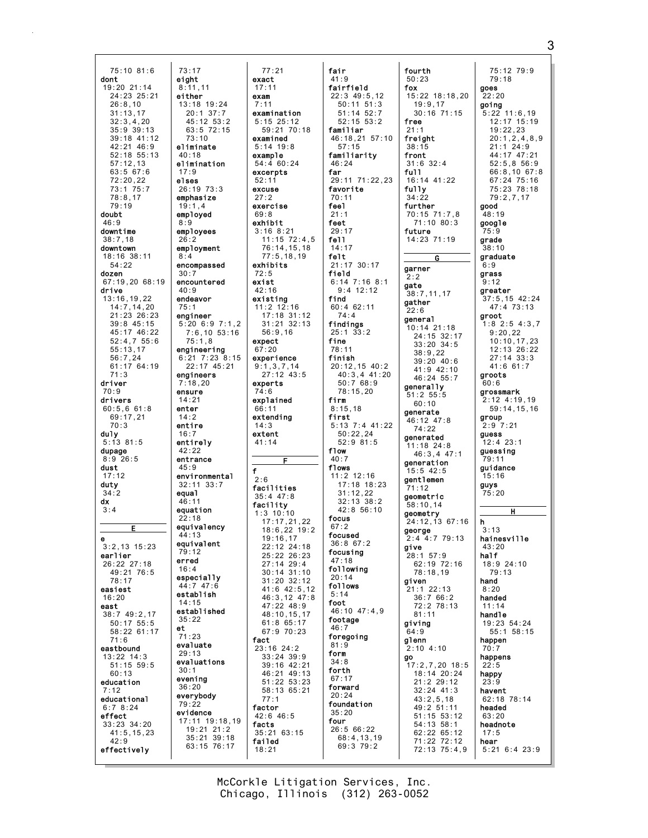75:10 81:6 dont  $19:20$  21:14 24:23 25:21  $26:8.10$  $31:13,17$ <br> $32:3.4.20$  $35:9.39:13$  $39:18$  41:12  $42.21$   $46.9$  $52:18$   $55:13$  $57:12.13$  $63:567:6$  $72:20.22$ 73:1 75:7  $78.817$  $79:19$ doubt  $46:9$ downtime  $38:7,18$ downtown 18:16 38:11  $54.22$ dozen 67:19,20 68:19 drive  $13:16, 19, 22$  $14:7, 14, 20$ 21:23 26:23  $39:8$  45:15 45:17 46:22  $52:4,755:6$  $55:13,17$  $56:7,24$  $61:17$  64:19  $71:3$ driver  $70:9$ drivers  $60:5,661:8$ 69:17.21  $70:3$ dul v  $5:13$  81:5 dupage  $8:9.26:5$ dust  $17:12$ duty  $34:2$ dx  $3:4$ F  $3:2,13$  15:23 earlier 26:22 27:18 49:21 76:5  $78.17$ easiest  $16:20$ east 38:7 49:2.17  $50:17$   $55:5$ 58:22 61:17  $71:6$ eastbound  $13:22$   $14:3$  $51:15$  59:5  $60.13$ education  $7:12$ educational  $6:78:24$ effect  $33:23$   $34:20$  $41:5, 15, 23$  $42:9$ effectively

 $73:17$ 

eight

 $8:11.11$ 

 $13:18$  19:24

 $20:1$  37:7

 $45:12$  53:2

 $63:5$  72:15

 $73 \cdot 10$ 

eliminate

elimination

26:19 73:3

emphasize

 $19:1.4$ 

 $8:9$ 

 $26.2$ 

 $8:4$ 

 $30:7$ 

 $40:9$ 

 $75:1$ 

endeavor

engineer

 $75:1.8$ 

engineers

 $7.18.20$ 

ensure

 $14:21$ 

enter

 $14:2$ 

 $16:7$ 

entire

 $42:22$ 

 $45:9$ 

equal

 $46:11$ 

 $22.18$ 

 $44.13$ 

 $79:12$ 

erred

 $16.1$ 

 $14:15$ 

 $35:22$ 

 $71.23$ 

 $29:13$ 

 $30:1$ 

evening

everybody

evidence

19:21 21:2

 $18:21$ 

 $36:20$ 

 $79:22$ 

evaluate

evaluations

 $et$ 

equation

entirely

entrance

environmental

 $32:11$   $33:7$ 

equivalencv

equivalent

especially

44:7 47:6

established

establish

engineering

employed

employees

employment

encompassed

encountered

 $40:18$ 

 $17:9$ 

elses

either

 $77:21$ exact  $17:11$ exam  $7:11$ examination  $5:15$  25:12  $.18 \, \text{E}$   $.12 \, \text{F}$ <br>59:21 70:18 berimere  $5.14$  19.8 example 54:4 60:24 excerpts  $52.11$ excuse  $27:2$ exercise  $69.8$ exhibit  $3:168:21$  $11:15$   $72:4.5$  $76:14, 15, 18$  $77:5, 18, 19$ exhibits  $72:5$ exist  $42:16$ existing  $11:2$  12:16 17:18 31:12  $5:20$  6:9 7:1,2  $31:21$   $32:13$  $7:6, 10, 53:16$  $56:9.16$ expect  $67:20$  $6:21$  7:23  $8:15$ experience 22:17 45:21  $9:1,3,7,14$  $27:12$  43:5 experts 74:6 explained 66:11 extendina  $14:3$ extent  $41:14$ F  $\mathbf{f}$  $2:6$ facilities  $35:4$  47:8 facility  $1:3$  10:10  $17:17,21,22$  $18:6.22$  19:2  $19:16,17$ 22:12 24:18  $25:22$   $26:23$  $27:14$  29:4  $30:14$   $31:10$  $31:20$   $32:12$  $41:6$   $42:5,12$ 46:3,12 47:8  $47:2248:9$ 48:10,15,17  $61:865:17$ 67:9 70:23 fact  $23:16$  24:2  $33:24$  39:9 39:16 42:21 46:21 49:13 51:22 53:23  $58:1365:21$  $77:1$ factor  $42:6$  46:5 17:11 19:18,19 facts  $35:2163:15$  $35:21$  39:18 failed 63:15 76:17

fair  $41:9$ fairfield  $22:3$  49:5.12  $\frac{2}{50}:11 \quad 51:3$  $51:14$   $52:7$  $52:15$  53:2 familiar 46:18.21 57:10  $57:15$ familiarity  $46:24$ far 29:11 71:22.23 favorite  $70:11$ feel  $21.1$ feet  $29:17$ fel1  $14:17$ felt  $21:17$  30:17 field  $6:14$  7:16 8:1  $9:4$  12:12 find  $60:462:11$  $74:4$ findings  $25:1$   $33:2$ fine 78:11 finish 20:12,15 40:2 40:3,4 41:20  $50:7^{68}:9$  $78:15,20$ firm  $8:15,18$ first  $5:13$  7:4 41:22  $50:22.24$  $52:9.81:5$ flow  $40:7$ flows  $11:2$  12:16  $17:18$  18:23  $31:12,22$  $32:13$   $38:2$  $42:8.56:10$ focus  $67:2$ focused  $36.867.2$ focusing  $47:18$ following  $20:14$ follows  $5:14$ foot 46:10 47:4,9 footage  $46:7$ foregoing  $81:9$ form  $34.8$ forth  $67:17$ forward  $20:24$ foundation  $35:20$ four  $26:566:22$  $68:4,13,19$  $69:379:2$ 

fourth  $50:23$ fox  $\frac{15}{15}:22$  18:18.20  $19:9.17$  $30:16$  71:15 free  $21:1$ freight  $38.15$ front  $31:6$   $32:4$  $fu11$ 16:14 41:22 fully  $34:22$ further 70:15 71:7.8 71:10 80:3 future  $14:23$  71:19 G  $6:9$ garner  $2:2$ gate  $38:7,11,17$ gather  $22:6$ deneral 10:14 21:18  $24:15$  32:17<br>33:20 34:5  $38:9.22$  $39:20$  40:6  $41:9$  42:10  $46:24$  55:7 generally  $51:2$  55:5  $60:10$ generate 46:12 47:8  $74.22$ generated  $11:18$  24:8  $46:3.4$   $47:1$ deneration  $15:5$  42:5 gentlemen 71:12 geometric  $58:10,14$ geometry  $24:12,13$  67:16 h george  $2:4$  4:7 79:13 give  $28:1$  57:9 62:19 72:16  $78:18,19$ given  $21:1$  22:13  $36:766:2$ 72:2 78:13  $81:11$ giving  $64:9$ glenn  $2:10$  4:10 go  $17:2,7,20$  18:5  $18:14$  20:24  $21:2$  29:12  $32:24$  41:3  $43:2,5,18$  $49:2^{6}51:11$  $51:15$   $53:12$  $54:13$   $58:1$ 62:22 65:12  $71:22$   $72:12$ hear  $72:13$   $75:4.9$  $5:21$  6:4 23:9

75:12 79:9  $79:18$ goes  $22:20$ going  $5:22$  11:6.19  $\frac{12}{12:17}$  15:19  $19:22.23$  $20:1, 2, 4, 8, 9$  $21 \cdot 1 \cdot 24 \cdot 9$ 44:17 47:21  $52:5.856:9$  $66:8.1067:8$  $67:24$   $75:16$ 75:23 78:18  $79:2.7.17$ good  $48.19$ google  $75:9$ grade 38:10 graduate grass  $9:12$ greater 37:5,15 42:24  $47:473:13$ groot  $1:8$  2:5 4:3,7  $9:20.22$  $10:10.17.23$ 12:13 26:22  $27:14$  33:3  $41:661:7$ aroots  $60.6$ grossmark  $2:12$  4:19.19  $59:14, 15, 16$ aroup  $2.97.21$ quess  $12:4$  23:1 auessing  $79:11$ quidance  $15.16$ guys  $75:20$  $\overline{\mathbf{H}}$  $3.13$ hainesville  $43:20$ half 18:9 24:10 79:13 hand  $8:20$ handed  $11:14$ handle 19:23 54:24  $55:1$   $58:15$ happen happens  $22:5$ happy  $23:9$ havent 62:18 78:14 headed  $63:20$ headnote  $17:5$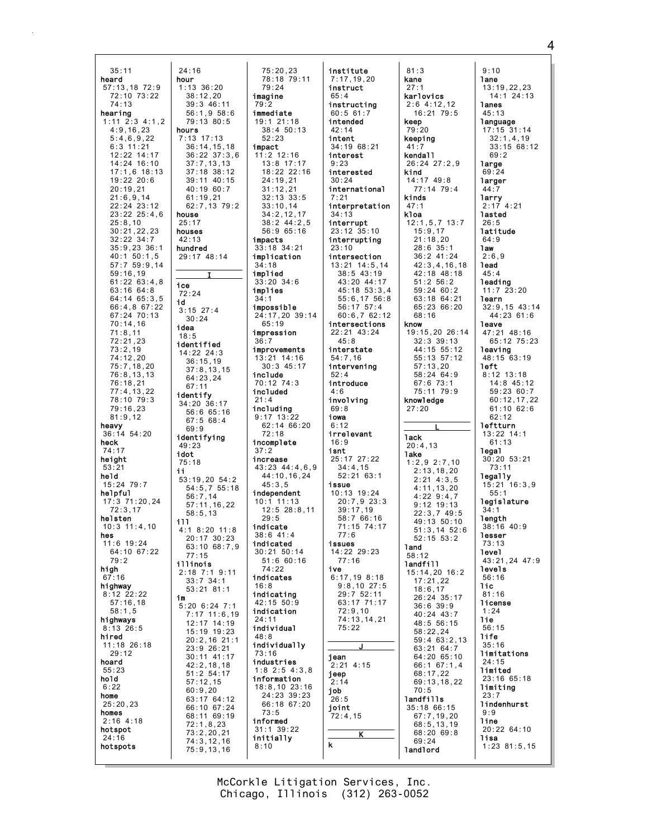$24:16$  $35:11$ heard hour  $57:13.18$  72:9 72:10 73:22  $74:13$ **hearing**<br> $1:11 \t2:3 \t4:1,2$  $4:9.16.23$ hours  $5:4,6,9,22$  $6.311.21$  $12:22$   $14:17$ 14:24 16:10  $17:1.6$  18:13  $19:22$   $20:6$  $20:19.21$  $21:6.9.14$ 22:24 23:12 23:22 25:4,6 house  $25:8,10$  $25:17$ 30:21,22,23 houses  $42:13$  $32:22$   $34:7$  $35:9,23$  36:1 hundred  $40:1$  50:1,5 57:7 59:9,14  $59:16,19$  $61:22$   $63:4,8$ ice  $63:1664:8$  $72:24$ 64:14 65:3,5 id 66:4,8 67:22 67:24 70:13  $70:14,16$ idea  $71:8.11$  $18:5$  $72:21.23$  $73:2,19$  $74:12.20$  $75:7,18,20$ 76:8,13,13  $76:18,21$  $77:4.13.22$ identify 78:10 79:3 79:16.23  $81:9.12$ heavy  $36:14$  54:20 heck  $49:23$  $74:17$ toht height  $75.18$  $53:21$  $11$ held  $15:24$  79:7 helpful  $17:3$   $71:20.24$  $72:3.17$ helsten 111  $10:3$  11:4.10 hes  $11.6$  19.24  $64:10.67:22$  $79:2$ illinois high  $67:16$ highway  $8:12$  22:22 im  $57:16,18$  $58:1,5$ highways  $8:13$  26:5 hired 11:18 26:18  $29:12$ hoard  $55:23$ hold  $6:22$ home  $25:20,23$ homes  $2:16$  4:18 hotspot  $24:16$ hotspots

 $75:20,23$ 78:18 79:11  $1:13$  36:20  $79:24$  $38:12.20$ imagine  $39:346:11$  $79:2$  $56:1.958:6$ immediate  $79:13.80:5$  $19.121.18$  $38:450:13$ 7:13 17:13  $52.23$  $36:14, 15, 18$ impact  $36:22.37:3.6$  $11:2$  12:16  $37:7,13,13$ 13:8 17:17  $37:18$   $38:12$ 18:22 22:16 39:11 40:15  $24:19.21$ 40:19 60:7  $31:12,21$  $61:19.21$  $32:13.33:5$ 62:7,13 79:2  $33:10.14$  $34:2, 12, 17$  $38:2$  44:2.5  $56:965:16$ impacts 33:18 34:21 29:17 48:14 implication  $34.18$ implied  $33:20$   $34:6$ implies impossible  $3:15$  27:4 24:17,20 39:14  $65:19$ impression  $36:7$ identified improvements  $14:22$   $24:3$  $13:21$  14:16  $36:15,19$  $30:3$  45:17  $37:8.13.15$ include  $64:23.24$  $70.1274.3$ included  $21 \cdot 4$  $34:20.36:17$ including  $56.665.16$  $9:17$  13:22  $67:568:4$  $62:14$  66:20  $72:18$ identifying incomplete  $37:2$ increase 43:23 44:4.6.9 44:10.16.24 53:19,20 54:2  $45:3.5$ 54:5,7 55:18 independent  $56:7.14$  $10:1$  11:13  $57:11, 16, 22$  $12:5$   $28:8.11$  $58:5,13$  $29.5$ indicate  $4:1$  8:20 11:8  $38:6$  41:4 20:17 30:23 indicated 63:10 68:7,9  $30:21$  50:14  $51:660:16$  $71.22$ 2:18 7:1 9:11 indicates  $33:7$  34:1  $16:8$  $53:21$   $81:1$ indicating  $42:15.50:9$  $5:20$  6:24 7:1 indication  $7:17$  11:6,19  $24:11$  $12:17$   $14:19$ individual 15:19 19:23  $48.8$  $20:2,16$  21:1 individually  $23:9^{6}26:21$  $73:16$ 30:11 41:17 industries  $42:2,18,18$  $1:8$  2:5 4:3,8  $51:2$  54:17 information  $57:12,15$ 18:8,10 23:16  $60:9.20$  $24:23$  39:23  $63:1764:12$ 66:18 67:20 66:10 67:24  $73:5$ 68:11 69:19 informed  $72:1.8.23$ 31:1 39:22  $73:2,20,21$ initially  $74:3.12.16$  $8:10$  $75:9.13.16$ 

 $30:24$ 

 $67:11$ 

 $69.9$ 

 $77:15$ 

institute  $7:17,19,20$ instruct  $65:4$ instructing  $60:561:7$ intended  $42:14$ intent  $34:1968:21$ interest  $9:23$ interested  $30:24$ international  $7:21$ interpretation  $34.13$ interrupt 23:12 35:10 interrupting  $23:10$ intersection 13:21 14:5,14  $38:5$  43:19 43:20 44:17 45:18 53:3,4  $55:6, 17, 56:8$  $56:17$  57:4  $60:6,762:12$ intersections  $22:21$  43:24  $45:8$ interstate  $54:7,16$ intervening  $52:4$ introduce  $4:6$ involving  $69:8$ iowa  $6:12$ irrelevant  $16:9$ isnt 25:17 27:22  $34:4,15$ <br> $52:21$  63:1 issue  $10:13$  19:24  $20:7.923:3$  $39:17.19$  $58.766.16$ 71:15 74:17  $77.6$ issues  $14:22$   $29:23$  $77:16$ ive  $6:17,198:18$  $9:8,10$  27:5 29:7 52:11  $63:17$  71:17  $72:9,10$ 74:13,14,21  $75:22$ jean  $2:21$  4:15 ieep  $2:14$ job  $26:5$ ioint  $72:4.15$ k

 $81:3$ kane  $27:1$ karlovics  $2:6$  4:12.12  $16:21$  79:5 keep  $79:20$ keeping  $41 \cdot 7$ kenda11 26:24 27:2.9 kind  $14:17$   $49:8$  $77:14$  79:4 kinds  $47:1$ kloa  $12:1,5,7$  13:7  $15:9,17$  $21:18.20$  $28:6$  35:1 36:2 41:24  $42:3,4,16,18$  $42:18$   $48:18$  $51:2$   $56:2$ 59:24 60:2 63:18 64:21 65:23 66:20 68:16 know 19:15,20 26:14  $32:3$  39:13 44:15 55:12  $55:13$   $57:12$  $57:13,20$ 58:24 64:9  $67:6$   $73:1$ 75:11 79:9 knowledge  $27:20$ **Tack**  $20:4.13$ **lake**  $1:2.92:7.10$  $2:13,18,20$  $2:21$  4:3,5  $4:11.13.20$  $4:229:4.7$  $9:12$  19:13  $22:3.749:5$ 49:13 50:10  $51:3.14$   $52:6$  $52:15.53:2$ **land**  $58:12$ landfill 15:14,20 16:2  $17:21,22$  $18:6.17$ 26:24 35:17  $36:6$  39:9  $40:24$   $43:7$ 48:5 56:15  $58:22.24$  $59:463:2,13$  $63:2164:7$ 64:20 65:10  $66:1$  67:1,4  $68:17,22$  $69:13,18,22$  $70:5$ landfills  $35:18.66:15$  $67:7.19.20$ 68:5.13.19  $68:20.69:8$  $69:24$ 

**landlord** 

 $9:10$ lane  $13:19,22,23$  $14:1$  24:13 lanes  $45:13$ language  $17:15$  31:14  $32:1.4.19$  $33.15$  68.12  $69:2$ large  $69:24$ larger  $44:7$ larry  $2:17$  4:21 lasted  $26:5$ latitude  $64:9$ **1aw**  $2:6,9$ lead  $45:4$ leading  $11:7$  23:20 learn  $32:9,15$  43:14  $44:23$  61:6 leave  $47:21$   $48:16$ 65:12 75:23 leaving  $48:15$  63:19 left  $8:12$  13:18  $14:8$  45:12 59:23 60:7  $60:12.17.22$  $61:10.62:6$  $62:12$ leftturn  $13:22$  14:1  $61:13$ 1ega1  $30:20.53:21$  $73:11$ legally  $15:21$   $16:3.9$  $55:1$ legislature  $34:1$ length  $38:16$  40:9 lesser  $73.13$ level 43:21,24 47:9 levels  $56:16$  $11c$  $81:16$ license  $1:24$ 1ie  $56:15$ life  $35:16$ limitations  $24:15$ limited 23:16 65:18 limiting lindenhurst  $9:9$ line 20:22 64:10 **lisa**  $1:23$   $81:5,15$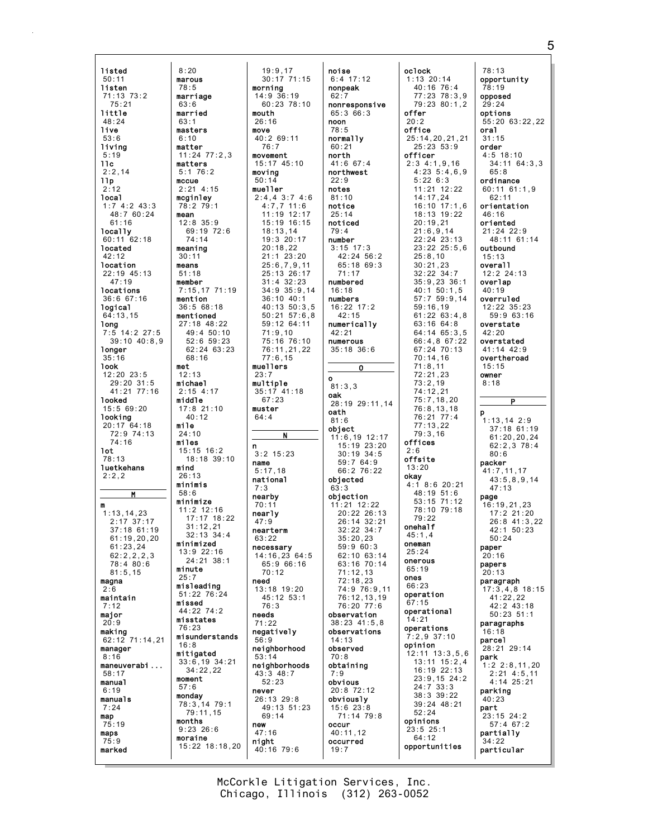listed 50:11 listen 71:13 73:2 75:21 little  $48.24$ live 53:6 living 5:19  $11c$  $2:2.14$ llp 2:12 local 1:7 4:2 43:3  $48.7 60.24$  $61:16$ locally 60:11 62:18 located 42:12 location 22:19 45:13 47:19 locations 36:6 67:16 logical 64:13,15 long 7:5 14:2 27:5 39:10 40:8,9 longer 35:16 look 12:20 23:5 29:20 31:5 41:21 77:16 looked 15:5 69:20 looking 20:17 64:18 72:9 74:13 74:16 lot 78:13 luetkehans  $2.2.2$ M m 1:13,14,23 2:17 37:17 37:18 61:19 61:19,20,20 61:23,24 62:2,2,2,3 78:4 80:6 81:5,15 magna 2:6 maintain 7:12 major  $20:9$ making 62:12 71:14,21 manager 8:16 maneuverabi ... 58:17 manual 6:19 manuals 7:24 map 75:19 maps 75:9 marked

8:20 marous 78:5 marriage 63:6 married  $63:1$ masters  $6:10$ matter

matters 5:1 76:2 mccue

mcginley 78:2 79:1 mean

74:14 meaning 30:11 means 51:18 member

mention

mentioned

68:16 met 12:13 michael 2:15 4:17 middle

40:12 mile 24:10 miles

minimized

minute 25:7

missed

16:8 mitigated

moment 57:6 monday

months

moraine

misstates 76:23

mind  $26.13$ minimis 58:6 minimize

11:24 77:2,3 2:21 4:15 12:8 35:9 69:19 72:6 7:15,17 71:19 36:5 68:18 27:18 48:22 49:4 50:10 52:6 59:23 62:24 63:23 17:8 21:10 15:15 16:2 18:18 39:10 11:2 12:16 17:17 18:22 31:12,21 32:13 34:4 13:9 22:16 24:21 38:1 misleading 51:22 76:24 44:22 74:2 misunderstands 33:6,19 34:21 34:22,22 78:3,14 79:1 79:11,15 9:23 26:6 15:22 18:18,20 19:9,17 30:17 71:15 morning 14:9 36:19 60:23 78:10 mouth 26:16 move 40:2 69:11 76:7 movement 15:17 45:10 moving 50:14 mueller 2:4,4 3:7 4:6 4:7,7 11:6  $11 \cdot 19$   $12 \cdot 17$ 15:19 16:15 18:13,14 19:3 20:17 20:18,22 21:1 23:20 25:6,7,9,11 25:13 26:17 31:4 32:23 34:9 35:9,14 36:10 40:1 40:13 50:3,5 50:21 57:6,8 59:12 64:11 71:9,10 75:16 76:10 76:11,21,22 77:6,15 muellers 23:7 multiple 35:17 41:18 67:23 muster 64:4 N n 3:2 15:23 name 5:17,18 national 7:3 nearby 70:11 nearly 47:9 nearterm 63:22 necessary 14:16,23 64:5 65:9 66:16 70:12 need 13:18 19:20 45:12 53:1 76:3 needs 71:22 negatively 56:9 neighborhood 53:14 neighborhoods 43:3 48:7 52:23 never 26:13 29:8 49:13 51:23 69:14 new 47:16 night 40:16 79:6

noise  $6:4$  17:12 nonpeak 62:7 nonresponsive 65:3 66:3 noon 78:5 normally  $60.21$ north 41:6 67:4 northwest  $22.9$ notes 81:10 notice  $25:14$ noticed 79:4 number 3:15 17:3 42:24 56:2 65:18 69:3 71:17 numbered 16:18 numbers 16:22 17:2 42:15 numerically 42:21 numerous 35:18 36:6 O o 81:3,3 oak 28:19 29:11,14 oath 81:6 object 11:6,19 12:17 15:19 23:20 30:19 34:5 59:7 64:9 66:2 76:22 objected  $63.3$ objection 11:21 12:22 20:22 26:13 26:14 32:21  $32.22 34.7$ 35:20,23 59:9 60:3 62:10 63:14 63:16 70:14 71:12,13 72:18,23 74:9 76:9,11 76:12,13,19 76:20 77:6 observation 38:23 41:5,8 observations 14:13 observed 70:8 obtaining 7:9 obvious 20:8 72:12 obviously 15:6 23:8 71:14 79:8 occur 40:11,12 occurred 19:7

oclock 1:13 20:14 40:16 76:4 77:23 78:3,9 79:23 80:1,2 offer  $20 \cdot 2$ office 25:14,20,21,21  $25:23 \quad 53:9$ officer 2:3 4:1,9,16 4:23 5:4,6,9 5:22 6:3 11:21 12:22 14:17,24 16:10 17:1,6 18:13 19:22 20:19,21 21:6,9,14 22:24 23:13 23:22 25:5,6 25:8,10 30:21,23 32:22 34:7 35:9,23 36:1 40:1 50:1,5 57:7 59:9,14 59:16,19 61:22 63:4,8 63:16 64:8 64:14 65:3,5 66:4,8 67:22 67:24 70:13 70:14,16 71:8,11 72:21,23 73:2,19 74:12,21 75:7,18,20 76:8,13,18 76:21 77:4 77:13,22 79:3,16 offices  $2.6$ offsite 13:20 okay  $4:1$  8:6 20:21 48:19 51:6 53:15 71:12 78:10 79:18 79:22 onehalf 45:1,4 oneman  $25.24$ onerous 65:19 ones 66:23 operation 67:15 operational 14:21 operations 7:2,9 37:10 opinion 12:11 13:3,5,6 13:11 15:2,4 16:19 22:13 23:9,15 24:2 24:7 33:3 38:3 39:22 39:24 48:21 52:24 opinions 23:5 25:1 64:12 opportunities

78:13 opportunity 78:19 opposed 29:24 options 55:20 63:22,22 oral 31:15 order 4:5 18:10 34:11 64:3,3  $65.8$ ordinance 60:11 61:1,9  $62.11$ orientation 46:16 oriented 21:24 22:9 48:11 61:14 outbound 15:13 overall 12:2 24:13 overlap 40:19 overruled 12:22 35:23 59:9 63:16 overstate 42:20 overstated 41:14 42:9 overtheroad 15:15 owner 8:18 P p 1:13,14 2:9 37:18 61:19  $61:20,20,24$ 62:2,3 78:4  $80.6$ packer 41:7,11,17 43:5,8,9,14 47:13 page 16:19,21,23 17:2 21:20 26:8 41:3,22  $42 \cdot 1$  50 $\cdot 23$ 50:24 paper 20:16 papers 20:13 paragraph 17:3,4,8 18:15 41:22,22 42:2 43:18 50:23 51:1 paragraphs 16:18 parcel 28:21 29:14 park 1:2 2:8,11,20 2:21 4:5,11 4:14 25:21 parking 40:23 part 23:15 24:2 57:4 67:2 partially 34:22 particular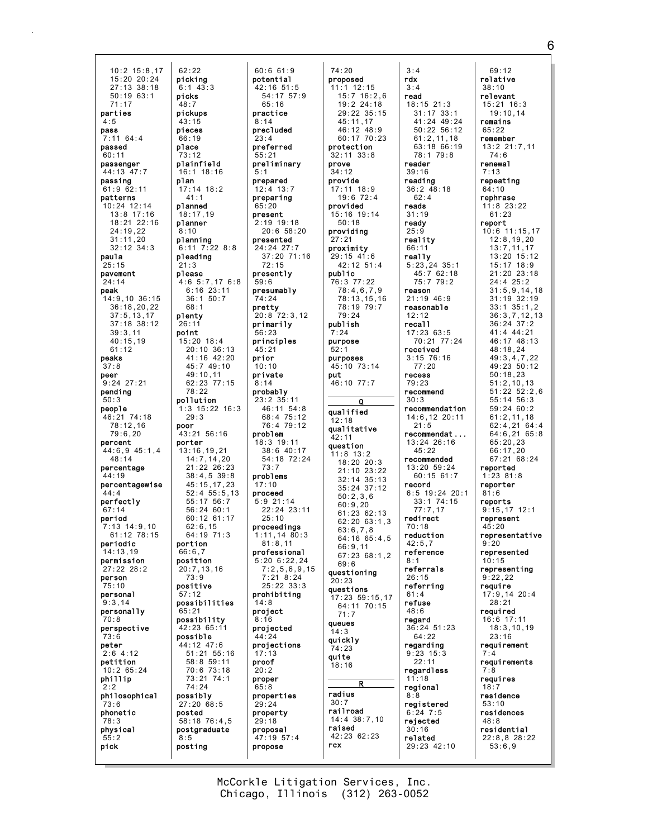10:2 15:8,17 15:20 20:24 27:13 38:18 50:19 63:1 71:17 parties  $A.5$ pass 7:11 64:4 passed 60:11 passenger 44:13 47:7 passing 61:9 62:11 patterns 10:24 12:14 13:8 17:16 18:21 22:16 24:19,22 31:11,20 32:12 34:3 paula  $25.15$ pavement 24:14 peak 14:9,10 36:15 36:18,20,22 37:5,13,17 37:18 38:12 39:3,11 40:15,19 61:12 peaks 37:8 peer 9:24 27:21 pending 50:3 people 46:21 74:18 78:12,16 79:6,20 percent 44:6,9 45:1,4 48:14 percentage  $44.19$ percentagewise  $44 \cdot 4$ perfectly  $67:14$ period 7:13 14:9,10 61:12 78:15 periodic 14:13,19 permission 27:22 28:2 person 75:10 personal 9:3,14 personally 70:8 perspective 73:6 peter 2:6 4:12 petition 10:2 65:24 phillip 2:2 philosophical 73:6 phonetic 78:3 physical 55:2 pick 62:22 picking  $6:1$  43:3 picks pickups pieces place plainfield plan planned planner planning pleading please plenty point pollution poor porter portion position positive possibility possible possibly posted posting

48:7

 $43 \cdot 15$ 

66:19

73:12

41:1

18:17,19

8:10

21:3

 $68.1$ 

49:10,11

78:22

29:3

62:6,15

 $66.67$ 

73:9

57:12

65:21

74:24

8:5

26:11

16:1 18:16 17:14 18:2 6:11 7:22 8:8 4:6 5:7,17 6:8 6:16 23:11 36:1 50:7 15:20 18:4 20:10 36:13 41:16 42:20 45:7 49:10 62:23 77:15 1:3 15:22 16:3 43:21 56:16 13:16,19,21 14:7,14,20 21:22 26:23  $38 \cdot 4$ , 5  $39 \cdot 8$ 45:15,17,23 52:4 55:5,13 55:17 56:7 56:24 60:1 60:12 61:17 64:19 71:3 20:7,13,16 possibilities 42:23 65:11 44:12 47:6 51:21 55:16 58:8 59:11 70:6 73:18 73:21 74:1 27:20 68:5 58:18 76:4,5 postgraduate 60:6 61:9 potential 42:16 51:5 54:17 57:9 65:16 practice  $8:14$ precluded  $23 \cdot 4$ preferred  $55.2$ preliminary 5:1 prepared 12:4 13:7 preparing 65:20 present 2:19 19:18 20:6 58:20 presented 24:24 27:7 37:20 71:16  $72.15$ presently 59:6 presumably 74:24 pretty 20:8 72:3,12 primarily 56:23 principles 45:21 prior  $10:10$ private  $8:14$ probably 23:2 35:11 46:11 54:8 68:4 75:12 76:4 79:12 problem 18:3 19:11 38:6 40:17 54:18 72:24 73:7 problems 17:10 proceed 5:9 21:14 22:24 23:11  $25:10$ proceedings 1:11,14 80:3  $81 \cdot 8$  11 professional 5:20 6:22,24  $7:2,5,6,9,15$ 7:21 8:24 25:22 33:3 prohibiting 14:8 project 8:16 projected 44:24 projections 17:13 proof 20:2 proper 65:8 properties 29:24 property 29:18 proposal 47:19 57:4 propose

74:20 proposed 11:1 12:15 15:7 16:2,6 19:2 24:18 29:22 35:15  $45 \cdot 11$ , 17 46:12 48:9 60:17 70:23 protection 32:11 33:8 prove 34:12 provide 17:11 18:9  $19.672.4$ provided 15:16 19:14 50:18 providing 27:21 proximity 29:15 41:6 42:12 51:4 public 76:3 77:22 78:4,6,7,9 78:13,15,16 78:19 79:7 79:24 publish 7:24 purpose 52:1 purposes 45:10 73:14 put 46:10 77:7 Q qualified 12:18 qualitative  $42.11$ question 11:8 13:2 18:20 20:3 21:10 23:22 32:14 35:13 35:24 37:12 50:2,3,6 60:9,20 61:23 62:13 62:20 63:1,3 63:6,7,8 64:16 65:4,5 66:9,11 67:23 68:1,2 69:6 questioning .<br>20 : 23 questions 17:23 59:15,17 64:11 70:15 71:7 queues 14:3 quickly 74:23 quite 18:16 R radius  $30 \cdot 7$ railroad 14:4 38:7,10 raised 42:23 62:23 rcx

3:4 rdx 3:4 read  $18:15$  21:3 31:17 33:1 41:24 49:24 50:22 56:12 61:2,11,18 63:18 66:19 78:1 79:8 reader 39:16 reading 36:2 48:18  $62 \cdot 4$ reads 31:19 ready  $25:9$ reality 66:11 really 5:23,24 35:1 45:7 62:18 75:7 79:2 reason 21:19 46:9 reasonable 12:12 recall 17:23 63:5 70:21 77:24 received 3:15 76:16 77:20 recess 79:23 recommend 30:3 recommendation 14:6,12 20:11  $21.5$ recommendat ... 13:24 26:16 45:22 recommended 13:20 59:24 60:15 61:7 record 6:5 19:24 20:1 33:1 74:15 77:7,17 redirect 70:18 reduction 42:5,7 reference 8:1 referrals 26:15 referring 61:4 refuse 48:6 regard 36:24 51:23 64:22 regarding 9:23 15:3  $22.11$ regardless 11:18 regional 8:8 registered  $6:24$  7:5 rejected 30:16 related 29:23 42:10

69:12 relative 38:10 relevant 15:21 16:3 19:10,14 remains 65:22 remember  $13:2$   $21:7$  11 74:6 renewal 7:13 repeating 64:10 rephrase 11:8 23:22  $61.23$ report 10:6 11:15,17 12:8,19,20 13:7,11,17 13:20 15:12 15:17 18:9 21:20 23:18 24:4 25:2 31:5,9,14,18 31:19 32:19 33:1 35:1,2 36:3,7,12,13 36:24 37:2 41:4 44:21 46:17 48:13 48:18,24 49:3,4,7,22 49:23 50:12 50:18,23 51:2,10,13 51:22 52:2,6 55:14 56:3 59:24 60:2 61:2,11,18 62:4,21 64:4 64:6,21 65:8 65:20,23 66:17,20 67:21 68:24 reported 1:23 81:8 reporter 81:6 reports 9:15,17 12:1 represent 45:20 representative  $9.20$ represented 10:15 representing 9:22,22 require 17:9,14 20:4 28:21 required 16:6 17:11 18:3,10,19 23:16 requirement 7:4 requirements 7:8 requires 18:7 residence 53:10 residences 48:8 residential 22:8,8 28:22 53:6,9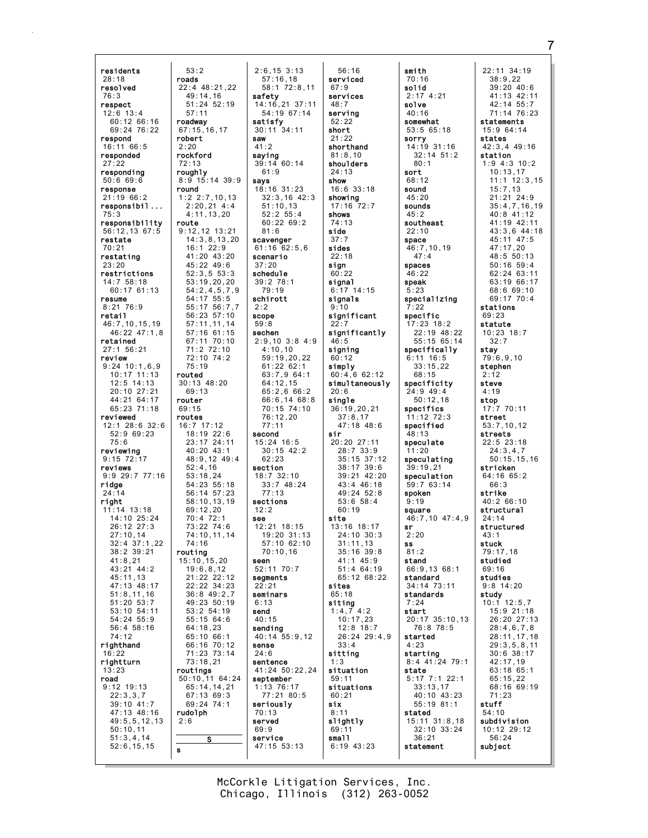| residents                 | 53:2                       |
|---------------------------|----------------------------|
| 28:18                     | roads                      |
| resolved                  | 22:4 48:21,22              |
|                           |                            |
| 76:3                      | 49:14,16                   |
| respect                   | 51:24 52:19                |
| $12:6$ 13:4               | 57:11                      |
| 60:12 66:16               | roadway                    |
| 69:24 76:22               | 67:15, 16, 17              |
| respond                   | robert                     |
| 16:11 66:5                | 2:20                       |
|                           |                            |
| responded                 | rockford                   |
| 27:22                     | 72:13                      |
| responding                | roughly                    |
| 50:669:6                  | 8:9 15:14 39:9             |
| response                  | round                      |
| 21:19 66:2                | 1:2, 2:7, 10, 13           |
| responsibil.              | 2:20,21 4:4                |
| 75:3                      | 4:11,13,20                 |
|                           |                            |
| responsibility            | route                      |
| 56:12,13 67:5             | 9:12,12 13:21              |
| restate                   | 14:3,8,13,20               |
| 70:21                     | 16:1 22:9                  |
| restating                 | 41:20 43:20                |
| 23:20                     | 45:22 49:6                 |
| restrictions              | 52:3,553:3                 |
| 14:7 58:18                | 53:19,20,20                |
|                           | 54:2, 4, 5, 7, 9           |
| $60:17$ $61:13$           |                            |
| resume                    | 54:17 55:5                 |
| $8:21$ 76:9               | 55:17 56:7,7               |
| retai l                   | 56:23 57:10                |
| 46:7,10,15,19             | 57:11, 11, 14              |
| 46:22 47:1,8              | 57:16 61:15                |
| retained                  | 67:11 70:10                |
| 27:1 56:21                | 71:2 72:10                 |
| review                    | 72:10 74:2                 |
| $9:24$ 10:1,6,9           | 75:19                      |
|                           | routed                     |
| 10:17 11:13<br>12:5 14:13 |                            |
|                           | 30:13 48:20                |
| 20:10 27:21               | 69:13                      |
| 44:21 64:17               | router                     |
| 65:23 71:18               | 69:15                      |
| reviewed                  | routes                     |
| 12:1 28:6 32:6            | 16:7 17:12                 |
| 52:9 69:23                | 18:19 22:6                 |
| 75:6                      | 23:17 24:11                |
| reviewing                 | 40:20 43:1                 |
| $9:15$ $72:17$            | 48:9,12 49:4               |
| reviews                   | 52:4,16                    |
| 9:9 29:7 77:16            | 53:18,24                   |
| ridge                     |                            |
|                           |                            |
|                           |                            |
| 24:14                     | 54:23 55:18<br>56:14 57:23 |
| right                     | 58:10,13,19                |
| $11:14$ $13:18$           | 69:12,20                   |
| 14:10 25:24               | 70:4 72:1                  |
| 26:12 27:3                | 73:22 74:6                 |
| 27:10,14                  | 74:10,11,14                |
| 32:4 37:1,22              | 74:16                      |
| 38:2 39:21                | routing                    |
| 41:8,21                   | 15:10,15,20                |
| 43:21 44:2                |                            |
|                           | 19:6, 8, 12                |
| 45:11,13                  |                            |
| 47:13 48:17               | 21:22 22:12<br>22:22 34:23 |
| 51:8, 11, 16              | 36:849:2,7                 |
| 51:20 53:7                | 49:23 50:19                |
| 53:10 54:11               | 53:2 54:19                 |
| 54:24 55:9                | 55:15 64:6                 |
| 56:4 58:16                | 64:18,23                   |
| 74:12                     | 65:10 66:1                 |
| righthand                 | 66:16<br>70:12             |
| 16:22                     | 71:23 73:14                |
| rightturn                 | 73:18,21                   |
| 13:23                     | routings                   |
| road                      | 50:10,11 64:24             |
| $9:12$ 19:13              | 65:14, 14, 21              |
|                           |                            |
| 22:3,3,7                  | 67:13 69:3                 |
| 39:10 41:7                | 69:24 74:1                 |
| 47:13 48:16               | rudolph                    |
| 49:5, 5, 12, 13           | 2:6                        |
| 50:10,11                  |                            |
| 51:3,4,14<br>52:6, 15, 15 | s<br>s                     |

2:6,15 3:13 57:16,18 58:1 72:8,11 safety 14:16,21 37:11 54:19 67:14 satisfy 30:11 34:11 saw  $41:2$ saying 39:14 60:14 61:9 says 18:16 31:23 32:3,16 42:3 51:10,13 52:2 55:4 60:22 69:2 81:6 scavenger 61:16 62:5,6 scenario 37:20 schedule 39:2 78:1 79:19 schirott 2:2 scope 59:8 sechen 2:9,10 3:8 4:9 4:10,10 59:19,20,22 61:22 62:1 63:7,9 64:1 64:12,15 65:2,6 66:2 66:6,14 68:8 70:15 74:10 76:12,20 77:11 second 15:24 16:5 30:15 42:2 62:23 section 18:7 32:10 33:7 48:24 77:13 sections  $12:2$ see 12:21 18:15 19:20 31:13 57:10 62:10 70:10,16 seen 52:11 70:7 segments 22:21 seminars 6:13 send 40:15 sending 40:14 55:9,12 sense 24:6 sentence 41:24 50:22,24 september 1:13 76:17 77:21 80:5 seriously 70:13 served 69:9 service 47:15 53:13

56:16 serviced 67:9 services 48:7 serving  $52.22$ short 21:22 shorthand 81:8,10 shoulders 24:13 show 16:6 33:18 showing 17:16 72:7 shows 74:13 side 37:7 sides 22:18 sign 60:22 signal 6:17 14:15 signals 9:10 significant 22:7 significantly 46:5 signing 60:12 simply 60:4,6 62:12 simultaneously 20:6 single 36:19,20,21 37:8,17 47:18 48:6 sir 20:20 27:11 28:7 33:9 35:15 37:12 38:17 39:6 39:21 42:20 43:4 46:18 49:24 52:8 53:6 58:4 60:19 site 13:16 18:17 24:10 30:3 31:11,13 35:16 39:8 41:1 45:9  $51 \cdot 4 64:19$ 65:12 68:22 sites 65:18 siting 1:4,7 4:2 10:17,23 12:8 18:7 26:24 29:4,9 33:4 sitting 1:3 situation 59:11 situations 60:21 six 8:11 slightly 69:11 small 6:19 43:23

smith 70:16 solid 2:17 4:21 solve 40:16 somewhat 53:5 65:18 sorry 14:19 31:16 32:14 51:2 80:1 sort 68:12 sound 45:20 sounds  $45.2$ southeast 22:10 space 46:7,10,19 47:4 spaces 46:22 speak 5:23 specializing  $\cdot$ :22 specific 17:23 18:2 22:19 48:22 55:15 65:14 specifically 6:11 16:5 33:15,22 68:15 specificity 24:9 49:4 50:12,18 specifics 11:12 72:3 specified 48:13 speculate 11:20 speculating 39:19,21 speculation 59:7 63:14 spoken 9:19 square 46:7,10 47:4,9 sr 2:20 ss 81:2 stand 66:9,13 68:1 standard 34:14 73:11 standards 7:24 start 20:17 35:10,13 76:8 78:5 started 4:23 starting 8:4 41:24 79:1 state 5:17 7:1 22:1 33:13,17 40:10 43:23 55:19 81:1 stated 15:11 31:8,18 32:10 33:24 36:21 statement

22:11 34:19 38:9,22 39:20 40:6 41:13 42:11 42:14 55:7 71:14 76:23 statements 15:9 64:14 states  $42.3$   $4$   $49.16$ station 1:9 4:3 10:2 10:13,17 11:1 12:3,15 15:7,13 21:21 24:9 35:4,7,16,19 40:8 41:12 41:19 42:11 43:3,6 44:18 45:11 47:5 47:17,20 48:5 50:13 50:16 59:4 62:24 63:11 63:19 66:17 68:6 69:10 69:17 70:4 stations 69:23 statute 10:23 18:7 32:7 stay 79:6,9,10 stephen 2:12 steve 4:19 stop 17:7 70:11 street 53:7,10,12 streets 22:5 23:18 24:3,4,7 50:15,15,16 stricken  $64.16$   $65.2$ 66:3 strike 40:2 66:10 structural  $24.14$ structured  $43.1$ stuck 79:17,18 studied  $69.16$ studies 9:8 14:20 study 10:1 12:5,7 15:9 21:18 26:20 27:13 28:4,6,7,8 28:11,17,18 29:3,5,8,11 30:6 38:17 42:17,19 63:18 65:1 65:15,22 68:16 69:19 71:23 stuff 54:10 subdivision 10:12 29:12 56:24 subject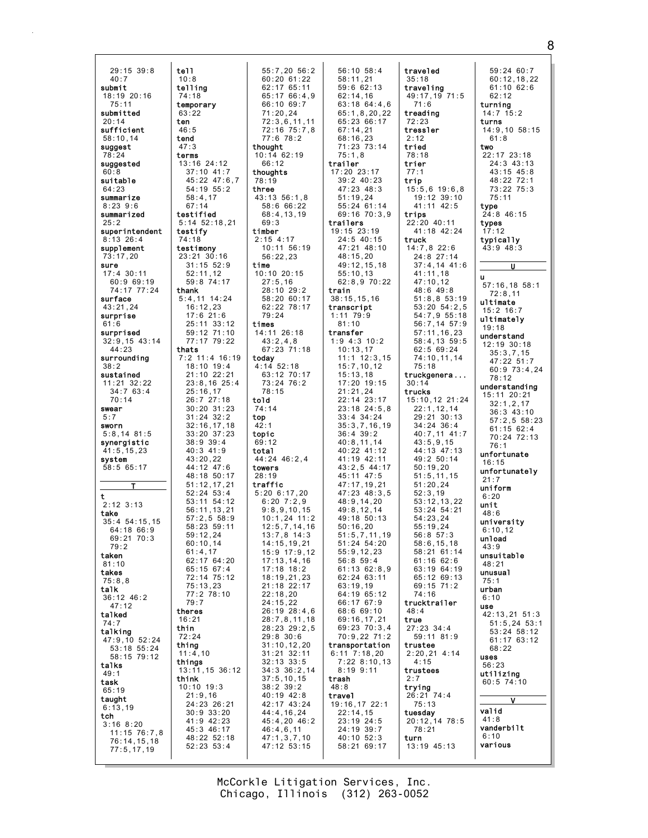$29:15$  39:8 tell  $40:7$  $10:8$ telling submit  $18:19$  20:16  $74:18$  $75:11$ temporary submitted  $63:22$  $20.14$ ten sufficient  $46:5$  $58:10.14$ tend suggest  $47:3$  $78:24$ terms suggested 13:16 24:12  $60.8$  $37:10$  41:7 45:22 47:6,7 suitable 64:23 54:19 55:2 summarize  $58:4.17$  $8:23$  9:6  $67:14$ summarized testified  $25:2$  $5:14$   $52:18.21$ superintendent testify  $8:13$  26:4  $74:18$ supplement testimony  $73:17,20$ 23:21 30:16  $31:15$   $52:9$ sure  $17:4$  30:11  $52:11,12$ 59:8 74:17 60:9 69:19 74:17 77:24 thank surface  $5:4,11$  14:24 43:21.24  $16:12,23$  $17:6$  21:6 surprise  $61:6$ 25:11 33:12 surprised 59:12 71:10 77:17 79:22  $32:9,15$  43:14  $44:23$ thats 7:2 11:4 16:19 surrounding  $18:10$  19:4  $38:2$ sustained 21:10 22:21  $11:21$  32:22  $23:8,16$  25:4  $34:763:4$  $25:16,17$  $70:14$  $26:727:18$  $30:20$   $31:23$ swear  $31:24$   $32:2$  $5:7$  $32:16,17,18$ sworn  $5:8.14$  81:5  $33:20^{6}37:23$ synergistic  $38:9$  39:4  $40:3$  41:9  $41:5.15.23$ system  $43:20.22$ 44:12 47:6  $58:565:17$ 48:18 50:17  $51:12.17.21$  $52:24$   $53:4$ t 53:11 54:12  $2:12$  3:13  $56:11.13.21$ take  $57.2558.9$  $35:4$  54:15,15 58:23 59:11  $64.18$   $66.9$  $59:12.24$ 69:21 70:3  $60.1014$  $79:2$  $61:4.17$ taken 62:17 64:20  $81:10$  $65 \cdot 15$   $67 \cdot 4$ takes 72:14 75:12  $75:8.8$  $75:13,23$ talk  $77:278:10$ 36:12 46:2  $79:7$  $47:12$ theres talked  $16:21$ thin talking  $72:24$  $47:9,10$  52:24 thing  $53:18$   $55:24$  $11:4,10$ 58:15 79:12 things talks 13:11, 15 36:12  $49.1$ think task  $10:10$  19:3  $65:19$  $21:9,16$ taught 24:23 26:21  $6:13.19$  $30:9$   $33:20$ tch 41:9 42:23  $3:168:20$ 45:3 46:17  $11:15$  76:7,8<br>76:14,15,18 48:22 52:18  $52:23$   $53:4$  $77:5.17.19$ 

55:7,20 56:2  $60:20$  61:22  $62:1765:11$  $65:1766:4.9$  $66:10.69:7$  $71:20.24$  $72:3.6.11.11$ 72:16 75:7.8  $77:678:2$ thought  $10:1462:19$  $75:1.8$  $66:12$ trailer thoughts 78:19 three  $43:13.56:1.8$ 58:6 66:22 68:4.13.19  $69.3$ trailers timber  $2.15 \, 4.17$ 10:11 56:19  $56:22,23$ time  $10:10$  20:15  $27:5,16$ 28:10 29:2 train 58:20 60:17 62:22 78:17 transcript 79:24  $1:11$  79:9 times  $81:10$ 14:11 26:18 transfer  $43:2,4,8$ 67:23 71:18 todav  $4:14$  52:18 63:12 70:17  $73:24$  76:2  $78:15$ told  $74:14$ top  $42.1$ topic  $69:12$ total  $44:24$   $46:2.4$ towers  $28.19$ traffic  $5:20$  6:17,20<br>6:20 7:2,9  $9:8.9.10.15$  $10:1,24$  11:2  $12:5,7,14,16$  $13:7.8$  14:3  $14:15, 19, 21$ 15:9 17:9.12  $17:13, 14, 16$  $17.18$   $18.2$ 18:19,21,23 21:18 22:17  $22:18.20$  $24:15,22$  $26:19$   $28:4,6$  $28:7, 8, 11, 18$ 28:23 29:2,5  $29:8$  30:6  $31:10, 12, 20$  $31:21$   $32:11$  $32:13$   $33:5$  $34:336:2,14$  $37:5, 10, 15$ trash  $38:2^{6}39:2$  $48:8$  $40:19$   $42:8$ travel 42:17 43:24 44:4,16,24 45:4,20 46:2  $46:4,6,11$  $47:1,3,7,10$ 47:12 53:15

56:10 58:4 traveled  $58:11.21$  $35:18$ traveling  $59:662:13$ 49:17,19 71:5  $62:14,16$  $63:18$  64:4.6  $71:6$  $65:1.8.20.22$ treading  $65.23.66.17$  $72.23$  $67:14.21$ tressler  $68:16,23$  $2.12$  $71:23$   $73:14$ tried  $78:18$ trier  $17:20$   $23:17$  $77:1$  $39:2$  40:23 trip 47:23 48:3  $15:5,6$  19:6,8  $51:19.24$  $19:12.39:10$ 55:24 61:14 41:11 42:5  $69.1670.39$ trips 22:20 40:11 19:15 23:19<br>24:5 40:15 41:18 42:24 truck 47:21 48:10  $14:7,8$  22:6  $48:15,20$ 24:8 27:14 49:12,15,18  $37:4,14$  41:6  $55:10,13$  $41:11,18$ 62:8,9 70:22 47:10.12  $48:649:8$  $51:8,853:19$  $38:15.15.16$  $53:20$   $54:2,5$ 54:7,9 55:18 56:7,14 57:9  $57:11.16.23$  $1:9$  4:3 10:2 58:4,13 59:5  $10:13,17$  $62:5$  69:24  $11:1$  12:3.15  $74:10, 11, 14$  $15:7, 10, 12$  $75:18$ truckgenera...  $15:13.18$ 17:20 19:15  $30 \cdot 14$  $21:21,24$ trucks 15:10,12 21:24  $22:14$   $23:17$  $23:18$   $24:5,8$  $22:1,12,14$  $33:4$   $34:24$  $29:21.30:13$  $35:3.7.16.19$  $34:24$  36:4  $40:7.11$   $41:7$  $36:4$  39:2  $40:8.11.14$  $43:5.9.15$  $40:22$   $41:12$ 44:13 47:13  $41:19$   $42:11$  $49:250:14$ 43:2.5 44:17  $50:19.20$  $45 \cdot 11 \cdot 47 \cdot 5$  $51.5$  11 15 47:17.19.21  $51:20.24$  $47:23$   $48:3.5$  $52:3,19$ 48:9,14.20 53:12.13.22  $49:8.12.14$  $53:24$   $54:21$  $49.18.50.13$  $54.23$  24  $55:19.24$  $50:16.20$  $51:5.7.11.19$  $56:8$  57:3  $51.24$   $54.20$  $58:6.15.18$  $55:9.12.23$  $58:21$  61:14  $56:8$  59:4  $61:16$   $62:6$  $61 \cdot 13$   $62 \cdot 8$  9  $63.1964.19$ 62:24 63:11 65:12 69:13  $63:19,19$ 69:15 71:2 64:19 65:12  $74.16$ 66:17 67:9 trucktrailer 68:6 69:10  $48:4$ 69:16,17,21 true 69:23 70:3,4  $27:23$  34:4 70:9,22 71:2  $59:11$   $81:9$ trustee transportation 6:11 7:18,20<br>7:22 8:10,13  $2:20,21$  4:14  $4.15$  $8:199:11$ trustees trying  $26:21$  74:4 19:16,17 22:1  $75:13$  $22:14,15$ tuesday 23:19 24:5  $20:12, 14$  78:5 24:19 39:7  $78:21$ 40:10 52:3 turn 58:21 69:17 13:19 45:13

59:24 60:7  $60:12, 18, 22$  $61:10.62:6$  $62:12$ turning  $14:7$  15:2 turns  $14:9,10$  58:15  $61:8$ two  $22:17$   $23:18$  $24:3$   $43:13$  $43.15$   $45.8$ 48:22 72:1  $73:22$   $75:3$  $75:11$ type  $24.846:15$ types  $17:12$ typically 43:9 48:3  $\overline{u}$  $\mathbf{u}$  $57:16,18$   $58:1$  $72:8,11$ ultimate  $15:2$  16:7 ultimately  $19:18$ understand 12:19 30:18  $35:3.7.15$  $47:22$   $51:7$  $60:973:4.24$  $78:12$ understanding  $15:11$   $20:21$  $32:1.2.17$  $36.343.10$  $57:2.5.58:23$  $61:1562:4$  $70.24$   $72.13$  $76:1$ unfortunate  $16:15$ unfortunately uniform  $6:20$ unit  $48:6$ university  $6:10.12$ unload  $43:9$ unsuitable  $48:21$ unusual  $75.1$ urban  $6:10$ use  $42:13.21.51:3$  $51:5, 24$  53:1  $53:24$   $58:12$  $61:1763:12$  $68:22$ uses 56:23 utilizing  $60:5$  74:10 M valid  $41:8$ vanderbilt  $6:10$ various